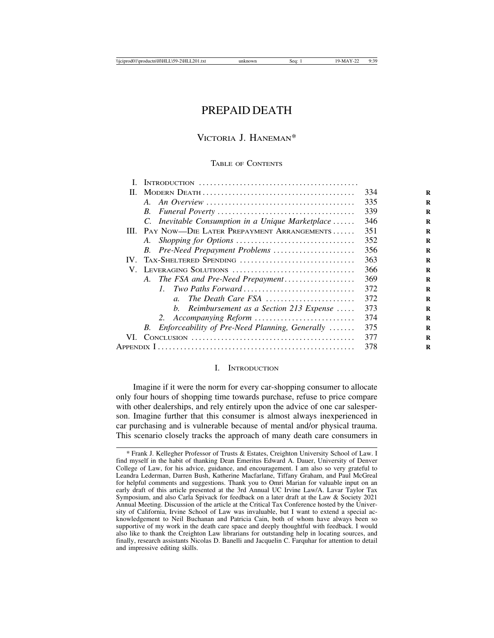## PREPAID DEATH

### VICTORIA J. HANEMAN\*

#### TABLE OF CONTENTS

|          |                                                                                           | 334 |
|----------|-------------------------------------------------------------------------------------------|-----|
|          |                                                                                           | 335 |
|          |                                                                                           | 339 |
|          | C. Inevitable Consumption in a Unique Marketplace                                         | 346 |
|          | III. PAY NOW—DIE LATER PREPAYMENT ARRANGEMENTS                                            | 351 |
|          |                                                                                           | 352 |
|          | B. Pre-Need Prepayment Problems                                                           | 356 |
| $IV_{-}$ | TAX-SHELTERED SPENDING                                                                    | 363 |
|          | V. LEVERAGING SOLUTIONS                                                                   | 366 |
|          | A. The FSA and Pre-Need Prepayment                                                        | 369 |
|          | 1. Two Paths Forward                                                                      | 372 |
|          | The Death Care FSA<br>$\mathfrak{a}$ .                                                    | 372 |
|          | b. Reimbursement as a Section 213 Expense $\ldots$ .                                      | 373 |
|          | 2. Accompanying Reform                                                                    | 374 |
|          | Enforceability of Pre-Need Planning, Generally<br>B.                                      | 375 |
| VL.      | $Conv_{1}$ $\ldots \ldots \ldots \ldots \ldots \ldots \ldots \ldots \ldots \ldots \ldots$ | 377 |
|          | 378                                                                                       |     |
|          |                                                                                           |     |

#### I. INTRODUCTION

Imagine if it were the norm for every car-shopping consumer to allocate only four hours of shopping time towards purchase, refuse to price compare with other dealerships, and rely entirely upon the advice of one car salesperson. Imagine further that this consumer is almost always inexperienced in car purchasing and is vulnerable because of mental and/or physical trauma. This scenario closely tracks the approach of many death care consumers in

<sup>\*</sup> Frank J. Kellegher Professor of Trusts & Estates, Creighton University School of Law. I find myself in the habit of thanking Dean Emeritus Edward A. Dauer, University of Denver College of Law, for his advice, guidance, and encouragement. I am also so very grateful to Leandra Lederman, Darren Bush, Katherine Macfarlane, Tiffany Graham, and Paul McGreal for helpful comments and suggestions. Thank you to Omri Marian for valuable input on an early draft of this article presented at the 3rd Annual UC Irvine Law/A. Lavar Taylor Tax Symposium, and also Carla Spivack for feedback on a later draft at the Law & Society 2021 Annual Meeting. Discussion of the article at the Critical Tax Conference hosted by the University of California, Irvine School of Law was invaluable, but I want to extend a special acknowledgement to Neil Buchanan and Patricia Cain, both of whom have always been so supportive of my work in the death care space and deeply thoughtful with feedback. I would also like to thank the Creighton Law librarians for outstanding help in locating sources, and finally, research assistants Nicolas D. Banelli and Jacquelin C. Farquhar for attention to detail and impressive editing skills.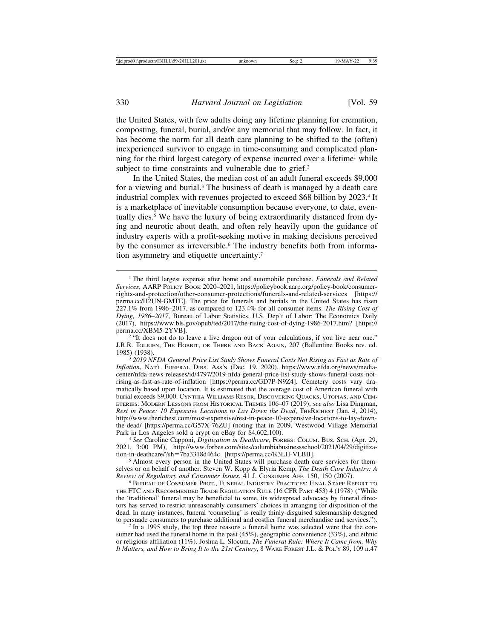the United States, with few adults doing any lifetime planning for cremation, composting, funeral, burial, and/or any memorial that may follow. In fact, it has become the norm for all death care planning to be shifted to the (often) inexperienced survivor to engage in time-consuming and complicated planning for the third largest category of expense incurred over a lifetime<sup>1</sup> while subject to time constraints and vulnerable due to grief.<sup>2</sup>

In the United States, the median cost of an adult funeral exceeds \$9,000 for a viewing and burial.3 The business of death is managed by a death care industrial complex with revenues projected to exceed \$68 billion by 2023.4 It is a marketplace of inevitable consumption because everyone, to date, eventually dies.<sup>5</sup> We have the luxury of being extraordinarily distanced from dying and neurotic about death, and often rely heavily upon the guidance of industry experts with a profit-seeking motive in making decisions perceived by the consumer as irreversible.<sup>6</sup> The industry benefits both from information asymmetry and etiquette uncertainty.7

<sup>2</sup> "It does not do to leave a live dragon out of your calculations, if you live near one." J.R.R. TOLKIEN, THE HOBBIT, OR THERE AND BACK AGAIN, 207 (Ballentine Books rev. ed. 1985) (1938). <sup>3</sup> *2019 NFDA General Price List Study Shows Funeral Costs Not Rising as Fast as Rate of*

<sup>1</sup> The third largest expense after home and automobile purchase. *Funerals and Related Services*, AARP POLICY BOOK 2020–2021, https://policybook.aarp.org/policy-book/consumerrights-and-protection/other-consumer-protections/funerals-and-related-services [https:// perma.cc/H2UN-GMTE]. The price for funerals and burials in the United States has risen 227.1% from 1986–2017, as compared to 123.4% for all consumer items. *The Rising Cost of Dying, 1986*–*2017*, Bureau of Labor Statistics, U.S. Dep't of Labor: The Economics Daily (2017), https://www.bls.gov/opub/ted/2017/the-rising-cost-of-dying-1986-2017.htm? [https://

*Inflation*, NAT'L FUNERAL DIRS. ASS'N (Dec. 19, 2020), https://www.nfda.org/news/mediacenter/nfda-news-releases/id/4797/2019-nfda-general-price-list-study-shows-funeral-costs-notrising-as-fast-as-rate-of-inflation [https://perma.cc/GD7P-N9Z4]. Cemetery costs vary dramatically based upon location. It is estimated that the average cost of American funeral with burial exceeds \$9,000. CYNTHIA WILLIAMS RESOR, DISCOVERING QUACKS, UTOPIAS, AND CEM-ETERIES: MODERN LESSONS FROM HISTORICAL THEMES 106–07 (2019); *see also* Lisa Dingman, *Rest in Peace: 10 Expensive Locations to Lay Down the Dead*, THERICHEST (Jan. 4, 2014), http://www.therichest.com/most-expensive/rest-in-peace-10-expensive-locations-to-lay-downthe-dead/ [https://perma.cc/G57X-76ZU] (noting that in 2009, Westwood Village Memorial Park in Los Angeles sold a crypt on eBay for \$4,602,100). <sup>4</sup> *See* Caroline Capponi, *Digitization in Deathcare*, FORBES: COLUM. BUS. SCH. (Apr. 29,

<sup>2021, 3:00</sup> PM), http://www.forbes.com/sites/columbiabusinessschool/2021/04/29/digitization-in-deathcare/?sh=7ba3318d464c [https://perma.cc/K3LH-VLBB].

<sup>&</sup>lt;sup>5</sup> Almost every person in the United States will purchase death care services for themselves or on behalf of another. Steven W. Kopp & Elyria Kemp, *The Death Care Industry: A Review of Regulatory and Consumer Issues*, 41 J. CONSUMER AFF. 150, 150 (2007). <sup>6</sup> BUREAU OF CONSUMER PROT., FUNERAL INDUSTRY PRACTICES: FINAL STAFF REPORT TO

THE FTC AND RECOMMENDED TRADE REGULATION RULE (16 CFR PART 453) 4 (1978) ("While the 'traditional' funeral may be beneficial to some, its widespread advocacy by funeral directors has served to restrict unreasonably consumers' choices in arranging for disposition of the dead. In many instances, funeral 'counseling' is really thinly-disguised salesmanship designed to persuade consumers to purchase additional and costlier funeral merchandise and services.").<br><sup>7</sup> In a 1995 study, the top three reasons a funeral home was selected were that the con-

sumer had used the funeral home in the past (45%), geographic convenience (33%), and ethnic or religious affiliation (11%). Joshua L. Slocum, *The Funeral Rule: Where It Came from, Why It Matters, and How to Bring It to the 21st Century*, 8 WAKE FOREST J.L. & POL'Y 89, 109 n.47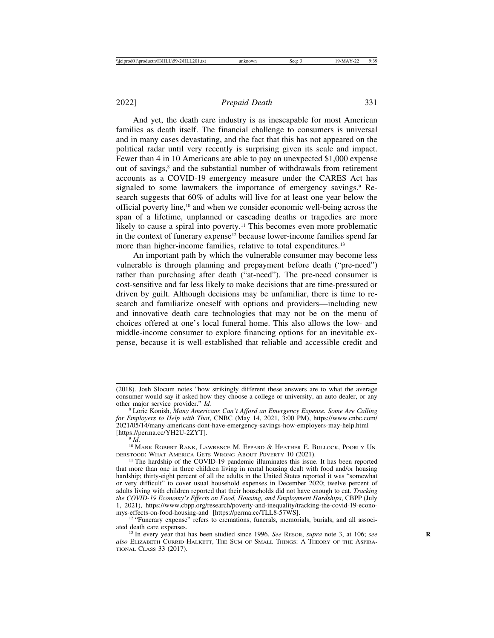And yet, the death care industry is as inescapable for most American families as death itself. The financial challenge to consumers is universal and in many cases devastating, and the fact that this has not appeared on the political radar until very recently is surprising given its scale and impact. Fewer than 4 in 10 Americans are able to pay an unexpected \$1,000 expense out of savings,<sup>8</sup> and the substantial number of withdrawals from retirement accounts as a COVID-19 emergency measure under the CARES Act has signaled to some lawmakers the importance of emergency savings.<sup>9</sup> Research suggests that 60% of adults will live for at least one year below the official poverty line,10 and when we consider economic well-being across the span of a lifetime, unplanned or cascading deaths or tragedies are more likely to cause a spiral into poverty.<sup>11</sup> This becomes even more problematic in the context of funerary expense<sup>12</sup> because lower-income families spend far more than higher-income families, relative to total expenditures.<sup>13</sup>

An important path by which the vulnerable consumer may become less vulnerable is through planning and prepayment before death ("pre-need") rather than purchasing after death ("at-need"). The pre-need consumer is cost-sensitive and far less likely to make decisions that are time-pressured or driven by guilt. Although decisions may be unfamiliar, there is time to research and familiarize oneself with options and providers—including new and innovative death care technologies that may not be on the menu of choices offered at one's local funeral home. This also allows the low- and middle-income consumer to explore financing options for an inevitable expense, because it is well-established that reliable and accessible credit and

<sup>(2018).</sup> Josh Slocum notes "how strikingly different these answers are to what the average consumer would say if asked how they choose a college or university, an auto dealer, or any other major service provider."  $Id$ .

<sup>&</sup>lt;sup>8</sup> Lorie Konish, *Many Americans Can't Afford an Emergency Expense. Some Are Calling for Employers to Help with That*, CNBC (May 14, 2021, 3:00 PM), https://www.cnbc.com/ 2021/05/14/many-americans-dont-have-emergency-savings-how-employers-may-help.html [https://perma.cc/YH2U-2ZYT]. <sup>9</sup> *Id*. <sup>10</sup> MARK ROBERT RANK, LAWRENCE M. EPPARD & HEATHER E. BULLOCK, POORLY UN-

DERSTOOD: WHAT AMERICA GETS WRONG ABOUT POVERTY 10 (2021).<br><sup>11</sup> The hardship of the COVID-19 pandemic illuminates this issue. It has been reported

that more than one in three children living in rental housing dealt with food and/or housing hardship; thirty-eight percent of all the adults in the United States reported it was "somewhat or very difficult" to cover usual household expenses in December 2020; twelve percent of adults living with children reported that their households did not have enough to eat. *Tracking the COVID-19 Economy's Effects on Food, Housing, and Employment Hardships*, CBPP (July 1, 2021), https://www.cbpp.org/research/poverty-and-inequality/tracking-the-covid-19-econo-

 $12$  "Funerary expense" refers to cremations, funerals, memorials, burials, and all associated death care expenses.

<sup>&</sup>lt;sup>13</sup> In every year that has been studied since 1996. *See* RESOR, *supra* note 3, at 106; *see also* ELIZABETH CURRID-HALKETT, THE SUM OF SMALL THINGS: A THEORY OF THE ASPIRA-TIONAL CLASS 33 (2017).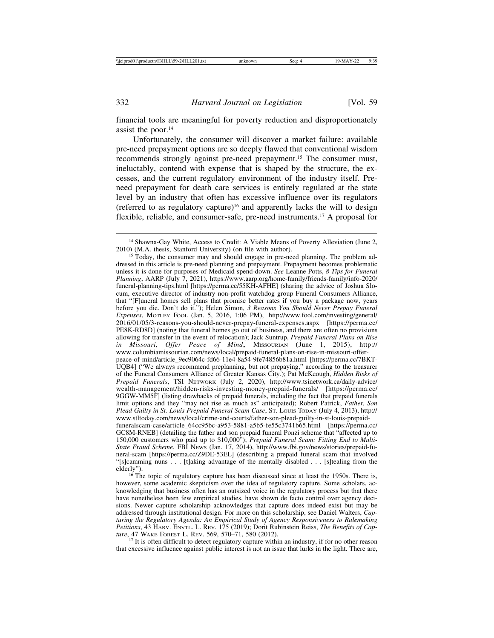financial tools are meaningful for poverty reduction and disproportionately assist the poor. $14$ 

Unfortunately, the consumer will discover a market failure: available pre-need prepayment options are so deeply flawed that conventional wisdom recommends strongly against pre-need prepayment.15 The consumer must, ineluctably, contend with expense that is shaped by the structure, the excesses, and the current regulatory environment of the industry itself. Preneed prepayment for death care services is entirely regulated at the state level by an industry that often has excessive influence over its regulators (referred to as regulatory capture)<sup>16</sup> and apparently lacks the will to design flexible, reliable, and consumer-safe, pre-need instruments.17 A proposal for

dressed in this article is pre-need planning and prepayment. Prepayment becomes problematic unless it is done for purposes of Medicaid spend-down. *See* Leanne Potts, *8 Tips for Funeral Planning*, AARP (July 7, 2021), https://www.aarp.org/home-family/friends-family/info-2020/ funeral-planning-tips.html [https://perma.cc/55KH-AFHE] (sharing the advice of Joshua Slocum, executive director of industry non-profit watchdog group Funeral Consumers Alliance, that "[F]uneral homes sell plans that promise better rates if you buy a package now, years before you die. Don't do it."); Helen Simon, *3 Reasons You Should Never Prepay Funeral Expenses*, MOTLEY FOOL (Jan. 5, 2016, 1:06 PM), http://www.fool.com/investing/general/ 2016/01/05/3-reasons-you-should-never-prepay-funeral-expenses.aspx [https://perma.cc/ PE8K-RD8D] (noting that funeral homes go out of business, and there are often no provisions allowing for transfer in the event of relocation); Jack Suntrup, *Prepaid Funeral Plans on Rise in Missouri, Offer Peace of Mind*, MISSOURIAN (June 1, 2015), http:// www.columbiamissourian.com/news/local/prepaid-funeral-plans-on-rise-in-missouri-offerpeace-of-mind/article\_9ec9064c-fd66-11e4-8a54-9fe74856b81a.html [https://perma.cc/7BKT-UQB4] ("We always recommend preplanning, but not prepaying," according to the treasurer of the Funeral Consumers Alliance of Greater Kansas City.); Pat McKeough, *Hidden Risks of Prepaid Funerals*, TSI NETWORK (July 2, 2020), http://www.tsinetwork.ca/daily-advice/ wealth-management/hidden-risks-investing-money-prepaid-funerals/ [https://perma.cc/ 9GGW-MM5F] (listing drawbacks of prepaid funerals, including the fact that prepaid funerals limit options and they "may not rise as much as" anticipated); Robert Patrick, *Father, Son Plead Guilty in St. Louis Prepaid Funeral Scam Case*, ST. LOUIS TODAY (July 4, 2013), http:// www.stltoday.com/news/local/crime-and-courts/father-son-plead-guilty-in-st-louis-prepaidfuneralscam-case/article\_64cc95bc-a953-5881-a5b5-fe55c3741b65.html [https://perma.cc/ GC8M-RNEB] (detailing the father and son prepaid funeral Ponzi scheme that "affected up to 150,000 customers who paid up to \$10,000"); *Prepaid Funeral Scam: Fitting End to Multi-State Fraud Scheme*, FBI NEWS (Jan. 17, 2014), http://www.fbi.gov/news/stories/prepaid-funeral-scam [https://perma.cc/Z9DE-53EL] (describing a prepaid funeral scam that involved "[s]camming nuns . . . [t]aking advantage of the mentally disabled . . . [s]tealing from the

 $^{16}$  The topic of regulatory capture has been discussed since at least the 1950s. There is, however, some academic skepticism over the idea of regulatory capture. Some scholars, acknowledging that business often has an outsized voice in the regulatory process but that there have nonetheless been few empirical studies, have shown de facto control over agency decisions. Newer capture scholarship acknowledges that capture does indeed exist but may be addressed through institutional design. For more on this scholarship, see Daniel Walters, *Capturing the Regulatory Agenda: An Empirical Study of Agency Responsiveness to Rulemaking Petitions*, 43 HARV. ENVTL. L. REV. 175 (2019); Dorit Rubinstein Reiss, *The Benefits of Cap-*

 $t<sup>17</sup>$  It is often difficult to detect regulatory capture within an industry, if for no other reason that excessive influence against public interest is not an issue that lurks in the light. There are,

<sup>&</sup>lt;sup>14</sup> Shawna-Gay White, Access to Credit: A Viable Means of Poverty Alleviation (June 2, 2010) (M.A. thesis, Stanford University) (on file with author).<br><sup>15</sup> Today, the consumer may and should engage in pre-need planning. The problem ad-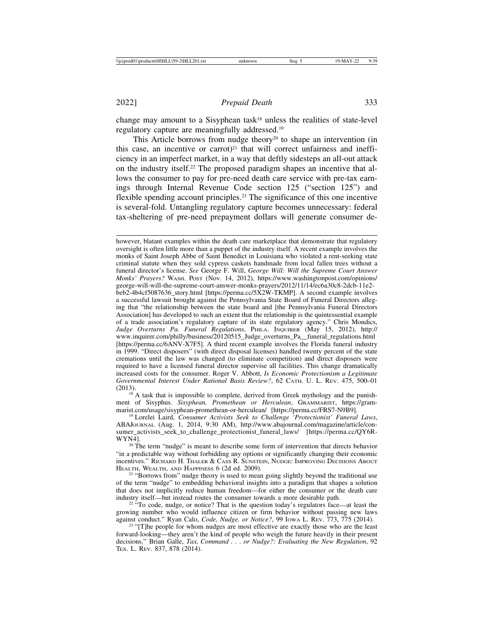change may amount to a Sisyphean task<sup>18</sup> unless the realities of state-level regulatory capture are meaningfully addressed.19

This Article borrows from nudge theory<sup>20</sup> to shape an intervention (in this case, an incentive or carrot)<sup>21</sup> that will correct unfairness and inefficiency in an imperfect market, in a way that deftly sidesteps an all-out attack on the industry itself.22 The proposed paradigm shapes an incentive that allows the consumer to pay for pre-need death care service with pre-tax earnings through Internal Revenue Code section 125 ("section 125") and flexible spending account principles.23 The significance of this one incentive is several-fold. Untangling regulatory capture becomes unnecessary: federal tax-sheltering of pre-need prepayment dollars will generate consumer de-

however, blatant examples within the death care marketplace that demonstrate that regulatory oversight is often little more than a puppet of the industry itself. A recent example involves the monks of Saint Joseph Abbe of Saint Benedict in Louisiana who violated a rent-seeking state criminal statute when they sold cypress caskets handmade from local fallen trees without a funeral director's license. *See* George F. Will, *George Will: Will the Supreme Court Answer Monks' Prayers?* WASH. POST (Nov. 14, 2012), https://www.washingtonpost.com/opinions/ george-will-will-the-supreme-court-answer-monks-prayers/2012/11/14/ec6a30c8-2dcb-11e2 beb2-4b4cf5087636\_story.html [https://perma.cc/5X2W-TKMP]. A second example involves a successful lawsuit brought against the Pennsylvania State Board of Funeral Directors alleging that "the relationship between the state board and [the Pennsylvania Funeral Directors Association] has developed to such an extent that the relationship is the quintessential example of a trade association's regulatory capture of its state regulatory agency." Chris Mondics, *Judge Overturns Pa. Funeral Regulations*, PHILA. INQUIRER (May 15, 2012), http:// www.inquirer.com/philly/business/20120515\_Judge\_overturns\_Pa\_\_funeral\_regulations.html [https://perma.cc/6ANV-X7F5]. A third recent example involves the Florida funeral industry in 1999. "Direct disposers" (with direct disposal licenses) handled twenty percent of the state cremations until the law was changed (to eliminate competition) and direct disposers were required to have a licensed funeral director supervise all facilities. This change dramatically increased costs for the consumer. Roger V. Abbott, *Is Economic Protectionism a Legitimate Governmental Interest Under Rational Basis Review?*, 62 CATH. U. L. REV. 475, 500–01

 $^{18}$  A task that is impossible to complete, derived from Greek mythology and the punishment of Sisyphus. *Sisyphean, Promethean or Herculean*, GRAMMARIST, https://gram-<br>marist.com/usage/sisyphean-promethean-or-herculean/ [https://perma.cc/FRS7-N9B9].

<sup>19</sup> Lorelei Laird, *Consumer Activists Seek to Challenge 'Protectionist' Funeral Laws*, ABAJOURNAL (Aug. 1, 2014, 9:30 AM), http://www.abajournal.com/magazine/article/consumer activists seek to challenge protectionist funeral laws/ [https://perma.cc/QY6R-WYN4].<br><sup>20</sup> The term "nudge" is meant to describe some form of intervention that directs behavior

"in a predictable way without forbidding any options or significantly changing their economic incentives." RICHARD H. THALER & CASS R. SUNSTEIN, NUDGE: IMPROVING DECISIONS ABOUT

HEALTH, WEALTH, AND HAPPINESS 6 (2d ed. 2009).<br><sup>21</sup> "Borrows from" nudge theory is used to mean going slightly beyond the traditional use of the term "nudge" to embedding behavioral insights into a paradigm that shapes a solution that does not implicitly reduce human freedom—for either the consumer or the death care

 $22$  "To code, nudge, or notice? That is the question today's regulators face—at least the growing number who would influence citizen or firm behavior without passing new laws against conduct." Ryan Calo, *Code, Nudge, or Notice?*, 99 Iowa L. Rev. 773, 775 (2014). <sup>23</sup> "[T]he people for whom nudges are most effective are exactly those who are the least

forward-looking—they aren't the kind of people who weigh the future heavily in their present decisions." Brian Galle, *Tax, Command* . . . *or Nudge?: Evaluating the New Regulation*, 92 TEX. L. REV. 837, 878 (2014).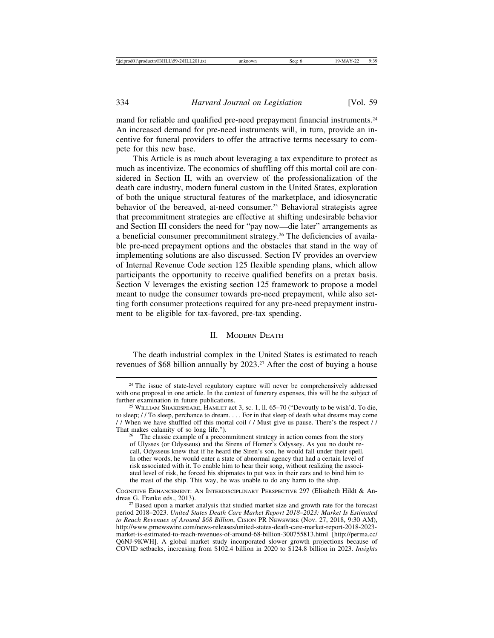mand for reliable and qualified pre-need prepayment financial instruments.<sup>24</sup> An increased demand for pre-need instruments will, in turn, provide an incentive for funeral providers to offer the attractive terms necessary to compete for this new base.

This Article is as much about leveraging a tax expenditure to protect as much as incentivize. The economics of shuffling off this mortal coil are considered in Section II, with an overview of the professionalization of the death care industry, modern funeral custom in the United States, exploration of both the unique structural features of the marketplace, and idiosyncratic behavior of the bereaved, at-need consumer.<sup>25</sup> Behavioral strategists agree that precommitment strategies are effective at shifting undesirable behavior and Section III considers the need for "pay now—die later" arrangements as a beneficial consumer precommitment strategy.<sup>26</sup> The deficiencies of available pre-need prepayment options and the obstacles that stand in the way of implementing solutions are also discussed. Section IV provides an overview of Internal Revenue Code section 125 flexible spending plans, which allow participants the opportunity to receive qualified benefits on a pretax basis. Section V leverages the existing section 125 framework to propose a model meant to nudge the consumer towards pre-need prepayment, while also setting forth consumer protections required for any pre-need prepayment instrument to be eligible for tax-favored, pre-tax spending.

#### II. MODERN DEATH

The death industrial complex in the United States is estimated to reach revenues of \$68 billion annually by 2023.<sup>27</sup> After the cost of buying a house

<sup>&</sup>lt;sup>24</sup> The issue of state-level regulatory capture will never be comprehensively addressed with one proposal in one article. In the context of funerary expenses, this will be the subject of further examination in future publications.<br><sup>25</sup> WILLIAM SHAKESPEARE, HAMLET act 3, sc. 1, ll. 65–70 ("Devoutly to be wish'd. To die,

to sleep; / / To sleep, perchance to dream. . . . For in that sleep of death what dreams may come / / When we have shuffled off this mortal coil / / Must give us pause. There's the respect / /

 $26$  The classic example of a precommitment strategy in action comes from the story of Ulysses (or Odysseus) and the Sirens of Homer's Odyssey. As you no doubt recall, Odysseus knew that if he heard the Siren's son, he would fall under their spell. In other words, he would enter a state of abnormal agency that had a certain level of risk associated with it. To enable him to hear their song, without realizing the associated level of risk, he forced his shipmates to put wax in their ears and to bind him to the mast of the ship. This way, he was unable to do any harm to the ship.

COGNITIVE ENHANCEMENT: AN INTERDISCIPLINARY PERSPECTIVE 297 (Elisabeth Hildt & An-<br>dreas G. Franke eds., 2013).

<sup>&</sup>lt;sup>27</sup> Based upon a market analysis that studied market size and growth rate for the forecast period 2018–2023. *United States Death Care Market Report 2018*–*2023: Market Is Estimated to Reach Revenues of Around \$68 Billion*, CISION PR NEWSWIRE (Nov. 27, 2018, 9:30 AM), http://www.prnewswire.com/news-releases/united-states-death-care-market-report-2018-2023 market-is-estimated-to-reach-revenues-of-around-68-billion-300755813.html [http://perma.cc/ Q6NJ-9KWH]. A global market study incorporated slower growth projections because of COVID setbacks, increasing from \$102.4 billion in 2020 to \$124.8 billion in 2023. *Insights*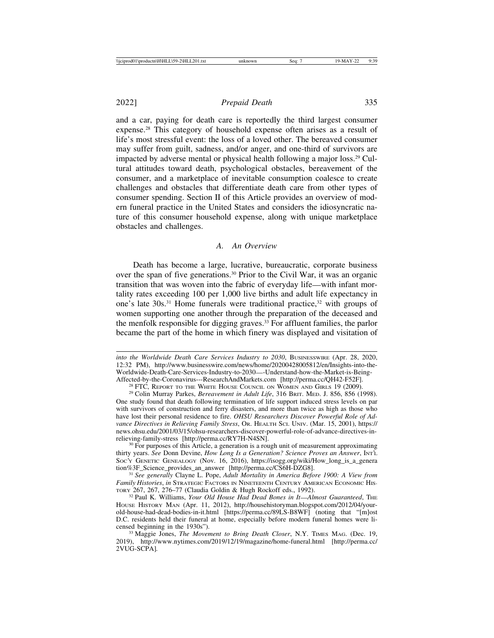and a car, paying for death care is reportedly the third largest consumer expense.28 This category of household expense often arises as a result of life's most stressful event: the loss of a loved other. The bereaved consumer may suffer from guilt, sadness, and/or anger, and one-third of survivors are impacted by adverse mental or physical health following a major loss.29 Cultural attitudes toward death, psychological obstacles, bereavement of the consumer, and a marketplace of inevitable consumption coalesce to create challenges and obstacles that differentiate death care from other types of consumer spending. Section II of this Article provides an overview of modern funeral practice in the United States and considers the idiosyncratic nature of this consumer household expense, along with unique marketplace obstacles and challenges.

#### *A. An Overview*

Death has become a large, lucrative, bureaucratic, corporate business over the span of five generations.30 Prior to the Civil War, it was an organic transition that was woven into the fabric of everyday life—with infant mortality rates exceeding 100 per 1,000 live births and adult life expectancy in one's late  $30s^{31}$  Home funerals were traditional practice,  $32$  with groups of women supporting one another through the preparation of the deceased and the menfolk responsible for digging graves.33 For affluent families, the parlor became the part of the home in which finery was displayed and visitation of

*into the Worldwide Death Care Services Industry to 2030*, BUSINESSWIRE (Apr. 28, 2020, 12:32 PM), http://www.businesswire.com/news/home/20200428005812/en/Insights-into-the-Worldwide-Death-Care-Services-Industry-to-2030—-Understand-how-the-Market-is-Being-Affected-by-the-Coronavirus---ResearchAndMarkets.com [http://perma.cc/QH42-F52F].

<sup>&</sup>lt;sup>28</sup> FTC, REPORT TO THE WHITE HOUSE COUNCIL ON WOMEN AND GIRLS 19 (2009).<br><sup>29</sup> Colin Murray Parkes, *Bereavement in Adult Life*, 316 BRIT. MED. J. 856, 856 (1998).

One study found that death following termination of life support induced stress levels on par with survivors of construction and ferry disasters, and more than twice as high as those who have lost their personal residence to fire. *OHSU Researchers Discover Powerful Role of Advance Directives in Relieving Family Stress*, OR. HEALTH SCI. UNIV. (Mar. 15, 2001), https:// news.ohsu.edu/2001/03/15/ohsu-researchers-discover-powerful-role-of-advance-directives-in-<br>relieving-family-stress [http://perma.cc/RY7H-N4SN].

 $\frac{30}{10}$  For purposes of this Article, a generation is a rough unit of measurement approximating thirty years. *See* Donn Devine, *How Long Is a Generation? Science Proves an Answer*, INT'L Soc'y GENETIC GENEALOGY (Nov. 16, 2016), https://isogg.org/wiki/How\_long\_is\_a\_genera tion%3F Science provides an answer [http://perma.cc/CS6H-DZG8].

<sup>&</sup>lt;sup>31</sup> See generally Clayne L. Pope, *Adult Mortality in America Before 1900: A View from Family Histories*, *in* STRATEGIC FACTORS IN NINETEENTH CENTURY AMERICAN ECONOMIC HISTORY 267, 267, 276-77 (Claudia Goldin & Hugh Rockoff eds., 1992).

<sup>&</sup>lt;sup>32</sup> Paul K. Williams, *Your Old House Had Dead Bones in It—Almost Guaranteed*, THE HOUSE HISTORY MAN (Apr. 11, 2012), http://househistoryman.blogspot.com/2012/04/yourold-house-had-dead-bodies-in-it.html [https://perma.cc/89LS-B8WF] (noting that "[m]ost D.C. residents held their funeral at home, especially before modern funeral homes were licensed beginning in the 1930s").

<sup>&</sup>lt;sup>33</sup> Maggie Jones, *The Movement to Bring Death Closer*, N.Y. TIMES MAG. (Dec. 19, 2019), http://www.nytimes.com/2019/12/19/magazine/home-funeral.html [http://perma.cc/ 2VUG-SCPA]*.*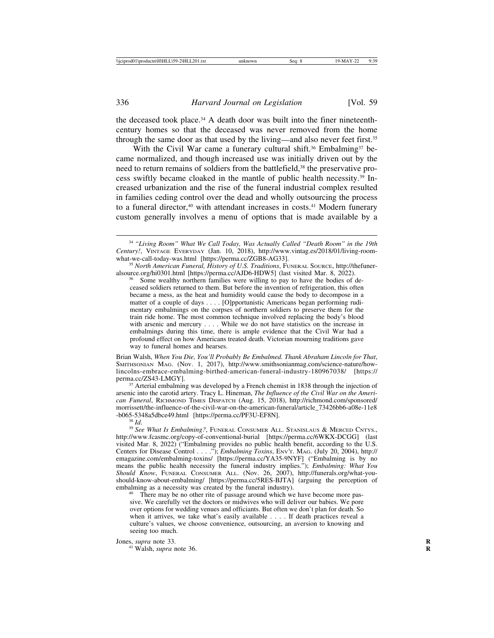the deceased took place.<sup>34</sup> A death door was built into the finer nineteenthcentury homes so that the deceased was never removed from the home through the same door as that used by the living—and also never feet first.<sup>35</sup>

With the Civil War came a funerary cultural shift.<sup>36</sup> Embalming<sup>37</sup> became normalized, and though increased use was initially driven out by the need to return remains of soldiers from the battlefield,<sup>38</sup> the preservative process swiftly became cloaked in the mantle of public health necessity.39 Increased urbanization and the rise of the funeral industrial complex resulted in families ceding control over the dead and wholly outsourcing the process to a funeral director,<sup>40</sup> with attendant increases in costs.<sup>41</sup> Modern funerary custom generally involves a menu of options that is made available by a

Some wealthy northern families were willing to pay to have the bodies of deceased soldiers returned to them. But before the invention of refrigeration, this often became a mess, as the heat and humidity would cause the body to decompose in a matter of a couple of days . . . . [O]pportunistic Americans began performing rudimentary embalmings on the corpses of northern soldiers to preserve them for the train ride home. The most common technique involved replacing the body's blood with arsenic and mercury . . . . While we do not have statistics on the increase in embalmings during this time, there is ample evidence that the Civil War had a profound effect on how Americans treated death. Victorian mourning traditions gave way to funeral homes and hearses.

Brian Walsh, *When You Die, You'll Probably Be Embalmed. Thank Abraham Lincoln for That*, SMITHSONIAN MAG. (Nov. 1, 2017), http://www.smithsonianmag.com/science-nature/howlincolns-embrace-embalming-birthed-american-funeral-industry-180967038/ [https://

<sup>37</sup> Arterial embalming was developed by a French chemist in 1838 through the injection of arsenic into the carotid artery. Tracy L. Hineman, *The Influence of the Civil War on the American Funeral*, RICHMOND TIMES DISPATCH (Aug. 15, 2018), http://richmond.com/sponsored/ morrissett/the-influence-of-the-civil-war-on-the-american-funeral/article\_73426bb6-a08e-11e8<br>-b065-5348a5dbce49.html [https://perma.cc/PF3U-EF8N].

<sup>38</sup> Id.<br><sup>39</sup> See What Is Embalming?, FUNERAL CONSUMER ALL. STANISLAUS & MERCED CNTYS., http://www.fcasmc.org/copy-of-conventional-burial [https://perma.cc/6WKX-DCGG] (last visited Mar. 8, 2022) ("Embalming provides no public health benefit, according to the U.S. Centers for Disease Control . . . ."); *Embalming Toxins*, ENV'T. MAG. (July 20, 2004), http:// emagazine.com/embalming-toxins/ [https://perma.cc/YA35-9NYF] ("Embalming is by no means the public health necessity the funeral industry implies."); *Embalming: What You Should Know*, FUNERAL CONSUMER ALL. (Nov. 26, 2007), http://funerals.org/what-youshould-know-about-embalming/ [https://perma.cc/5RES-BJTA] (arguing the perception of embalming as a necessity was created by the funeral industry).

<sup>40</sup> There may be no other rite of passage around which we have become more passive. We carefully vet the doctors or midwives who will deliver our babies. We pore over options for wedding venues and officiants. But often we don't plan for death. So when it arrives, we take what's easily available . . . . If death practices reveal a culture's values, we choose convenience, outsourcing, an aversion to knowing and seeing too much.

# Jones, *supra* note 33.<br><sup>41</sup> Walsh, *supra* note 36.

<sup>34</sup> *"Living Room" What We Call Today, Was Actually Called "Death Room" in the 19th Century!*, VINTAGE EVERYDAY (Jan. 10, 2018), http://www.vintag.es/2018/01/living-room-

<sup>&</sup>lt;sup>35</sup> *North American Funeral, History of U.S. Traditions*, FUNERAL SOURCE, http://thefuneralsource.org/hi0301.html [https://perma.cc/AJD6-HDW5] (last visited Mar. 8, 2022).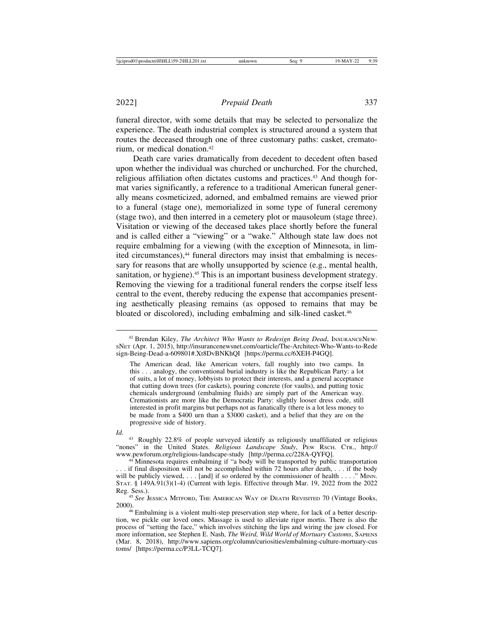funeral director, with some details that may be selected to personalize the experience. The death industrial complex is structured around a system that routes the deceased through one of three customary paths: casket, crematorium, or medical donation.42

Death care varies dramatically from decedent to decedent often based upon whether the individual was churched or unchurched. For the churched, religious affiliation often dictates customs and practices.<sup>43</sup> And though format varies significantly, a reference to a traditional American funeral generally means cosmeticized, adorned, and embalmed remains are viewed prior to a funeral (stage one), memorialized in some type of funeral ceremony (stage two), and then interred in a cemetery plot or mausoleum (stage three). Visitation or viewing of the deceased takes place shortly before the funeral and is called either a "viewing" or a "wake." Although state law does not require embalming for a viewing (with the exception of Minnesota, in limited circumstances),<sup>44</sup> funeral directors may insist that embalming is necessary for reasons that are wholly unsupported by science (e.g., mental health, sanitation, or hygiene).45 This is an important business development strategy. Removing the viewing for a traditional funeral renders the corpse itself less central to the event, thereby reducing the expense that accompanies presenting aesthetically pleasing remains (as opposed to remains that may be bloated or discolored), including embalming and silk-lined casket.<sup>46</sup>

<sup>42</sup> Brendan Kiley, *The Architect Who Wants to Redesign Being Dead*, INSURANCENEW-SNET (Apr. 1, 2015), http://insurancenewsnet.com/oarticle/The-Architect-Who-Wants-to-Rede sign-Being-Dead-a-609801#.Xt8DvBNKhQI [https://perma.cc/6XEH-P4GQ].

The American dead, like American voters, fall roughly into two camps. In this . . . analogy, the conventional burial industry is like the Republican Party: a lot of suits, a lot of money, lobbyists to protect their interests, and a general acceptance that cutting down trees (for caskets), pouring concrete (for vaults), and putting toxic chemicals underground (embalming fluids) are simply part of the American way. Cremationists are more like the Democratic Party: slightly looser dress code, still interested in profit margins but perhaps not as fanatically (there is a lot less money to be made from a \$400 urn than a \$3000 casket), and a belief that they are on the progressive side of history.

*Id*. 43 Roughly 22.8% of people surveyed identify as religiously unaffiliated or religious "nones" in the United States. *Religious Landscape Study*, PEW RSCH. CTR., http://<br>www.pewforum.org/religious-landscape-study [http://perma.cc/228A-QYFQ].

<sup>&</sup>lt;sup>44</sup> Minnesota requires embalming if "a body will be transported by public transportation . . . if final disposition will not be accomplished within 72 hours after death, . . . if the body will be publicly viewed,  $\dots$  [and] if so ordered by the commissioner of health  $\dots$ ." MINN. STAT. § 149A.91(3)(1-4) (Current with legis. Effective through Mar. 19, 2022 from the 2022

Reg. Sess.). <sup>45</sup> *See* JESSICA MITFORD, THE AMERICAN WAY OF DEATH REVISITED 70 (Vintage Books, 2000). <sup>46</sup> Embalming is a violent multi-step preservation step where, for lack of a better descrip-

tion, we pickle our loved ones. Massage is used to alleviate rigor mortis. There is also the process of "setting the face," which involves stitching the lips and wiring the jaw closed. For more information, see Stephen E. Nash, *The Weird, Wild World of Mortuary Customs*, SAPIENS (Mar. 8, 2018), http://www.sapiens.org/column/curiosities/embalming-culture-mortuary-cus toms/ [https://perma.cc/P3LL-TCQ7].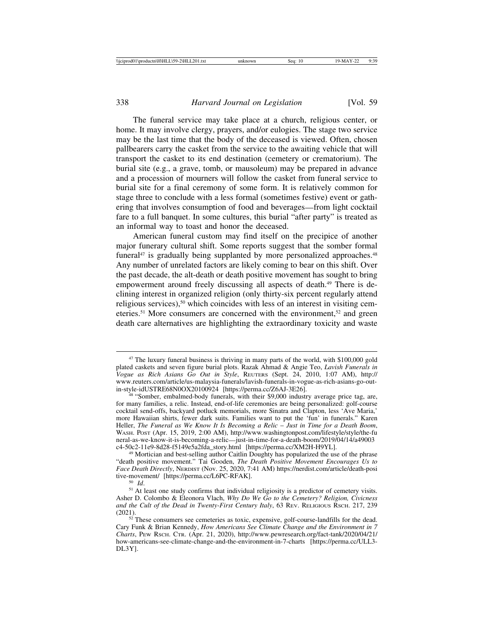The funeral service may take place at a church, religious center, or home. It may involve clergy, prayers, and/or eulogies. The stage two service may be the last time that the body of the deceased is viewed. Often, chosen pallbearers carry the casket from the service to the awaiting vehicle that will transport the casket to its end destination (cemetery or crematorium). The burial site (e.g., a grave, tomb, or mausoleum) may be prepared in advance and a procession of mourners will follow the casket from funeral service to burial site for a final ceremony of some form. It is relatively common for stage three to conclude with a less formal (sometimes festive) event or gathering that involves consumption of food and beverages—from light cocktail fare to a full banquet. In some cultures, this burial "after party" is treated as an informal way to toast and honor the deceased.

American funeral custom may find itself on the precipice of another major funerary cultural shift. Some reports suggest that the somber formal funeral $47$  is gradually being supplanted by more personalized approaches. $48$ Any number of unrelated factors are likely coming to bear on this shift. Over the past decade, the alt-death or death positive movement has sought to bring empowerment around freely discussing all aspects of death.49 There is declining interest in organized religion (only thirty-six percent regularly attend religious services),<sup>50</sup> which coincides with less of an interest in visiting cemeteries.51 More consumers are concerned with the environment,52 and green death care alternatives are highlighting the extraordinary toxicity and waste

<sup>&</sup>lt;sup>47</sup> The luxury funeral business is thriving in many parts of the world, with \$100,000 gold plated caskets and seven figure burial plots. Razak Ahmad & Angie Teo, *Lavish Funerals in Vogue as Rich Asians Go Out in Style*, REUTERS (Sept. 24, 2010, 1:07 AM), http:// www.reuters.com/article/us-malaysia-funerals/lavish-funerals-in-vogue-as-rich-asians-go-out-<br>in-style-idUSTRE68N0OX20100924 [https://perma.cc/Z6AJ-3E26].

<sup>&</sup>lt;sup>48</sup> "Somber, embalmed-body funerals, with their \$9,000 industry average price tag, are, for many families, a relic. Instead, end-of-life ceremonies are being personalized: golf-course cocktail send-offs, backyard potluck memorials, more Sinatra and Clapton, less 'Ave Maria,' more Hawaiian shirts, fewer dark suits. Families want to put the 'fun' in funerals." Karen Heller, *The Funeral as We Know It Is Becoming a Relic* – *Just in Time for a Death Boom*, WASH. POST (Apr. 15, 2019, 2:00 AM), http://www.washingtonpost.com/lifestyle/style/the-fu neral-as-we-know-it-is-becoming-a-relic—just-in-time-for-a-death-boom/2019/04/14/a49003<br>c4-50c2-11e9-8d28-f5149e5a2fda\_story.html [https://perma.cc/XM2H-H9YL].

 $49$  Mortician and best-selling author Caitlin Doughty has popularized the use of the phrase "death positive movement." Tai Gooden, *The Death Positive Movement Encourages Us to Face Death Directly*, NERDIST (Nov. 25, 2020, 7:41 AM) https://nerdist.com/article/death-posi

tive-movement-movement<br><sup>51</sup> At least one study confirms that individual religiosity is a predictor of cemetery visits. Asher D. Colombo & Eleonora Vlach, *Why Do We Go to the Cemetery? Religion, Civicness and the Cult of the Dead in Twenty-First Century Italy*, 63 Rev. Religious Rsch. 217, 239 (2021).

 $52$ <sup>52</sup> These consumers see cemeteries as toxic, expensive, golf-course-landfills for the dead. Cary Funk & Brian Kennedy, *How Americans See Climate Change and the Environment in 7 Charts*, PEW RSCH. CTR. (Apr. 21, 2020), http://www.pewresearch.org/fact-tank/2020/04/21/ how-americans-see-climate-change-and-the-environment-in-7-charts [https://perma.cc/ULL3- DL3Y].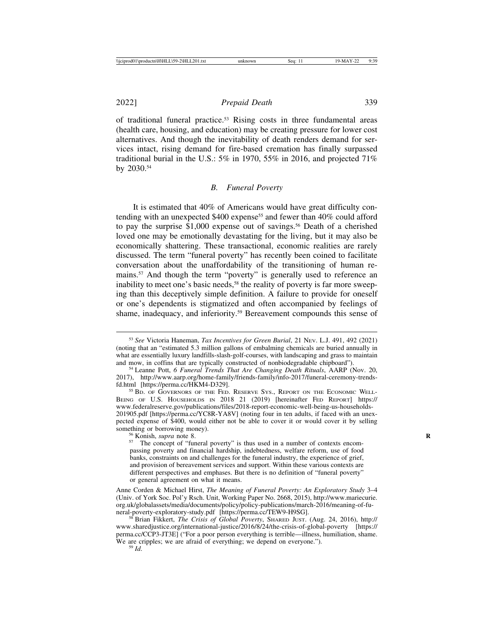of traditional funeral practice.53 Rising costs in three fundamental areas (health care, housing, and education) may be creating pressure for lower cost alternatives. And though the inevitability of death renders demand for services intact, rising demand for fire-based cremation has finally surpassed traditional burial in the U.S.:  $5\%$  in 1970,  $55\%$  in 2016, and projected  $71\%$ by 2030.54

#### *B. Funeral Poverty*

It is estimated that 40% of Americans would have great difficulty contending with an unexpected  $$400$  expense<sup>55</sup> and fewer than  $40\%$  could afford to pay the surprise  $$1,000$  expense out of savings.<sup>56</sup> Death of a cherished loved one may be emotionally devastating for the living, but it may also be economically shattering. These transactional, economic realities are rarely discussed. The term "funeral poverty" has recently been coined to facilitate conversation about the unaffordability of the transitioning of human remains.57 And though the term "poverty" is generally used to reference an inability to meet one's basic needs,<sup>58</sup> the reality of poverty is far more sweeping than this deceptively simple definition. A failure to provide for oneself or one's dependents is stigmatized and often accompanied by feelings of shame, inadequacy, and inferiority.59 Bereavement compounds this sense of

<sup>53</sup> *See* Victoria Haneman, *Tax Incentives for Green Burial*, 21 NEV. L.J. 491, 492 (2021) (noting that an "estimated 5.3 million gallons of embalming chemicals are buried annually in what are essentially luxury landfills-slash-golf-courses, with landscaping and grass to maintain and mow, in coffins that are typically constructed of nonbiodegradable chipboard").

<sup>&</sup>lt;sup>54</sup> Leanne Pott, *6 Funeral Trends That Are Changing Death Rituals*, AARP (Nov. 20, 2017), http://www.aarp.org/home-family/friends-family/info-2017/funeral-ceremony-trends-

<sup>&</sup>lt;sup>55</sup> BD. OF GOVERNORS OF THE FED. RESERVE SYS., REPORT ON THE ECONOMIC WELL-BEING OF U.S. HOUSEHOLDS IN 2018 21 (2019) [hereinafter FED REPORT] https:// www.federalreserve.gov/publications/files/2018-report-economic-well-being-us-households-201905.pdf [https://perma.cc/YC8R-YA8V] (noting four in ten adults, if faced with an unexpected expense of \$400, would either not be able to cover it or would cover it by selling something or borrowing money).<br><sup>56</sup> Konish, *supra* note 8.<br><sup>57</sup> The concept of "funeral poverty" is thus used in a number of contexts encom-

passing poverty and financial hardship, indebtedness, welfare reform, use of food banks, constraints on and challenges for the funeral industry, the experience of grief, and provision of bereavement services and support. Within these various contexts are different perspectives and emphases. But there is no definition of "funeral poverty" or general agreement on what it means.

Anne Corden & Michael Hirst, *The Meaning of Funeral Poverty: An Exploratory Study* 3–4 (Univ. of York Soc. Pol'y Rsch. Unit, Working Paper No. 2668, 2015), http://www.mariecurie. org.uk/globalassets/media/documents/policy/policy-publications/march-2016/meaning-of-fu-

<sup>&</sup>lt;sup>58</sup> Brian Fikkert, *The Crisis of Global Poverty*, SHARED JUST. (Aug. 24, 2016), http:// www.sharedjustice.org/international-justice/2016/8/24/the-crisis-of-global-poverty [https:// perma.cc/CCP3-JT3E] ("For a poor person everything is terrible—illness, humiliation, shame. We are cripples; we are afraid of everything; we depend on everyone."). <sup>59</sup> *Id*.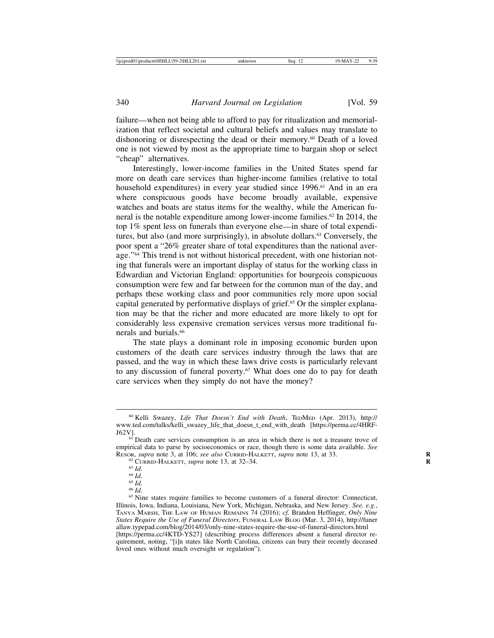failure—when not being able to afford to pay for ritualization and memorialization that reflect societal and cultural beliefs and values may translate to dishonoring or disrespecting the dead or their memory.60 Death of a loved one is not viewed by most as the appropriate time to bargain shop or select "cheap" alternatives.

Interestingly, lower-income families in the United States spend far more on death care services than higher-income families (relative to total household expenditures) in every year studied since 1996.<sup>61</sup> And in an era where conspicuous goods have become broadly available, expensive watches and boats are status items for the wealthy, while the American funeral is the notable expenditure among lower-income families.<sup>62</sup> In 2014, the top 1% spent less on funerals than everyone else—in share of total expenditures, but also (and more surprisingly), in absolute dollars.<sup>63</sup> Conversely, the poor spent a "26% greater share of total expenditures than the national average."<sup>64</sup> This trend is not without historical precedent, with one historian noting that funerals were an important display of status for the working class in Edwardian and Victorian England: opportunities for bourgeois conspicuous consumption were few and far between for the common man of the day, and perhaps these working class and poor communities rely more upon social capital generated by performative displays of grief.65 Or the simpler explanation may be that the richer and more educated are more likely to opt for considerably less expensive cremation services versus more traditional funerals and burials.66

The state plays a dominant role in imposing economic burden upon customers of the death care services industry through the laws that are passed, and the way in which these laws drive costs is particularly relevant to any discussion of funeral poverty.<sup>67</sup> What does one do to pay for death care services when they simply do not have the money?

<sup>60</sup> Kelli Swazey, *Life That Doesn't End with Death*, TEDMED (Apr. 2013), http:// www.ted.com/talks/kelli\_swazey\_life\_that\_doesn\_t\_end\_with\_death [https://perma.cc/4HRF- $J62V$ ].<br><sup>61</sup> Death care services consumption is an area in which there is not a treasure trove of

empirical data to parse by socioeconomics or race, though there is some data available. *See* RESOR, *supra* note 3, at 106; *see also* CURRID-HALKETT, *supra* note 13, at 33.

<sup>&</sup>lt;sup>62</sup> CURRID-HALKETT, *supra* note 13, at 32–34.<br><sup>63</sup> Id.<br><sup>64</sup> Id.<br><sup>65</sup> Id.<br><sup>66</sup> Id.<br><sup>66</sup> Id.<br><sup>67</sup> Nine states require families to become customers of a funeral director: Connecticut, Illinois, Iowa, Indiana, Louisiana, New York, Michigan, Nebraska, and New Jersey. *See, e.g.*, TANYA MARSH, THE LAW OF HUMAN REMAINS 74 (2016); *cf.* Brandon Heffinger, *Only Nine States Require the Use of Funeral Directors*, FUNERAL LAW BLOG (Mar. 3, 2014), http://funer allaw.typepad.com/blog/2014/03/only-nine-states-require-the-use-of-funeral-directors.html [https://perma.cc/4KTD-YS27] (describing process differences absent a funeral director requirement, noting, "[i]n states like North Carolina, citizens can bury their recently deceased loved ones without much oversight or regulation").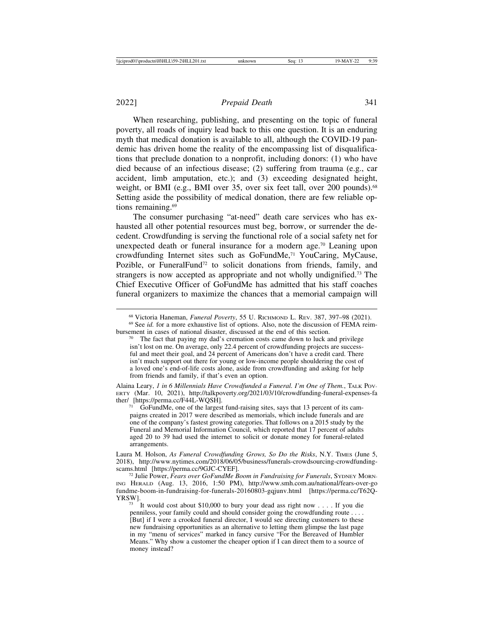When researching, publishing, and presenting on the topic of funeral poverty, all roads of inquiry lead back to this one question. It is an enduring myth that medical donation is available to all, although the COVID-19 pandemic has driven home the reality of the encompassing list of disqualifications that preclude donation to a nonprofit, including donors: (1) who have died because of an infectious disease; (2) suffering from trauma (e.g., car accident, limb amputation, etc.); and (3) exceeding designated height, weight, or BMI (e.g., BMI over 35, over six feet tall, over 200 pounds).<sup>68</sup> Setting aside the possibility of medical donation, there are few reliable options remaining.<sup>69</sup>

The consumer purchasing "at-need" death care services who has exhausted all other potential resources must beg, borrow, or surrender the decedent. Crowdfunding is serving the functional role of a social safety net for unexpected death or funeral insurance for a modern age.<sup>70</sup> Leaning upon crowdfunding Internet sites such as GoFundMe,71 YouCaring, MyCause, Pozible, or FuneralFund<sup>72</sup> to solicit donations from friends, family, and strangers is now accepted as appropriate and not wholly undignified.73 The Chief Executive Officer of GoFundMe has admitted that his staff coaches funeral organizers to maximize the chances that a memorial campaign will

Alaina Leary, *1 in 6 Millennials Have Crowdfunded a Funeral. I'm One of Them.*, TALK POV-ERTY (Mar. 10, 2021), http://talkpoverty.org/2021/03/10/crowdfunding-funeral-expenses-fa

GoFundMe, one of the largest fund-raising sites, says that 13 percent of its campaigns created in 2017 were described as memorials, which include funerals and are one of the company's fastest growing categories. That follows on a 2015 study by the Funeral and Memorial Information Council, which reported that 17 percent of adults aged 20 to 39 had used the internet to solicit or donate money for funeral-related arrangements.

Laura M. Holson, *As Funeral Crowdfunding Grows, So Do the Risks*, N.Y. TIMES (June 5, 2018), http://www.nytimes.com/2018/06/05/business/funerals-crowdsourcing-crowdfunding-<br>scams.html [https://perma.cc/9GJC-CYEF].

<sup>72</sup> Julie Power, *Fears over GoFundMe Boom in Fundraising for Funerals*, SYDNEY MORN-ING HERALD (Aug. 13, 2016, 1:50 PM), http://www.smh.com.au/national/fears-over-go fundme-boom-in-fundraising-for-funerals-20160803-gqjunv.html [https://perma.cc/T62Q-

YRSW].<br><sup>73</sup> It would cost about \$10,000 to bury your dead ass right now . . . . If you die penniless, your family could and should consider going the crowdfunding route . . . . [But] if I were a crooked funeral director, I would see directing customers to these new fundraising opportunities as an alternative to letting them glimpse the last page in my "menu of services" marked in fancy cursive "For the Bereaved of Humbler Means." Why show a customer the cheaper option if I can direct them to a source of money instead?

<sup>&</sup>lt;sup>68</sup> Victoria Haneman, *Funeral Poverty*, 55 U. RICHMOND L. REV. 387, 397–98 (2021).<br><sup>69</sup> See *id.* for a more exhaustive list of options. Also, note the discussion of FEMA reim-<br>bursement in cases of national disaster, di

 $\frac{1}{20}$  The fact that paying my dad's cremation costs came down to luck and privilege isn't lost on me. On average, only 22.4 percent of crowdfunding projects are successful and meet their goal, and 24 percent of Americans don't have a credit card. There isn't much support out there for young or low-income people shouldering the cost of a loved one's end-of-life costs alone, aside from crowdfunding and asking for help from friends and family, if that's even an option.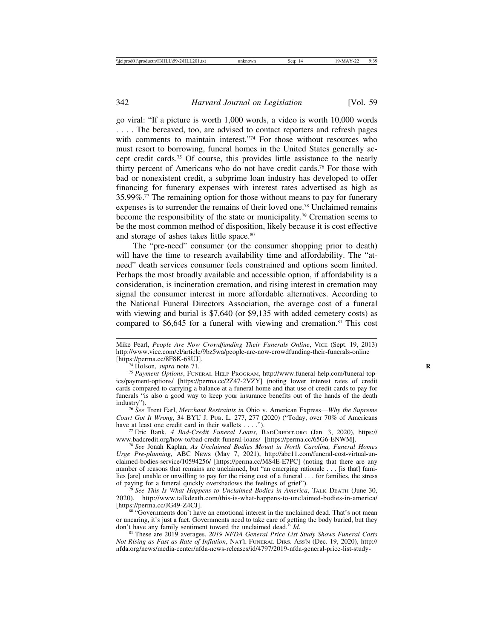go viral: "If a picture is worth 1,000 words, a video is worth 10,000 words . . . . The bereaved, too, are advised to contact reporters and refresh pages with comments to maintain interest."<sup>74</sup> For those without resources who must resort to borrowing, funeral homes in the United States generally accept credit cards.75 Of course, this provides little assistance to the nearly thirty percent of Americans who do not have credit cards.76 For those with bad or nonexistent credit, a subprime loan industry has developed to offer financing for funerary expenses with interest rates advertised as high as 35.99%.77 The remaining option for those without means to pay for funerary expenses is to surrender the remains of their loved one.<sup>78</sup> Unclaimed remains become the responsibility of the state or municipality.79 Cremation seems to be the most common method of disposition, likely because it is cost effective and storage of ashes takes little space.<sup>80</sup>

The "pre-need" consumer (or the consumer shopping prior to death) will have the time to research availability time and affordability. The "atneed" death services consumer feels constrained and options seem limited. Perhaps the most broadly available and accessible option, if affordability is a consideration, is incineration cremation, and rising interest in cremation may signal the consumer interest in more affordable alternatives. According to the National Funeral Directors Association, the average cost of a funeral with viewing and burial is \$7,640 (or \$9,135 with added cemetery costs) as compared to  $$6,645$  for a funeral with viewing and cremation.<sup>81</sup> This cost

<sup>74</sup> Holson, *supra* note 71.<br><sup>75</sup> Payment Options, FUNERAL HELP PROGRAM, http://www.funeral-help.com/funeral-topics/payment-options/ [https://perma.cc/2Z47-2VZY] (noting lower interest rates of credit cards compared to carrying a balance at a funeral home and that use of credit cards to pay for funerals "is also a good way to keep your insurance benefits out of the hands of the death industry").

<sup>76</sup> See Trent Earl, *Merchant Restraints in Ohio v. American Express—Why the Supreme Court Got It Wrong*, 34 BYU J. Pub. L. 277, 277 (2020) ("Today, over 70% of Americans have at least one credit card in their wallets . . . .").

<sup>77</sup> Eric Bank, *4 Bad-Credit Funeral Loans*, BADCREDIT.ORG (Jan. 3, 2020), https://<br>www.badcredit.org/how-to/bad-credit-funeral-loans/ [https://perma.cc/65G6-ENWM].

<sup>78</sup> See Jonah Kaplan, As Unclaimed Bodies Mount in North Carolina, Funeral Homes *Urge Pre-planning*, ABC NEWS (May 7, 2021), http://abc11.com/funeral-cost-virtual-unclaimed-bodies-service/10594256/ [https://perma.cc/MS4E-E7PC] (noting that there are any number of reasons that remains are unclaimed, but "an emerging rationale . . . [is that] families [are] unable or unwilling to pay for the rising cost of a funeral . . . for families, the stress of paying for a funeral quickly overshadows the feelings of grief").

<sup>79</sup> See This Is What Happens to Unclaimed Bodies in America, TALK DEATH (June 30, 2020), http://www.talkdeath.com/this-is-what-happens-to-unclaimed-bodies-in-america/

<sup>80</sup> "Governments don't have an emotional interest in the unclaimed dead. That's not mean or uncaring, it's just a fact. Governments need to take care of getting the body buried, but they don't have any family sentiment toward the unclaimed dead."  $Id$ .

<sup>81</sup> These are 2019 averages. *2019 NFDA General Price List Study Shows Funeral Costs Not Rising as Fast as Rate of Inflation*, NAT'L FUNERAL DIRS. ASS'N (Dec. 19, 2020), http:// nfda.org/news/media-center/nfda-news-releases/id/4797/2019-nfda-general-price-list-study-

Mike Pearl, *People Are Now Crowdfunding Their Funerals Online*, VICE (Sept. 19, 2013) http://www.vice.com/el/article/9bz5wa/people-are-now-crowdfunding-their-funerals-online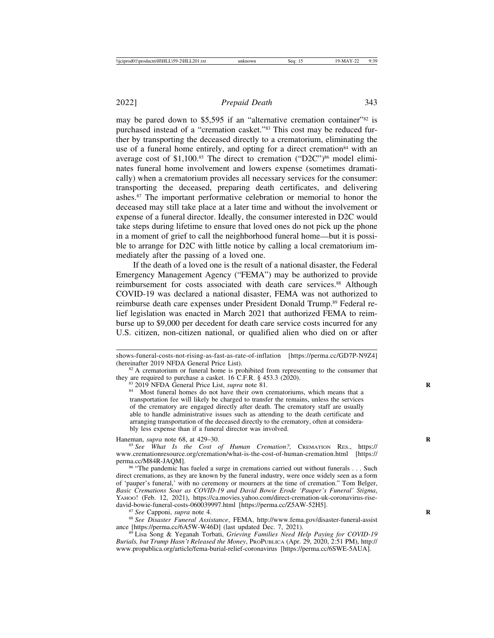may be pared down to \$5,595 if an "alternative cremation container"<sup>82</sup> is purchased instead of a "cremation casket."83 This cost may be reduced further by transporting the deceased directly to a crematorium, eliminating the use of a funeral home entirely, and opting for a direct cremation<sup>84</sup> with an average cost of  $$1,100$ .<sup>85</sup> The direct to cremation ("D2C")<sup>86</sup> model eliminates funeral home involvement and lowers expense (sometimes dramatically) when a crematorium provides all necessary services for the consumer: transporting the deceased, preparing death certificates, and delivering ashes.87 The important performative celebration or memorial to honor the deceased may still take place at a later time and without the involvement or expense of a funeral director. Ideally, the consumer interested in D2C would take steps during lifetime to ensure that loved ones do not pick up the phone in a moment of grief to call the neighborhood funeral home—but it is possible to arrange for D2C with little notice by calling a local crematorium immediately after the passing of a loved one.

If the death of a loved one is the result of a national disaster, the Federal Emergency Management Agency ("FEMA") may be authorized to provide reimbursement for costs associated with death care services.<sup>88</sup> Although COVID-19 was declared a national disaster, FEMA was not authorized to reimburse death care expenses under President Donald Trump.<sup>89</sup> Federal relief legislation was enacted in March 2021 that authorized FEMA to reimburse up to \$9,000 per decedent for death care service costs incurred for any U.S. citizen, non-citizen national, or qualified alien who died on or after

shows-funeral-costs-not-rising-as-fast-as-rate-of-inflation [https://perma.cc/GD7P-N9Z4]<br>(hereinafter 2019 NFDA General Price List).

<sup>&</sup>lt;sup>82</sup> A crematorium or funeral home is prohibited from representing to the consumer that they are required to purchase a casket. 16 C.F.R.  $\S$  453.3 (2020).

<sup>&</sup>lt;sup>83</sup> 2019 NFDA General Price List, *supra* note 81.<br><sup>84</sup> Most funeral homes do not have their own crematoriums, which means that a transportation fee will likely be charged to transfer the remains, unless the services of the crematory are engaged directly after death. The crematory staff are usually able to handle administrative issues such as attending to the death certificate and arranging transportation of the deceased directly to the crematory, often at considerably less expense than if a funeral director was involved.

Haneman, *supra* note 68, at 429–30.<br><sup>85</sup> *See What Is the Cost of Human Cremation?*, CREMATION RES., https:// www.cremationresource.org/cremation/what-is-the-cost-of-human-cremation.html [https:// perma.cc/M84R-JAQM].<br><sup>86</sup> "The pandemic has fueled a surge in cremations carried out without funerals . . . Such

direct cremations, as they are known by the funeral industry, were once widely seen as a form of 'pauper's funeral,' with no ceremony or mourners at the time of cremation." Tom Belger, *Basic Cremations Soar as COVID-19 and David Bowie Erode 'Pauper's Funeral' Stigma*, YAHOO! (Feb. 12, 2021), https://ca.movies.yahoo.com/direct-cremation-uk-coronavirus-rise-<br>david-bowie-funeral-costs-060039997.html [https://perma.cc/Z5AW-52H5].

<sup>&</sup>lt;sup>87</sup> See Capponi, *supra* note 4.<br><sup>88</sup> See Disaster Funeral Assistance, FEMA, http://www.fema.gov/disaster-funeral-assist<br>ance [https://perma.cc/6A5W-W46D] (last updated Dec. 7, 2021).

<sup>&</sup>lt;sup>89</sup> Lisa Song & Yeganah Torbati, *Grieving Families Need Help Paying for COVID-19 Burials, but Trump Hasn't Released the Money*, PROPUBLICA (Apr. 29, 2020, 2:51 PM), http:// www.propublica.org/article/fema-burial-relief-coronavirus [https://perma.cc/6SWE-5AUA].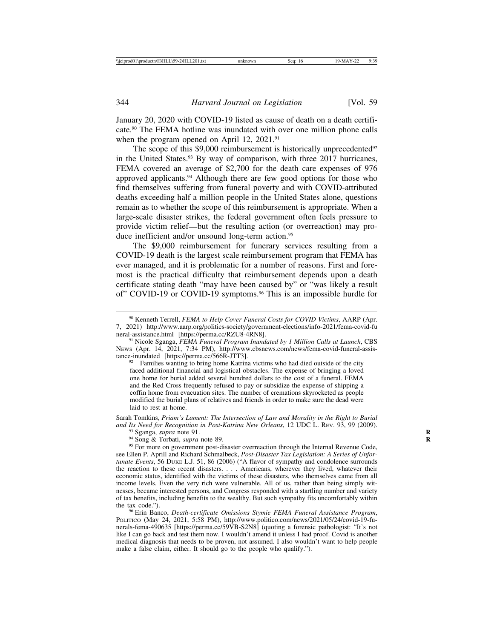January 20, 2020 with COVID-19 listed as cause of death on a death certificate.90 The FEMA hotline was inundated with over one million phone calls when the program opened on April 12, 2021.<sup>91</sup>

The scope of this  $$9,000$  reimbursement is historically unprecedented $92$ in the United States.93 By way of comparison, with three 2017 hurricanes, FEMA covered an average of \$2,700 for the death care expenses of 976 approved applicants.94 Although there are few good options for those who find themselves suffering from funeral poverty and with COVID-attributed deaths exceeding half a million people in the United States alone, questions remain as to whether the scope of this reimbursement is appropriate. When a large-scale disaster strikes, the federal government often feels pressure to provide victim relief—but the resulting action (or overreaction) may produce inefficient and/or unsound long-term action.<sup>95</sup>

The \$9,000 reimbursement for funerary services resulting from a COVID-19 death is the largest scale reimbursement program that FEMA has ever managed, and it is problematic for a number of reasons. First and foremost is the practical difficulty that reimbursement depends upon a death certificate stating death "may have been caused by" or "was likely a result of" COVID-19 or COVID-19 symptoms.<sup>96</sup> This is an impossible hurdle for

<sup>92</sup> Families wanting to bring home Katrina victims who had died outside of the city faced additional financial and logistical obstacles. The expense of bringing a loved one home for burial added several hundred dollars to the cost of a funeral. FEMA and the Red Cross frequently refused to pay or subsidize the expense of shipping a coffin home from evacuation sites. The number of cremations skyrocketed as people modified the burial plans of relatives and friends in order to make sure the dead were laid to rest at home.

Sarah Tomkins, *Priam's Lament: The Intersection of Law and Morality in the Right to Burial*

<sup>93</sup> Sganga, *supra* note 91.<br><sup>94</sup> Song & Torbati, *supra* note 89.<br><sup>95</sup> For more on government post-disaster overreaction through the Internal Revenue Code, see Ellen P. Aprill and Richard Schmalbeck, *Post-Disaster Tax Legislation: A Series of Unfortunate Events*, 56 DUKE L.J. 51, 86 (2006) ("A flavor of sympathy and condolence surrounds the reaction to these recent disasters. . . . Americans, wherever they lived, whatever their economic status, identified with the victims of these disasters, who themselves came from all income levels. Even the very rich were vulnerable. All of us, rather than being simply witnesses, became interested persons, and Congress responded with a startling number and variety of tax benefits, including benefits to the wealthy. But such sympathy fits uncomfortably within

<sup>96</sup> Erin Banco, *Death-certificate Omissions Stymie FEMA Funeral Assistance Program*, POLITICO (May 24, 2021, 5:58 PM), http://www.politico.com/news/2021/05/24/covid-19-funerals-fema-490635 [https://perma.cc/59VB-S2N8] (quoting a forensic pathologist: "It's not like I can go back and test them now. I wouldn't amend it unless I had proof. Covid is another medical diagnosis that needs to be proven, not assumed. I also wouldn't want to help people make a false claim, either. It should go to the people who qualify.").

<sup>90</sup> Kenneth Terrell, *FEMA to Help Cover Funeral Costs for COVID Victims*, AARP (Apr. 7, 2021) http://www.aarp.org/politics-society/government-elections/info-2021/fema-covid-fu

<sup>&</sup>lt;sup>91</sup> Nicole Sganga, *FEMA Funeral Program Inundated by 1 Million Calls at Launch*, CBS News (Apr. 14, 2021, 7:34 PM), http://www.cbsnews.com/news/fema-covid-funeral-assis-<br>tance-inundated [https://perma.cc/566R-JTT3].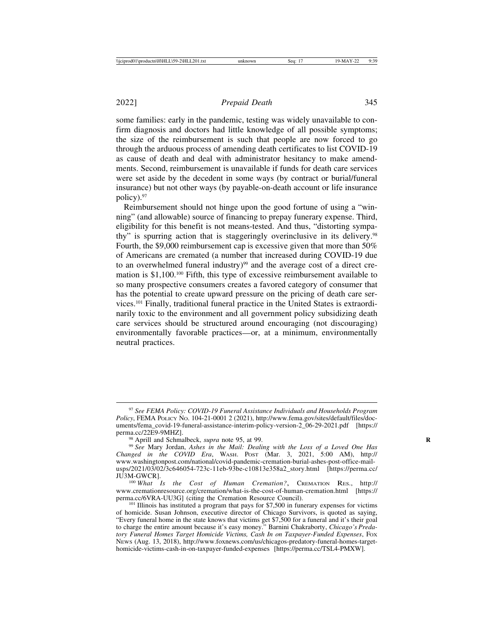some families: early in the pandemic, testing was widely unavailable to confirm diagnosis and doctors had little knowledge of all possible symptoms; the size of the reimbursement is such that people are now forced to go through the arduous process of amending death certificates to list COVID-19 as cause of death and deal with administrator hesitancy to make amendments. Second, reimbursement is unavailable if funds for death care services were set aside by the decedent in some ways (by contract or burial/funeral insurance) but not other ways (by payable-on-death account or life insurance policy).97

 Reimbursement should not hinge upon the good fortune of using a "winning" (and allowable) source of financing to prepay funerary expense. Third, eligibility for this benefit is not means-tested. And thus, "distorting sympathy" is spurring action that is staggeringly overinclusive in its delivery.98 Fourth, the \$9,000 reimbursement cap is excessive given that more than 50% of Americans are cremated (a number that increased during COVID-19 due to an overwhelmed funeral industry)<sup>99</sup> and the average cost of a direct cremation is  $$1,100$ <sup>100</sup> Fifth, this type of excessive reimbursement available to so many prospective consumers creates a favored category of consumer that has the potential to create upward pressure on the pricing of death care services.101 Finally, traditional funeral practice in the United States is extraordinarily toxic to the environment and all government policy subsidizing death care services should be structured around encouraging (not discouraging) environmentally favorable practices—or, at a minimum, environmentally neutral practices.

<sup>97</sup> *See FEMA Policy: COVID-19 Funeral Assistance Individuals and Households Program Policy*, FEMA POLICY NO. 104-21-0001 2 (2021), http://www.fema.gov/sites/default/files/documents/fema\_covid-19-funeral-assistance-interim-policy-version-2\_06-29-2021.pdf [https:// perma.cc/22E9-9MHZ].<br><sup>98</sup> Aprill and Schmalbeck, *supra* note 95, at 99.<br><sup>99</sup> See Mary Jordan, *Ashes in the Mail: Dealing with the Loss of a Loved One Has* 

*Changed in the COVID Era*, WASH. POST (Mar. 3, 2021, 5:00 AM), http:// www.washingtonpost.com/national/covid-pandemic-cremation-burial-ashes-post-office-mailusps/2021/03/02/3c646054-723c-11eb-93be-c10813e358a2\_story.html [https://perma.cc/ JU3M-GWCR]. <sup>100</sup> *What Is the Cost of Human Cremation?*, CREMATION RES., http://

www.cremationresource.org/cremation/what-is-the-cost-of-human-cremation.html [https:// perma.cc/6VRA-UU3G] (citing the Cremation Resource Council).<br><sup>101</sup> Illinois has instituted a program that pays for \$7,500 in funerary expenses for victims

of homicide. Susan Johnson, executive director of Chicago Survivors, is quoted as saying, "Every funeral home in the state knows that victims get \$7,500 for a funeral and it's their goal to charge the entire amount because it's easy money." Barnini Chakraborty, *Chicago's Predatory Funeral Homes Target Homicide Victims, Cash In on Taxpayer-Funded Expenses*, FOX NEWS (Aug. 13, 2018), http://www.foxnews.com/us/chicagos-predatory-funeral-homes-targethomicide-victims-cash-in-on-taxpayer-funded-expenses [https://perma.cc/TSL4-PMXW].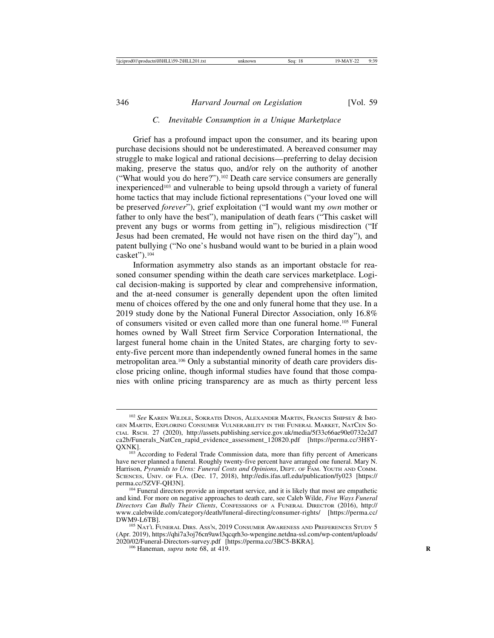#### *C. Inevitable Consumption in a Unique Marketplace*

Grief has a profound impact upon the consumer, and its bearing upon purchase decisions should not be underestimated. A bereaved consumer may struggle to make logical and rational decisions—preferring to delay decision making, preserve the status quo, and/or rely on the authority of another ("What would you do here?").102 Death care service consumers are generally inexperienced103 and vulnerable to being upsold through a variety of funeral home tactics that may include fictional representations ("your loved one will be preserved *forever*"), grief exploitation ("I would want my *own* mother or father to only have the best"), manipulation of death fears ("This casket will prevent any bugs or worms from getting in"), religious misdirection ("If Jesus had been cremated, He would not have risen on the third day"), and patent bullying ("No one's husband would want to be buried in a plain wood casket").104

Information asymmetry also stands as an important obstacle for reasoned consumer spending within the death care services marketplace. Logical decision-making is supported by clear and comprehensive information, and the at-need consumer is generally dependent upon the often limited menu of choices offered by the one and only funeral home that they use. In a 2019 study done by the National Funeral Director Association, only 16.8% of consumers visited or even called more than one funeral home.105 Funeral homes owned by Wall Street firm Service Corporation International, the largest funeral home chain in the United States, are charging forty to seventy-five percent more than independently owned funeral homes in the same metropolitan area.106 Only a substantial minority of death care providers disclose pricing online, though informal studies have found that those companies with online pricing transparency are as much as thirty percent less

<sup>102</sup> *See* KAREN WILDLE, SOKRATIS DINOS, ALEXANDER MARTIN, FRANCES SHIPSEY & IMO-GEN MARTIN, EXPLORING CONSUMER VULNERABILITY IN THE FUNERAL MARKET, NATCEN SO-CIAL RSCH. 27 (2020), http://assets.publishing.service.gov.uk/media/5f33c66ae90e0732e2d7 ca2b/Funerals\_NatCen\_rapid\_evidence\_assessment\_120820.pdf [https://perma.cc/3H8Y-QXNK]. <sup>103</sup> According to Federal Trade Commission data, more than fifty percent of Americans

have never planned a funeral. Roughly twenty-five percent have arranged one funeral. Mary N. Harrison, *Pyramids to Urns: Funeral Costs and Opinions*, DEPT. OF FAM. YOUTH AND COMM. SCIENCES, UNIV. OF FLA. (Dec. 17, 2018), http://edis.ifas.ufl.edu/publication/fy023 [https:// perma.cc/5ZVF-QH3N]. <sup>104</sup> Funeral directors provide an important service, and it is likely that most are empathetic

and kind. For more on negative approaches to death care, see Caleb Wilde, *Five Ways Funeral Directors Can Bully Their Clients*, CONFESSIONS OF A FUNERAL DIRECTOR (2016), http:// www.calebwilde.com/category/death/funeral-directing/consumer-rights/ [https://perma.cc/

 $^{105}$  Nat'l Funeral Dirs. Ass'n, 2019 Consumer Awareness and Preferences Study 5 (Apr. 2019), https://qhi7a3oj76cn9awl3qcqrh3o-wpengine.netdna-ssl.com/wp-content/uploads/ 2020/02/Funeral-Directors-survey.pdf [https://perma.cc/3BC5-BKRA]. <sup>106</sup> Haneman, *supra* note 68, at 419. **<sup>R</sup>**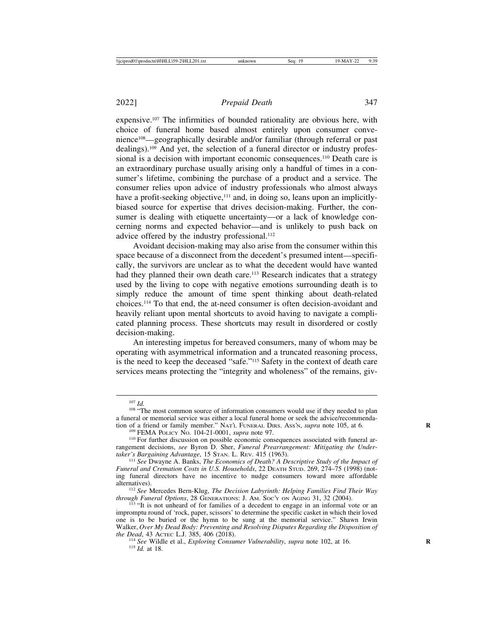expensive.107 The infirmities of bounded rationality are obvious here, with choice of funeral home based almost entirely upon consumer convenience108—geographically desirable and/or familiar (through referral or past dealings).109 And yet, the selection of a funeral director or industry professional is a decision with important economic consequences.<sup>110</sup> Death care is an extraordinary purchase usually arising only a handful of times in a consumer's lifetime, combining the purchase of a product and a service. The consumer relies upon advice of industry professionals who almost always have a profit-seeking objective,<sup>111</sup> and, in doing so, leans upon an implicitlybiased source for expertise that drives decision-making. Further, the consumer is dealing with etiquette uncertainty—or a lack of knowledge concerning norms and expected behavior—and is unlikely to push back on advice offered by the industry professional.<sup>112</sup>

Avoidant decision-making may also arise from the consumer within this space because of a disconnect from the decedent's presumed intent—specifically, the survivors are unclear as to what the decedent would have wanted had they planned their own death care.<sup>113</sup> Research indicates that a strategy used by the living to cope with negative emotions surrounding death is to simply reduce the amount of time spent thinking about death-related choices.114 To that end, the at-need consumer is often decision-avoidant and heavily reliant upon mental shortcuts to avoid having to navigate a complicated planning process. These shortcuts may result in disordered or costly decision-making.

An interesting impetus for bereaved consumers, many of whom may be operating with asymmetrical information and a truncated reasoning process, is the need to keep the deceased "safe."115 Safety in the context of death care services means protecting the "integrity and wholeness" of the remains, giv-

<sup>&</sup>lt;sup>107</sup> *Id.* <sup>108</sup> *Id.* 108 \* The most common source of information consumers would use if they needed to plan a funeral or memorial service was either a local funeral home or seek the advice/recommenda-<br>tion of a friend or family member." NATL FUNERAL DIRS. Ass'N, *supra* note 105, at 6.

<sup>&</sup>lt;sup>109</sup> FEMA POLICY No. 104-21-0001, *supra* note 97.<br><sup>110</sup> For further discussion on possible economic consequences associated with funeral arrangement decisions, *see* Byron D. Sher, *Funeral Prearrangement: Mitigating the Undertaker's Bargaining Advantage*, 15 STAN. L. REV. 415 (1963).<br><sup>111</sup> *See Dwayne A. Banks, The Economics of Death? A Descriptive Study of the Impact of* 

*Funeral and Cremation Costs in U.S. Households*, 22 DEATH STUD. 269, 274–75 (1998) (noting funeral directors have no incentive to nudge consumers toward more affordable

alternatives).<br><sup>112</sup> *See* Mercedes Bern-Klug, *The Decision Labyrinth: Helping Families Find Their Way*<br>*through Funeral Options*, 28 GENERATIONS: J. AM. Soc'y on AGING 31, 32 (2004).

<sup>&</sup>lt;sup>113</sup> "It is not unheard of for families of a decedent to engage in an informal vote or an impromptu round of 'rock, paper, scissors' to determine the specific casket in which their loved one is to be buried or the hymn to be sung at the memorial service." Shawn Irwin Walker, *Over My Dead Body: Preventing and Resolving Disputes Regarding the Disposition of*

<sup>&</sup>lt;sup>114</sup> See Wildle et al., *Exploring Consumer Vulnerability*, *supra* note 102, at 16. <sup>115</sup> *Id.* at 18.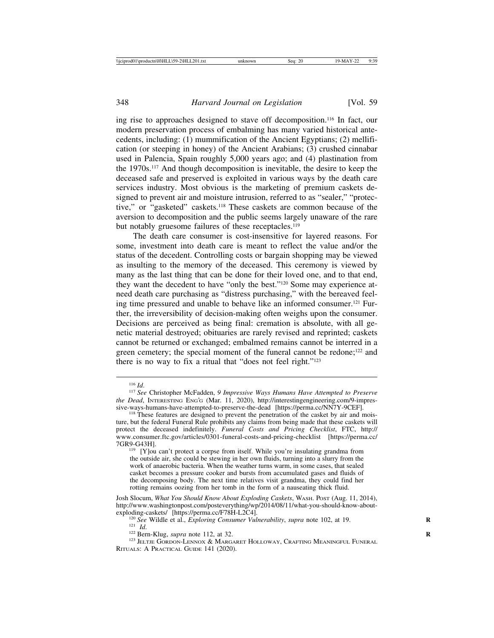ing rise to approaches designed to stave off decomposition.116 In fact, our modern preservation process of embalming has many varied historical antecedents, including: (1) mummification of the Ancient Egyptians; (2) mellification (or steeping in honey) of the Ancient Arabians; (3) crushed cinnabar used in Palencia, Spain roughly 5,000 years ago; and (4) plastination from the 1970s.117 And though decomposition is inevitable, the desire to keep the deceased safe and preserved is exploited in various ways by the death care services industry. Most obvious is the marketing of premium caskets designed to prevent air and moisture intrusion, referred to as "sealer," "protective," or "gasketed" caskets.118 These caskets are common because of the aversion to decomposition and the public seems largely unaware of the rare but notably gruesome failures of these receptacles.<sup>119</sup>

The death care consumer is cost-insensitive for layered reasons. For some, investment into death care is meant to reflect the value and/or the status of the decedent. Controlling costs or bargain shopping may be viewed as insulting to the memory of the deceased. This ceremony is viewed by many as the last thing that can be done for their loved one, and to that end, they want the decedent to have "only the best."120 Some may experience atneed death care purchasing as "distress purchasing," with the bereaved feeling time pressured and unable to behave like an informed consumer.121 Further, the irreversibility of decision-making often weighs upon the consumer. Decisions are perceived as being final: cremation is absolute, with all genetic material destroyed; obituaries are rarely revised and reprinted; caskets cannot be returned or exchanged; embalmed remains cannot be interred in a green cemetery; the special moment of the funeral cannot be redone;<sup>122</sup> and there is no way to fix a ritual that "does not feel right."123

<sup>116</sup> *Id*. <sup>117</sup> *See* Christopher McFadden, *9 Impressive Ways Humans Have Attempted to Preserve the Dead*, INTERESTING ENG'G (Mar. 11, 2020), http://interestingengineering.com/9-impressive-wavs-humans-have-attempted-to-preserve-the-dead [https://perma.cc/NN7Y-9CEF].

<sup>&</sup>lt;sup>118</sup> These features are designed to prevent the penetration of the casket by air and moisture, but the federal Funeral Rule prohibits any claims from being made that these caskets will protect the deceased indefinitely. *Funeral Costs and Pricing Checklist*, FTC, http:// www.consumer.ftc.gov/articles/0301-funeral-costs-and-pricing-checklist [https://perma.cc/

<sup>&</sup>lt;sup>119</sup> [Y]ou can't protect a corpse from itself. While you're insulating grandma from the outside air, she could be stewing in her own fluids, turning into a slurry from the work of anaerobic bacteria. When the weather turns warm, in some cases, that sealed casket becomes a pressure cooker and bursts from accumulated gases and fluids of the decomposing body. The next time relatives visit grandma, they could find her rotting remains oozing from her tomb in the form of a nauseating thick fluid.

Josh Slocum, *What You Should Know About Exploding Caskets*, WASH. POST (Aug. 11, 2014), http://www.washingtonpost.com/posteverything/wp/2014/08/11/what-you-should-know-about-<br>exploding-caskets/ [https://perma.cc/F78H-L2C4].

<sup>&</sup>lt;sup>120</sup> See Wildle et al., *Exploring Consumer Vulnerability*, *supra* note 102, at 19.<br><sup>121</sup> *Id.*<br><sup>122</sup> Bern-Klug, *supra* note 112, at 32.<br><sup>123</sup> JELTJE GORDON-LENNOX & MARGARET HOLLOWAY, CRAFTING MEANINGFUL FUNERAL

RITUALS: A PRACTICAL GUIDE 141 (2020).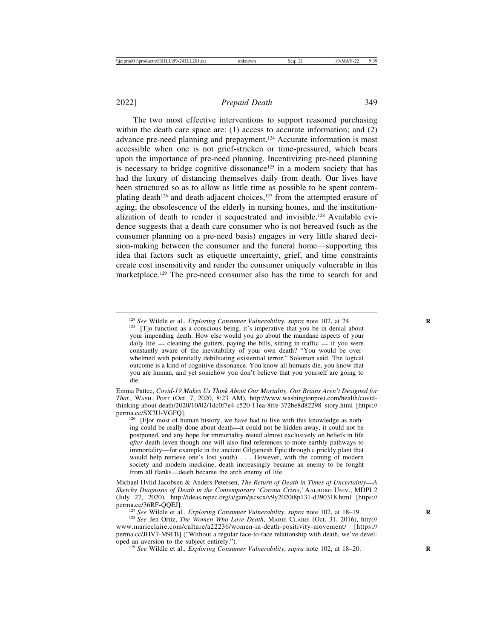The two most effective interventions to support reasoned purchasing within the death care space are: (1) access to accurate information; and (2) advance pre-need planning and prepayment.124 Accurate information is most accessible when one is not grief-stricken or time-pressured, which bears upon the importance of pre-need planning. Incentivizing pre-need planning is necessary to bridge cognitive dissonance<sup>125</sup> in a modern society that has had the luxury of distancing themselves daily from death. Our lives have been structured so as to allow as little time as possible to be spent contemplating death<sup>126</sup> and death-adjacent choices,<sup>127</sup> from the attempted erasure of aging, the obsolescence of the elderly in nursing homes, and the institutionalization of death to render it sequestrated and invisible.128 Available evidence suggests that a death care consumer who is not bereaved (such as the consumer planning on a pre-need basis) engages in very little shared decision-making between the consumer and the funeral home—supporting this idea that factors such as etiquette uncertainty, grief, and time constraints create cost insensitivity and render the consumer uniquely vulnerable in this marketplace.<sup>129</sup> The pre-need consumer also has the time to search for and

Emma Pattee, *Covid-19 Makes Us Think About Our Mortality. Our Brains Aren't Designed for That.*, WASH. POST (Oct. 7, 2020, 8:23 AM), http://www.washingtonpost.com/health/covidthinking-about-death/2020/10/02/1dc0f7e4-c520-11ea-8ffe-372be8d82298\_story.html [https://<br>perma.cc/SX2U-VGFO].

 $126$  [F]or most of human history, we have had to live with this knowledge as nothing could be really done about death—it could not be hidden away, it could not be postponed, and any hope for immortality rested almost exclusively on beliefs in life *after* death (even though one will also find references to more earthly pathways to immortality—for example in the ancient Gilgamesh Epic through a prickly plant that would help retrieve one's lost youth) . . . However, with the coming of modern society and modern medicine, death increasingly became an enemy to be fought from all flanks—death became the arch enemy of life.

Michael Hviid Jacobsen & Anders Petersen, *The Return of Death in Times of Uncertainty*—*A Sketchy Diagnosis of Death in the Contemporary 'Corona Crisis*,*'* AALBORG UNIV., MDPI 2 (July 27, 2020), http://ideas.repec.org/a/gam/jscscx/v9y2020i8p131-d390318.html [https://

<sup>127</sup> See Wildle et al., *Exploring Consumer Vulnerability*, *supra* note 102, at 18–19.<br><sup>128</sup> See Jen Ortiz, *The Women Who Love Death*, MARIE CLAIRE (Oct. 31, 2016), http://

<sup>129</sup> *See* Wildle et al., *Exploring Consumer Vulnerability*, *supra* note 102, at 18–20.

<sup>&</sup>lt;sup>124</sup> *See* Wildle et al., *Exploring Consumer Vulnerability*, *supra* note 102, at 24. <sup>125</sup> [T]o function as a conscious being, it's imperative that you be in denial about your impending death. How else would you go about the mundane aspects of your daily life — cleaning the gutters, paying the bills, sitting in traffic — if you were constantly aware of the inevitability of your own death? "You would be overwhelmed with potentially debilitating existential terror," Solomon said. The logical outcome is a kind of cognitive dissonance. You know all humans die, you know that you are human, and yet somehow you don't believe that you yourself are going to die.

www.marieclaire.com/culture/a22236/women-in-death-positivity-movement/ [https:// perma.cc/JHV7-M9FB] ("Without a regular face-to-face relationship with death, we've devel-<br>oped an aversion to the subject entirely.").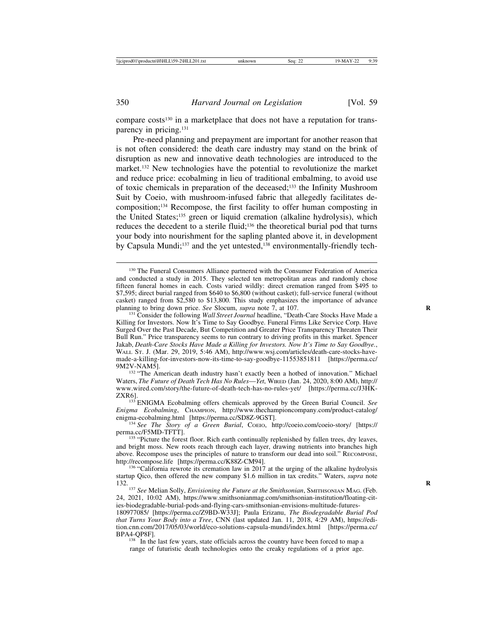compare costs<sup>130</sup> in a marketplace that does not have a reputation for transparency in pricing.131

Pre-need planning and prepayment are important for another reason that is not often considered: the death care industry may stand on the brink of disruption as new and innovative death technologies are introduced to the market.132 New technologies have the potential to revolutionize the market and reduce price: ecobalming in lieu of traditional embalming, to avoid use of toxic chemicals in preparation of the deceased;133 the Infinity Mushroom Suit by Coeio, with mushroom-infused fabric that allegedly facilitates decomposition;134 Recompose, the first facility to offer human composting in the United States;135 green or liquid cremation (alkaline hydrolysis), which reduces the decedent to a sterile fluid;136 the theoretical burial pod that turns your body into nourishment for the sapling planted above it, in development by Capsula Mundi;<sup>137</sup> and the yet untested,<sup>138</sup> environmentally-friendly tech-

<sup>132</sup> "The American death industry hasn't exactly been a hotbed of innovation." Michael Waters, *The Future of Death Tech Has No Rules*—*Yet*, WIRED (Jan. 24, 2020, 8:00 AM), http:// www.wired.com/story/the-future-of-death-tech-has-no-rules-yet/ [https://perma.cc/J3HK-ZXR6]. <sup>133</sup> ENIGMA Ecobalming offers chemicals approved by the Green Burial Council. *See*

*Enigma Ecobalming*, CHAMPION, http://www.thechampioncompany.com/product-catalog/

enigma-ecobalming.html [https://perma.cc/SD8Z-9GST].<br><sup>134</sup> *See The Story of a Green Burial*, Coeio, http://coeio.com/coeio-story/ [https://<br>perma.cc/F5MD-TFTT].

 $136$  "California rewrote its cremation law in 2017 at the urging of the alkaline hydrolysis startup Qico, then offered the new company \$1.6 million in tax credits." Waters, *supra* note

132. **<sup>R</sup>** <sup>137</sup> *See* Melian Solly, *Envisioning the Future at the Smithsonian*, SMITHSONIAN MAG. (Feb. 24, 2021, 10:02 AM), https://www.smithsonianmag.com/smithsonian-institution/floating-cities-biodegradable-burial-pods-and-flying-cars-smithsonian-envisions-multitude-futures-

180977085/ [https://perma.cc/Z9BD-W33J]; Paula Erizanu, *The Biodegradable Burial Pod that Turns Your Body into a Tree*, CNN (last updated Jan. 11, 2018, 4:29 AM), https://edition.cnn.com/2017/05/03/world/eco-solutions-capsula-mundi/index.html [https://perma.cc/ BPA4-QP8F].<br><sup>138</sup> In the last few years, state officials across the country have been forced to map a

range of futuristic death technologies onto the creaky regulations of a prior age.

<sup>130</sup> The Funeral Consumers Alliance partnered with the Consumer Federation of America and conducted a study in 2015. They selected ten metropolitan areas and randomly chose fifteen funeral homes in each. Costs varied wildly: direct cremation ranged from \$495 to \$7,595; direct burial ranged from \$640 to \$6,800 (without casket); full-service funeral (without casket) ranged from \$2,580 to \$13,800. This study emphasizes the importance of advance planning to bring down price. *See* Slocum, *supra* note 7, at 107.<br><sup>131</sup> Consider the following *Wall Street Journal* headline, "Death-Care Stocks Have Made a

Killing for Investors. Now It's Time to Say Goodbye. Funeral Firms Like Service Corp. Have Surged Over the Past Decade, But Competition and Greater Price Transparency Threaten Their Bull Run." Price transparency seems to run contrary to driving profits in this market. Spencer Jakab, *Death-Care Stocks Have Made a Killing for Investors. Now It's Time to Say Goodbye.*, WALL ST. J. (Mar. 29, 2019, 5:46 AM), http://www.wsj.com/articles/death-care-stocks-havemade-a-killing-for-investors-now-its-time-to-say-goodbye-11553851811 [https://perma.cc/

 $135$  "Picture the forest floor. Rich earth continually replenished by fallen trees, dry leaves, and bright moss. New roots reach through each layer, drawing nutrients into branches high above. Recompose uses the principles of nature to transform our dead into soil." RECOMPOSE, http://recompose.life [https://perma.cc/K88Z-CM94].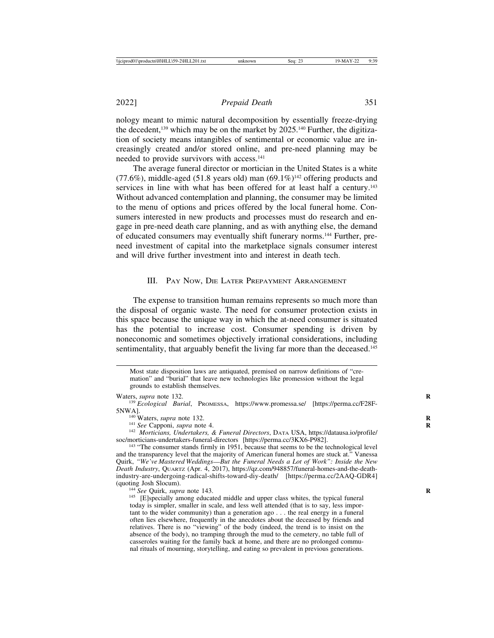nology meant to mimic natural decomposition by essentially freeze-drying the decedent,<sup>139</sup> which may be on the market by 2025.<sup>140</sup> Further, the digitization of society means intangibles of sentimental or economic value are increasingly created and/or stored online, and pre-need planning may be needed to provide survivors with access.<sup>141</sup>

The average funeral director or mortician in the United States is a white  $(77.6\%)$ , middle-aged (51.8 years old) man  $(69.1\%)^{142}$  offering products and services in line with what has been offered for at least half a century.<sup>143</sup> Without advanced contemplation and planning, the consumer may be limited to the menu of options and prices offered by the local funeral home. Consumers interested in new products and processes must do research and engage in pre-need death care planning, and as with anything else, the demand of educated consumers may eventually shift funerary norms.144 Further, preneed investment of capital into the marketplace signals consumer interest and will drive further investment into and interest in death tech.

#### III. PAY NOW, DIE LATER PREPAYMENT ARRANGEMENT

The expense to transition human remains represents so much more than the disposal of organic waste. The need for consumer protection exists in this space because the unique way in which the at-need consumer is situated has the potential to increase cost. Consumer spending is driven by noneconomic and sometimes objectively irrational considerations, including sentimentality, that arguably benefit the living far more than the deceased.<sup>145</sup>

today is simpler, smaller in scale, and less well attended (that is to say, less important to the wider community) than a generation ago . . . the real energy in a funeral often lies elsewhere, frequently in the anecdotes about the deceased by friends and relatives. There is no "viewing" of the body (indeed, the trend is to insist on the absence of the body), no tramping through the mud to the cemetery, no table full of casseroles waiting for the family back at home, and there are no prolonged communal rituals of mourning, storytelling, and eating so prevalent in previous generations.

Most state disposition laws are antiquated, premised on narrow definitions of "cremation" and "burial" that leave new technologies like promession without the legal grounds to establish themselves.

Waters, *supra* note 132.<br><sup>139</sup> *Ecological Burial*, Promessa, https://www.promessa.se/ [https://perma.cc/F28F-5NWAl.

<sup>&</sup>lt;sup>140</sup> Waters, *supra* note 132.<br><sup>141</sup> *See* Capponi, *supra* note 4.<br><sup>142</sup> *Morticians, Undertakers, & Funeral Directors*, DATA USA, https://datausa.io/profile/<br>soc/morticians-undertakers-funeral-directors [https://perma.c

<sup>&</sup>lt;sup>143</sup> "The consumer stands firmly in 1951, because that seems to be the technological level and the transparency level that the majority of American funeral homes are stuck at." Vanessa Quirk, *"We've Mastered Weddings*—*But the Funeral Needs a Lot of Work": Inside the New Death Industry*, QUARTZ (Apr. 4, 2017), https://qz.com/948857/funeral-homes-and-the-deathindustry-are-undergoing-radical-shifts-toward-diy-death/ [https://perma.cc/2AAQ-GDR4] (quoting Josh Slocum).<br><sup>144</sup> *See* Quirk, *supra* note 143.<br><sup>145</sup> [E]specially among educated middle and upper class whites, the typical funeral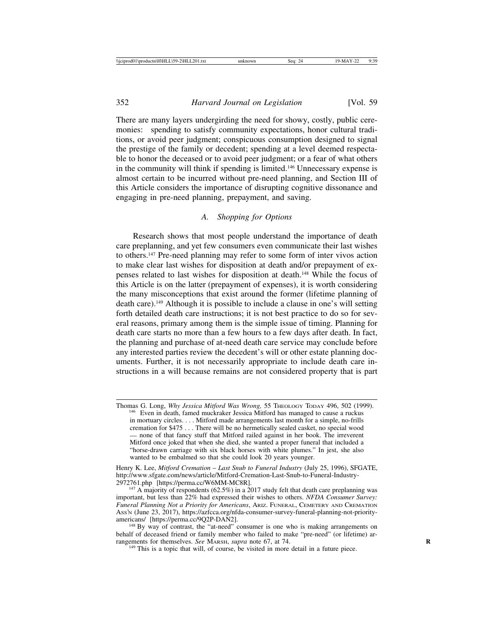There are many layers undergirding the need for showy, costly, public ceremonies: spending to satisfy community expectations, honor cultural traditions, or avoid peer judgment; conspicuous consumption designed to signal the prestige of the family or decedent; spending at a level deemed respectable to honor the deceased or to avoid peer judgment; or a fear of what others in the community will think if spending is limited.146 Unnecessary expense is almost certain to be incurred without pre-need planning, and Section III of this Article considers the importance of disrupting cognitive dissonance and engaging in pre-need planning, prepayment, and saving.

#### *A. Shopping for Options*

Research shows that most people understand the importance of death care preplanning, and yet few consumers even communicate their last wishes to others.147 Pre-need planning may refer to some form of inter vivos action to make clear last wishes for disposition at death and/or prepayment of expenses related to last wishes for disposition at death.148 While the focus of this Article is on the latter (prepayment of expenses), it is worth considering the many misconceptions that exist around the former (lifetime planning of death care).149 Although it is possible to include a clause in one's will setting forth detailed death care instructions; it is not best practice to do so for several reasons, primary among them is the simple issue of timing. Planning for death care starts no more than a few hours to a few days after death. In fact, the planning and purchase of at-need death care service may conclude before any interested parties review the decedent's will or other estate planning documents. Further, it is not necessarily appropriate to include death care instructions in a will because remains are not considered property that is part

Thomas G. Long, *Why Jessica Mitford Was Wrong,*<sup>55</sup> THEOLOGY TODAY 496, 502 (1999). <sup>146</sup> Even in death, famed muckraker Jessica Mitford has managed to cause a ruckus in mortuary circles. . . . Mitford made arrangements last month for a simple, no-frills cremation for \$475 . . . There will be no hermetically sealed casket, no special wood — none of that fancy stuff that Mitford railed against in her book. The irreverent Mitford once joked that when she died, she wanted a proper funeral that included a "horse-drawn carriage with six black horses with white plumes." In jest, she also wanted to be embalmed so that she could look 20 years younger.

Henry K. Lee, *Mitford Cremation* – *Last Snub to Funeral Industry* (July 25, 1996), SFGATE, http://www.sfgate.com/news/article/Mitford-Cremation-Last-Snub-to-Funeral-Industry-<br>2972761.php [https://perma.cc/W6MM-MC8R].

 $147$  A majority of respondents (62.5%) in a 2017 study felt that death care preplanning was important, but less than 22% had expressed their wishes to others. *NFDA Consumer Survey: Funeral Planning Not a Priority for Americans*, ARIZ. FUNERAL, CEMETERY AND CREMATION Ass'n (June 23, 2017), https://azfcca.org/nfda-consumer-survey-funeral-planning-not-priority-americans/ [https://perma.cc/9Q2P-DAN2].

 $148$  By way of contrast, the "at-need" consumer is one who is making arrangements on behalf of deceased friend or family member who failed to make "pre-need" (or lifetime) arrangements for themselves. See MARSH, supra note 67, at 74.

<sup>&</sup>lt;sup>149</sup> This is a topic that will, of course, be visited in more detail in a future piece.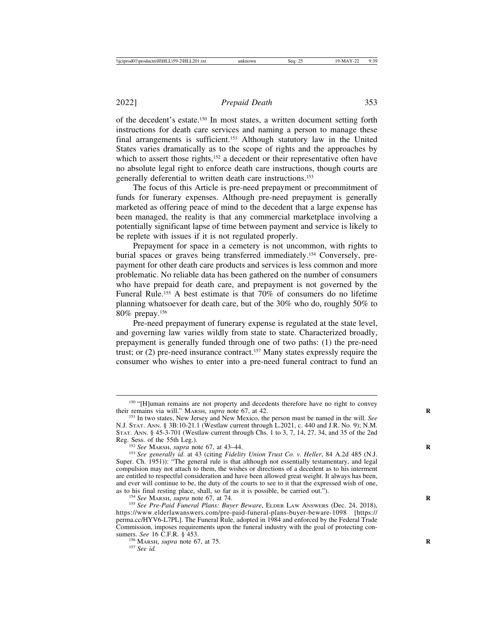of the decedent's estate.150 In most states, a written document setting forth instructions for death care services and naming a person to manage these final arrangements is sufficient.<sup>151</sup> Although statutory law in the United States varies dramatically as to the scope of rights and the approaches by which to assert those rights,<sup>152</sup> a decedent or their representative often have no absolute legal right to enforce death care instructions, though courts are generally deferential to written death care instructions.153

The focus of this Article is pre-need prepayment or precommitment of funds for funerary expenses. Although pre-need prepayment is generally marketed as offering peace of mind to the decedent that a large expense has been managed, the reality is that any commercial marketplace involving a potentially significant lapse of time between payment and service is likely to be replete with issues if it is not regulated properly.

Prepayment for space in a cemetery is not uncommon, with rights to burial spaces or graves being transferred immediately.154 Conversely, prepayment for other death care products and services is less common and more problematic. No reliable data has been gathered on the number of consumers who have prepaid for death care, and prepayment is not governed by the Funeral Rule.155 A best estimate is that 70% of consumers do no lifetime planning whatsoever for death care, but of the 30% who do, roughly 50% to 80% prepay.156

Pre-need prepayment of funerary expense is regulated at the state level, and governing law varies wildly from state to state. Characterized broadly, prepayment is generally funded through one of two paths: (1) the pre-need trust; or  $(2)$  pre-need insurance contract.<sup>157</sup> Many states expressly require the consumer who wishes to enter into a pre-need funeral contract to fund an

<sup>&</sup>lt;sup>150</sup> "[H]uman remains are not property and decedents therefore have no right to convey their remains via will." MARSH, *supra* note 67, at 42.

<sup>&</sup>lt;sup>151</sup> In two states, New Jersey and New Mexico, the person must be named in the will. *See* N.J. STAT. ANN. § 3B:10-21.1 (Westlaw current through L.2021, c. 440 and J.R. No. 9); N.M. STAT. ANN. § 45-3-701 (Westlaw current through Chs. 1 to 3, 7, 14, 27, 34, and 35 of the 2nd Reg. Sess. of the 55th Leg.).

<sup>&</sup>lt;sup>152</sup> See MARSH, *supra* note 67, at 43–44.<br><sup>153</sup> See generally id. at 43 (citing *Fidelity Union Trust Co. v. Heller*, 84 A.2d 485 (N.J. Super. Ch. 1951)): "The general rule is that although not essentially testamentary, and legal compulsion may not attach to them, the wishes or directions of a decedent as to his interment are entitled to respectful consideration and have been allowed great weight. It always has been, and ever will continue to be, the duty of the courts to see to it that the expressed wish of one, as to his final resting place, shall, so far as it is possible, be carried out.").

<sup>&</sup>lt;sup>154</sup> See MARSH, *supra* note 67, at 74.<br><sup>155</sup> See Pre-Paid Funeral Plans: Buyer Beware, ELDER LAW ANSWERS (Dec. 24, 2018), https://www.elderlawanswers.com/pre-paid-funeral-plans-buyer-beware-1098 [https:// perma.cc/HYV6-L7PL]. The Funeral Rule, adopted in 1984 and enforced by the Federal Trade Commission, imposes requirements upon the funeral industry with the goal of protecting consumers. *See* 16 C.F.R. § 453.<br><sup>156</sup> MARSH, *supra* note 67, at 75.<br><sup>157</sup> *See id.*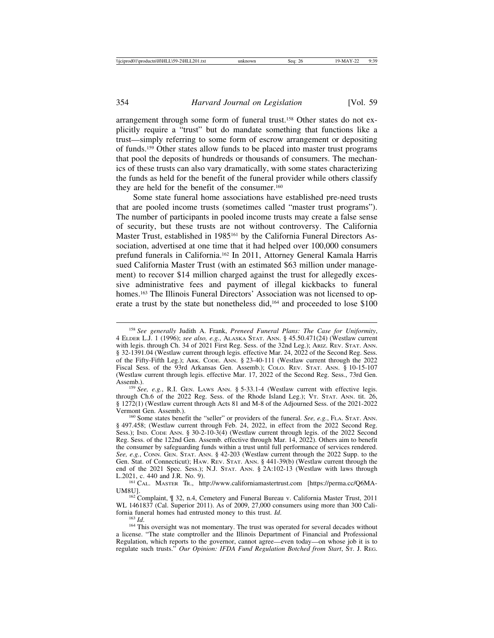arrangement through some form of funeral trust.158 Other states do not explicitly require a "trust" but do mandate something that functions like a trust—simply referring to some form of escrow arrangement or depositing of funds.159 Other states allow funds to be placed into master trust programs that pool the deposits of hundreds or thousands of consumers. The mechanics of these trusts can also vary dramatically, with some states characterizing the funds as held for the benefit of the funeral provider while others classify they are held for the benefit of the consumer.<sup>160</sup>

Some state funeral home associations have established pre-need trusts that are pooled income trusts (sometimes called "master trust programs"). The number of participants in pooled income trusts may create a false sense of security, but these trusts are not without controversy. The California Master Trust, established in 1985<sup>161</sup> by the California Funeral Directors Association, advertised at one time that it had helped over 100,000 consumers prefund funerals in California.162 In 2011, Attorney General Kamala Harris sued California Master Trust (with an estimated \$63 million under management) to recover \$14 million charged against the trust for allegedly excessive administrative fees and payment of illegal kickbacks to funeral homes.<sup>163</sup> The Illinois Funeral Directors' Association was not licensed to operate a trust by the state but nonetheless did,164 and proceeded to lose \$100

through Ch.6 of the 2022 Reg. Sess. of the Rhode Island Leg.); VT. STAT. ANN. tit. 26, § 1272(1) (Westlaw current through Acts 81 and M-8 of the Adjourned Sess. of the 2021-2022

<sup>158</sup> *See generally* Judith A. Frank, *Preneed Funeral Plans: The Case for Uniformity*, 4 ELDER L.J. 1 (1996); *see also, e.g.*, ALASKA STAT. ANN. § 45.50.471(24) (Westlaw current with legis. through Ch. 34 of 2021 First Reg. Sess. of the 32nd Leg.); ARIZ. REV. STAT. ANN. § 32-1391.04 (Westlaw current through legis. effective Mar. 24, 2022 of the Second Reg. Sess. of the Fifty-Fifth Leg.); ARK. CODE. ANN. § 23-40-111 (Westlaw current through the 2022 Fiscal Sess. of the 93rd Arkansas Gen. Assemb.); COLO. REV. STAT. ANN. § 10-15-107 (Westlaw current through legis. effective Mar. 17, 2022 of the Second Reg. Sess., 73rd Gen. Assemb.).<br><sup>159</sup> *See, e.g.*, R.I. GEN. LAWS ANN. § 5-33.1-4 (Westlaw current with effective legis.

<sup>&</sup>lt;sup>160</sup> Some states benefit the "seller" or providers of the funeral. *See, e.g.*, FLA. STAT. ANN. § 497.458; (Westlaw current through Feb. 24, 2022, in effect from the 2022 Second Reg. Sess.); IND. CODE ANN. § 30-2-10-3(4) (Westlaw current through legis. of the 2022 Second Reg. Sess. of the 122nd Gen. Assemb. effective through Mar. 14, 2022). Others aim to benefit the consumer by safeguarding funds within a trust until full performance of services rendered. *See, e.g.*, CONN. GEN. STAT. ANN. § 42-203 (Westlaw current through the 2022 Supp. to the Gen. Stat. of Connecticut); HAW. REV. STAT. ANN. § 441-39(b) (Westlaw current through the end of the 2021 Spec. Sess.); N.J. STAT. ANN. § 2A:102-13 (Westlaw with laws through L.2021, c. 440 and J.R. No. 9).

<sup>&</sup>lt;sup>161</sup> CAL. MASTER TR., http://www.californiamastertrust.com [https://perma.cc/Q6MA-UM8U].<br><sup>162</sup> Complaint, ¶ 32, n.4, Cemetery and Funeral Bureau v. California Master Trust, 2011

WL 1461837 (Cal. Superior 2011). As of 2009, 27,000 consumers using more than 300 Cali-<br>fornia funeral homes had entrusted money to this trust.  $Id$ .

<sup>&</sup>lt;sup>163</sup> *Id.* 163 *Id.* 163 *Id.* 163 *Id.* 164 *If* the strust was operated for several decades without 164 This oversight was not momentary. The trust was operated for several decades without a license. "The state comptroller and the Illinois Department of Financial and Professional Regulation, which reports to the governor, cannot agree—even today—on whose job it is to regulate such trusts." *Our Opinion: IFDA Fund Regulation Botched from Start*, ST. J. REG.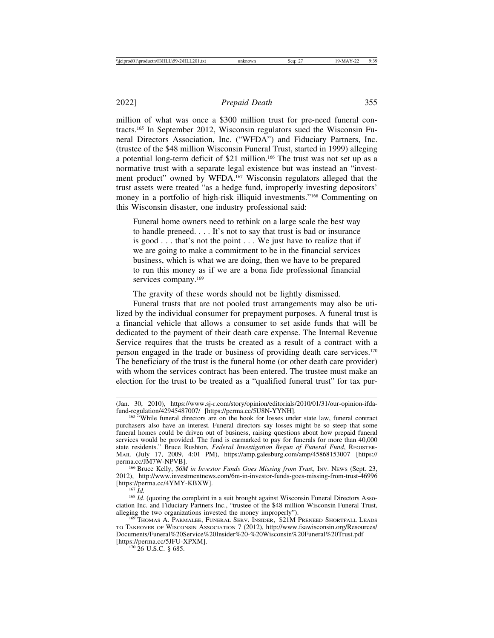million of what was once a \$300 million trust for pre-need funeral contracts.165 In September 2012, Wisconsin regulators sued the Wisconsin Funeral Directors Association, Inc. ("WFDA") and Fiduciary Partners, Inc. (trustee of the \$48 million Wisconsin Funeral Trust, started in 1999) alleging a potential long-term deficit of \$21 million.166 The trust was not set up as a normative trust with a separate legal existence but was instead an "investment product" owned by WFDA.167 Wisconsin regulators alleged that the trust assets were treated "as a hedge fund, improperly investing depositors' money in a portfolio of high-risk illiquid investments."168 Commenting on this Wisconsin disaster, one industry professional said:

Funeral home owners need to rethink on a large scale the best way to handle preneed. . . . It's not to say that trust is bad or insurance is good . . . that's not the point . . . We just have to realize that if we are going to make a commitment to be in the financial services business, which is what we are doing, then we have to be prepared to run this money as if we are a bona fide professional financial services company.<sup>169</sup>

The gravity of these words should not be lightly dismissed.

Funeral trusts that are not pooled trust arrangements may also be utilized by the individual consumer for prepayment purposes. A funeral trust is a financial vehicle that allows a consumer to set aside funds that will be dedicated to the payment of their death care expense. The Internal Revenue Service requires that the trusts be created as a result of a contract with a person engaged in the trade or business of providing death care services.170 The beneficiary of the trust is the funeral home (or other death care provider) with whom the services contract has been entered. The trustee must make an election for the trust to be treated as a "qualified funeral trust" for tax pur-

<sup>(</sup>Jan. 30, 2010), https://www.sj-r.com/story/opinion/editorials/2010/01/31/our-opinion-ifda-

 $^{165}$  "While funeral directors are on the hook for losses under state law, funeral contract purchasers also have an interest. Funeral directors say losses might be so steep that some funeral homes could be driven out of business, raising questions about how prepaid funeral services would be provided. The fund is earmarked to pay for funerals for more than 40,000 state residents." Bruce Rushton, *Federal Investigation Begun of Funeral Fund*, REGISTER-MAIL (July 17, 2009, 4:01 PM), https://amp.galesburg.com/amp/45868153007 [https://

<sup>&</sup>lt;sup>166</sup> Bruce Kelly, *\$6M in Investor Funds Goes Missing from Trust*, Inv. News (Sept. 23, 2012), http://www.investmentnews.com/6m-in-investor-funds-goes-missing-from-trust-46996 [https://perma.cc/4YMY-KBXW]. <sup>167</sup> *Id.* <sup>168</sup> *Id*. (quoting the complaint in a suit brought against Wisconsin Funeral Directors Asso-

ciation Inc. and Fiduciary Partners Inc., "trustee of the \$48 million Wisconsin Funeral Trust,

<sup>169</sup> THOMAS A. PARMALEE, FUNERAL SERV. INSIDER, \$21M PRENEED SHORTFALL LEADS TO TAKEOVER OF WISCONSIN ASSOCIATION 7 (2012), http://www.fsawisconsin.org/Resources/ Documents/Funeral%20Service%20Insider%20-%20Wisconsin%20Funeral%20Trust.pdf [https://perma.cc/5JFU-XPXM].<br><sup>170</sup> 26 U.S.C. § 685.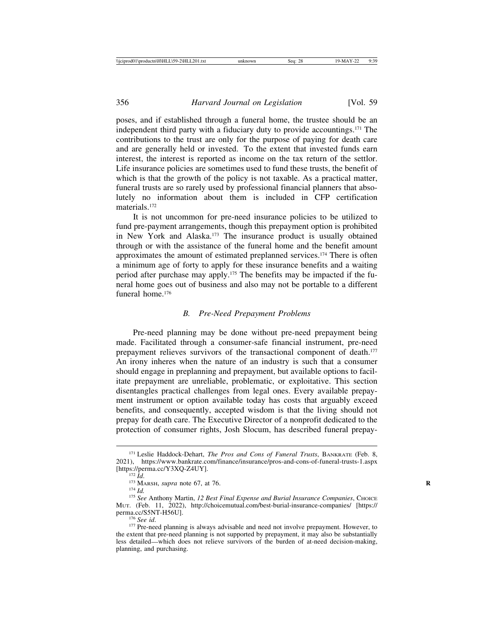poses, and if established through a funeral home, the trustee should be an independent third party with a fiduciary duty to provide accountings.171 The contributions to the trust are only for the purpose of paying for death care and are generally held or invested. To the extent that invested funds earn interest, the interest is reported as income on the tax return of the settlor. Life insurance policies are sometimes used to fund these trusts, the benefit of which is that the growth of the policy is not taxable. As a practical matter, funeral trusts are so rarely used by professional financial planners that absolutely no information about them is included in CFP certification materials.172

It is not uncommon for pre-need insurance policies to be utilized to fund pre-payment arrangements, though this prepayment option is prohibited in New York and Alaska.173 The insurance product is usually obtained through or with the assistance of the funeral home and the benefit amount approximates the amount of estimated preplanned services.174 There is often a minimum age of forty to apply for these insurance benefits and a waiting period after purchase may apply.175 The benefits may be impacted if the funeral home goes out of business and also may not be portable to a different funeral home.<sup>176</sup>

#### *B. Pre-Need Prepayment Problems*

Pre-need planning may be done without pre-need prepayment being made. Facilitated through a consumer-safe financial instrument, pre-need prepayment relieves survivors of the transactional component of death.<sup>177</sup> An irony inheres when the nature of an industry is such that a consumer should engage in preplanning and prepayment, but available options to facilitate prepayment are unreliable, problematic, or exploitative. This section disentangles practical challenges from legal ones. Every available prepayment instrument or option available today has costs that arguably exceed benefits, and consequently, accepted wisdom is that the living should not prepay for death care. The Executive Director of a nonprofit dedicated to the protection of consumer rights, Josh Slocum, has described funeral prepay-

<sup>171</sup> Leslie Haddock-Dehart, *The Pros and Cons of Funeral Trusts*, BANKRATE (Feb. 8, 2021), https://www.bankrate.com/finance/insurance/pros-and-cons-of-funeral-trusts-1.aspx<br>[https://perma.cc/Y3XQ-Z4UY].

<sup>&</sup>lt;sup>172</sup> *Id.* <sup>173</sup> MARSH, *supra* note 67, at 76. **R** 176. **R** 174 *Id.* 174 *Id.* 174 *Id.* 175 *See* Anthony Martin, *12 Best Final Expense and Burial Insurance Companies*, CHOICE MUT. (Feb. 11, 2022), http://choicemutual.com/best-burial-insurance-companies/ [https://

<sup>&</sup>lt;sup>176</sup> See id.<br><sup>177</sup> Pre-need planning is always advisable and need not involve prepayment. However, to the extent that pre-need planning is not supported by prepayment, it may also be substantially less detailed—which does not relieve survivors of the burden of at-need decision-making, planning, and purchasing.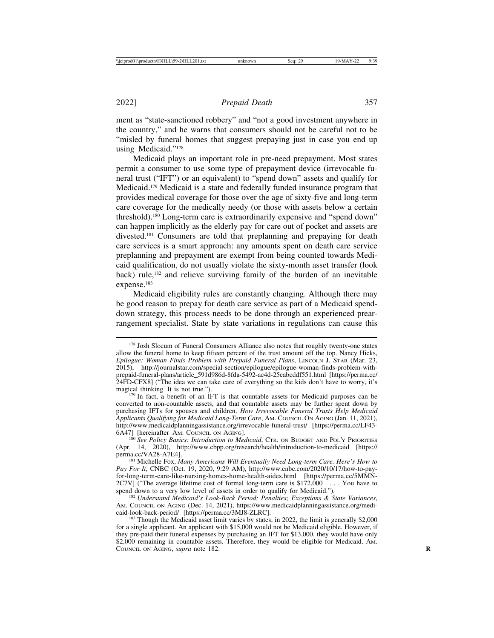ment as "state-sanctioned robbery" and "not a good investment anywhere in the country," and he warns that consumers should not be careful not to be "misled by funeral homes that suggest prepaying just in case you end up using Medicaid."178

Medicaid plays an important role in pre-need prepayment. Most states permit a consumer to use some type of prepayment device (irrevocable funeral trust ("IFT") or an equivalent) to "spend down" assets and qualify for Medicaid.179 Medicaid is a state and federally funded insurance program that provides medical coverage for those over the age of sixty-five and long-term care coverage for the medically needy (or those with assets below a certain threshold).180 Long-term care is extraordinarily expensive and "spend down" can happen implicitly as the elderly pay for care out of pocket and assets are divested.181 Consumers are told that preplanning and prepaying for death care services is a smart approach: any amounts spent on death care service preplanning and prepayment are exempt from being counted towards Medicaid qualification, do not usually violate the sixty-month asset transfer (look back) rule,182 and relieve surviving family of the burden of an inevitable expense.<sup>183</sup>

Medicaid eligibility rules are constantly changing. Although there may be good reason to prepay for death care service as part of a Medicaid spenddown strategy, this process needs to be done through an experienced prearrangement specialist. State by state variations in regulations can cause this

<sup>&</sup>lt;sup>178</sup> Josh Slocum of Funeral Consumers Alliance also notes that roughly twenty-one states allow the funeral home to keep fifteen percent of the trust amount off the top. Nancy Hicks, *Epilogue: Woman Finds Problem with Prepaid Funeral Plans*, LINCOLN J. STAR (Mar. 23, 2015), http://journalstar.com/special-section/epilogue/epilogue-woman-finds-problem-withprepaid-funeral-plans/article\_591d986d-8fda-5492-ae4d-25cabcddf551.html [https://perma.cc/ 24FD-CFX8] ("The idea we can take care of everything so the kids don't have to worry, it's magical thinking. It is not true.").<br><sup>179</sup> In fact, a benefit of an IFT is that countable assets for Medicaid purposes can be

converted to non-countable assets, and that countable assets may be further spent down by purchasing IFTs for spouses and children. *How Irrevocable Funeral Trusts Help Medicaid Applicants Qualifying for Medicaid Long-Term Care*, AM. COUNCIL ON AGING (Jan. 11, 2021), http://www.medicaidplanningassistance.org/irrevocable-funeral-trust/ [https://perma.cc/LF43- 6A47] [hereinafter AM. COUNCIL ON AGING]. <sup>180</sup> *See Policy Basics: Introduction to Medicaid*, CTR. ON BUDGET AND POL'Y PRIORITIES

<sup>(</sup>Apr. 14, 2020), http://www.cbpp.org/research/health/introduction-to-medicaid [https://

<sup>&</sup>lt;sup>181</sup> Michelle Fox, *Many Americans Will Eventually Need Long-term Care. Here's How to Pay For It*, CNBC (Oct. 19, 2020, 9:29 AM), http://www.cnbc.com/2020/10/17/how-to-payfor-long-term-care-like-nursing-homes-home-health-aides.html [https://perma.cc/5MMN-2C7V] ("The average lifetime cost of formal long-term care is \$172,000 . . . . You have to spend down to a very low level of assets in order to qualify for Medicaid.").

<sup>&</sup>lt;sup>182</sup> Understand Medicaid's Look-Back Period; Penalties; Exceptions & State Variances, AM. COUNCIL ON AGING (Dec. 14, 2021), https://www.medicaidplanningassistance.org/medicaid-look-back-period/ [https://perma.cc/3MJ8-ZLRC].

 $^{183}$  Though the Medicaid asset limit varies by states, in 2022, the limit is generally \$2,000 for a single applicant. An applicant with \$15,000 would not be Medicaid eligible. However, if they pre-paid their funeral expenses by purchasing an IFT for \$13,000, they would have only \$2,000 remaining in countable assets. Therefore, they would be eligible for Medicaid. AM. COUNCIL ON AGING, *supra* note 182. **R**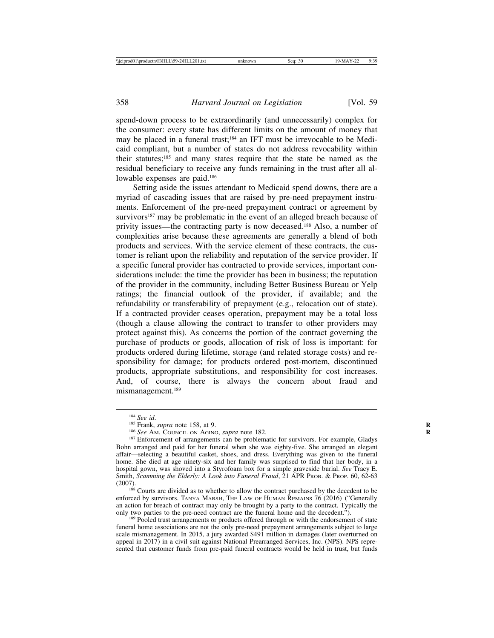spend-down process to be extraordinarily (and unnecessarily) complex for the consumer: every state has different limits on the amount of money that may be placed in a funeral trust;<sup>184</sup> an IFT must be irrevocable to be Medicaid compliant, but a number of states do not address revocability within their statutes;185 and many states require that the state be named as the residual beneficiary to receive any funds remaining in the trust after all allowable expenses are paid.<sup>186</sup>

Setting aside the issues attendant to Medicaid spend downs, there are a myriad of cascading issues that are raised by pre-need prepayment instruments. Enforcement of the pre-need prepayment contract or agreement by  $survivors<sup>187</sup>$  may be problematic in the event of an alleged breach because of privity issues—the contracting party is now deceased.188 Also, a number of complexities arise because these agreements are generally a blend of both products and services. With the service element of these contracts, the customer is reliant upon the reliability and reputation of the service provider. If a specific funeral provider has contracted to provide services, important considerations include: the time the provider has been in business; the reputation of the provider in the community, including Better Business Bureau or Yelp ratings; the financial outlook of the provider, if available; and the refundability or transferability of prepayment (e.g., relocation out of state). If a contracted provider ceases operation, prepayment may be a total loss (though a clause allowing the contract to transfer to other providers may protect against this). As concerns the portion of the contract governing the purchase of products or goods, allocation of risk of loss is important: for products ordered during lifetime, storage (and related storage costs) and responsibility for damage; for products ordered post-mortem, discontinued products, appropriate substitutions, and responsibility for cost increases. And, of course, there is always the concern about fraud and mismanagement.189

<sup>&</sup>lt;sup>184</sup> *See id.* **185 Frank**, *supra* note 158, at 9. *R* 186 *See* AM. Council on Aging, *supra* note 182. **R** 186 *See* AM. Council on Aging, *supra* note 182. **R** 187 Enforcement of arrangements can be problematic for Bohn arranged and paid for her funeral when she was eighty-five. She arranged an elegant affair—selecting a beautiful casket, shoes, and dress. Everything was given to the funeral home. She died at age ninety-six and her family was surprised to find that her body, in a hospital gown, was shoved into a Styrofoam box for a simple graveside burial. *See* Tracy E. Smith, *Scamming the Elderly: A Look into Funeral Fraud*, 21 APR PROB. & PROP. 60, 62-63  $(2007)$ . <sup>188</sup> Courts are divided as to whether to allow the contract purchased by the decedent to be

enforced by survivors. TANYA MARSH, THE LAW OF HUMAN REMAINS 76 (2016) ("Generally an action for breach of contract may only be brought by a party to the contract. Typically the only two parties to the pre-need contract are the funeral home and the decedent.").

<sup>&</sup>lt;sup>189</sup> Pooled trust arrangements or products offered through or with the endorsement of state funeral home associations are not the only pre-need prepayment arrangements subject to large scale mismanagement. In 2015, a jury awarded \$491 million in damages (later overturned on appeal in 2017) in a civil suit against National Prearranged Services, Inc. (NPS). NPS represented that customer funds from pre-paid funeral contracts would be held in trust, but funds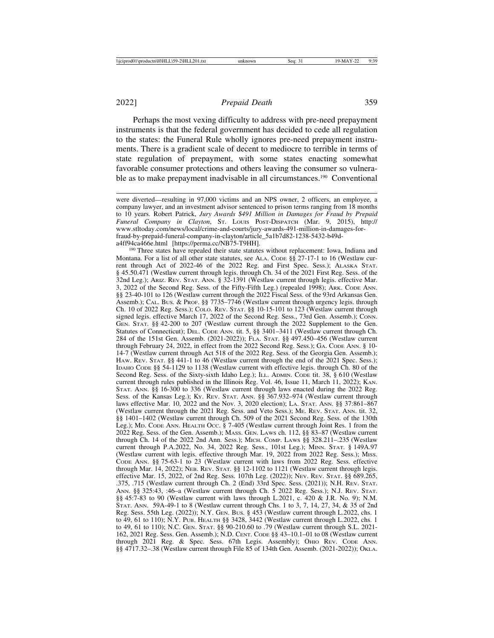Perhaps the most vexing difficulty to address with pre-need prepayment instruments is that the federal government has decided to cede all regulation to the states: the Funeral Rule wholly ignores pre-need prepayment instruments. There is a gradient scale of decent to mediocre to terrible in terms of state regulation of prepayment, with some states enacting somewhat favorable consumer protections and others leaving the consumer so vulnerable as to make prepayment inadvisable in all circumstances.<sup>190</sup> Conventional

<sup>190</sup> Three states have repealed their state statutes without replacement: Iowa, Indiana and Montana. For a list of all other state statutes, see ALA. CODE §§ 27-17-1 to 16 (Westlaw current through Act of 2022-46 of the 2022 Reg. and First Spec. Sess.); ALASKA STAT. § 45.50.471 (Westlaw current through legis. through Ch. 34 of the 2021 First Reg. Sess. of the 32nd Leg.); ARIZ. REV. STAT. ANN. § 32-1391 (Westlaw current through legis. effective Mar. 3, 2022 of the Second Reg. Sess. of the Fifty-Fifth Leg.) (repealed 1998); ARK. CODE ANN. §§ 23-40-101 to 126 (Westlaw current through the 2022 Fiscal Sess. of the 93rd Arkansas Gen. Assemb.); CAL. BUS. & PROF. §§ 7735–7746 (Westlaw current through urgency legis. through Ch. 10 of 2022 Reg. Sess.); COLO. REV. STAT. §§ 10-15-101 to 123 (Westlaw current through signed legis. effective March 17, 2022 of the Second Reg. Sess., 73rd Gen. Assemb.); CONN. GEN. STAT. §§ 42-200 to 207 (Westlaw current through the 2022 Supplement to the Gen. Statutes of Connecticut); DEL. CODE ANN. tit. 5, §§ 3401–3411 (Westlaw current through Ch. 284 of the 151st Gen. Assemb. (2021-2022)); FLA. STAT. §§ 497.450–456 (Westlaw current through February 24, 2022, in effect from the 2022 Second Reg. Sess.); GA. CODE ANN. § 10- 14-7 (Westlaw current through Act 518 of the 2022 Reg. Sess. of the Georgia Gen. Assemb.); HAW. REV. STAT. §§ 441-1 to 46 (Westlaw current through the end of the 2021 Spec. Sess.); IDAHO CODE §§ 54-1129 to 1138 (Westlaw current with effective legis. through Ch. 80 of the Second Reg. Sess. of the Sixty-sixth Idaho Leg.); ILL. ADMIN. CODE tit. 38, § 610 (Westlaw current through rules published in the Illinois Reg. Vol. 46, Issue 11, March 11, 2022); KAN. STAT. ANN. §§ 16-300 to 336 (Westlaw current through laws enacted during the 2022 Reg. Sess. of the Kansas Leg.); Ky. REV. STAT. ANN. §§ 367.932-974 (Westlaw current through laws effective Mar. 10, 2022 and the Nov. 3, 2020 election); LA. STAT. ANN. §§ 37:861–867 (Westlaw current through the 2021 Reg. Sess. and Veto Sess.); ME. REV. STAT. ANN. tit. 32, §§ 1401–1402 (Westlaw current through Ch. 509 of the 2021 Second Reg. Sess. of the 130th Leg.); MD. CODE ANN. HEALTH OCC. § 7-405 (Westlaw current through Joint Res. 1 from the 2022 Reg. Sess. of the Gen. Assemb.); MASS. GEN. LAWS ch. 112, §§ 83–87 (Westlaw current through Ch. 14 of the 2022 2nd Ann. Sess.); MICH. COMP. LAWS  $\S$ § 328.211–.235 (Westlaw current through P.A.2022, No. 34, 2022 Reg. Sess., 101st Leg.); MINN. STAT. § 149A.97 (Westlaw current with legis. effective through Mar. 19, 2022 from 2022 Reg. Sess.); MISS. CODE ANN. §§ 75-63-1 to 23 (Westlaw current with laws from 2022 Reg. Sess. effective through Mar. 14, 2022); NEB. REV. STAT. §§ 12-1102 to 1121 (Westlaw current through legis. effective Mar. 15, 2022, of 2nd Reg. Sess. 107th Leg. (2022)); NEV. REV. STAT. §§ 689.265, .375, .715 (Westlaw current through Ch. 2 (End) 33rd Spec. Sess. (2021)); N.H. REV. STAT. ANN. §§ 325:43, :46–a (Westlaw current through Ch. 5 2022 Reg. Sess.); N.J. REV. STAT. §§ 45:7-83 to 90 (Westlaw current with laws through L.2021, c. 420 & J.R. No. 9); N.M. STAT. ANN. 59A-49-1 to 8 (Westlaw current through Chs. 1 to 3, 7, 14, 27, 34, & 35 of 2nd Reg. Sess. 55th Leg. (2022)); N.Y. GEN. BUS. § 453 (Westlaw current through L.2022, chs. 1 to 49, 61 to 110); N.Y. PUB. HEALTH §§ 3428, 3442 (Westlaw current through L.2022, chs. 1 to 49, 61 to 110); N.C. GEN. STAT. §§ 90-210.60 to .79 (Westlaw current through S.L. 2021- 162, 2021 Reg. Sess. Gen. Assemb.); N.D. CENT. CODE §§ 43–10.1–01 to 08 (Westlaw current through 2021 Reg. & Spec. Sess. 67th Legis. Assembly); OHIO REV. CODE ANN. §§ 4717.32–.38 (Westlaw current through File 85 of 134th Gen. Assemb. (2021-2022)); OKLA.

were diverted—resulting in 97,000 victims and an NPS owner, 2 officers, an employee, a company lawyer, and an investment advisor sentenced to prison terms ranging from 18 months to 10 years. Robert Patrick, *Jury Awards \$491 Million in Damages for Fraud by Prepaid Funeral Company in Clayton*, ST. LOUIS POST-DISPATCH (Mar. 9, 2015), http:// www.stltoday.com/news/local/crime-and-courts/jury-awards-491-million-in-damages-forfraud-by-prepaid-funeral-company-in-clayton/article\_5a1b7d82-1238-5432-b49d-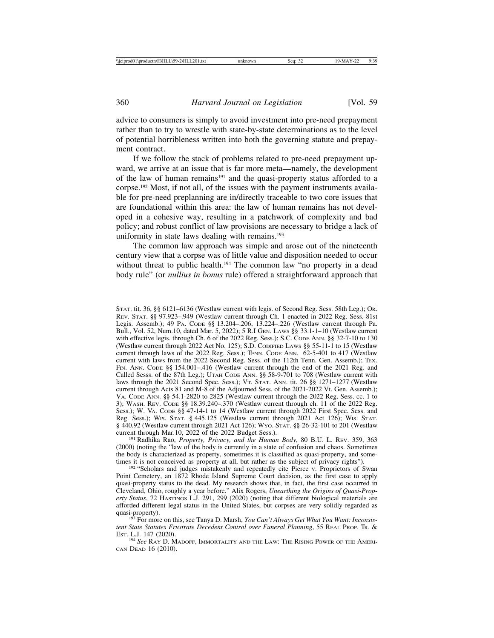advice to consumers is simply to avoid investment into pre-need prepayment rather than to try to wrestle with state-by-state determinations as to the level of potential horribleness written into both the governing statute and prepayment contract.

If we follow the stack of problems related to pre-need prepayment upward, we arrive at an issue that is far more meta—namely, the development of the law of human remains<sup>191</sup> and the quasi-property status afforded to a corpse.192 Most, if not all, of the issues with the payment instruments available for pre-need preplanning are in/directly traceable to two core issues that are foundational within this area: the law of human remains has not developed in a cohesive way, resulting in a patchwork of complexity and bad policy; and robust conflict of law provisions are necessary to bridge a lack of uniformity in state laws dealing with remains.<sup>193</sup>

The common law approach was simple and arose out of the nineteenth century view that a corpse was of little value and disposition needed to occur without threat to public health.<sup>194</sup> The common law "no property in a dead body rule" (or *nullius in bonus* rule) offered a straightforward approach that

STAT. tit. 36, §§ 6121–6136 (Westlaw current with legis. of Second Reg. Sess. 58th Leg.); OR. REV. STAT. §§ 97.923–.949 (Westlaw current through Ch. 1 enacted in 2022 Reg. Sess. 81st Legis. Assemb.); 49 PA. CODE §§ 13.204–.206, 13.224–.226 (Westlaw current through Pa. Bull., Vol. 52, Num.10, dated Mar. 5, 2022); 5 R.I GEN. LAWS §§ 33.1-1–10 (Westlaw current with effective legis. through Ch. 6 of the 2022 Reg. Sess.); S.C. CODE ANN. §§ 32-7-10 to 130 (Westlaw current through 2022 Act No. 125); S.D. CODIFIED LAWS §§ 55-11-1 to 15 (Westlaw current through laws of the 2022 Reg. Sess.); TENN. CODE ANN. 62-5-401 to 417 (Westlaw current with laws from the 2022 Second Reg. Sess. of the 112th Tenn. Gen. Assemb.); TEX. FIN. ANN. CODE §§ 154.001-.416 (Westlaw current through the end of the 2021 Reg. and Called Sesss. of the 87th Leg.); UTAH CODE ANN. §§ 58-9-701 to 708 (Westlaw current with laws through the 2021 Second Spec. Sess.); VT. STAT. ANN. tit. 26 §§ 1271–1277 (Westlaw current through Acts 81 and M-8 of the Adjourned Sess. of the 2021-2022 Vt. Gen. Assemb.); VA. CODE ANN. §§ 54.1-2820 to 2825 (Westlaw current through the 2022 Reg. Sess. cc. 1 to 3); WASH. REV. CODE §§ 18.39.240–.370 (Westlaw current through ch. 11 of the 2022 Reg. Sess.); W. VA. CODE §§ 47-14-1 to 14 (Westlaw current through 2022 First Spec. Sess. and Reg. Sess.); WIS. STAT. § 445.125 (Westlaw current through 2021 Act 126); WIS. STAT. § 440.92 (Westlaw current through 2021 Act 126); WYO. STAT. §§ 26-32-101 to 201 (Westlaw

<sup>191</sup> Radhika Rao, *Property, Privacy, and the Human Body*, 80 B.U. L. REV. 359, 363 (2000) (noting the "law of the body is currently in a state of confusion and chaos. Sometimes the body is characterized as property, sometimes it is classified as quasi-property, and sometimes it is not conceived as property at all, but rather as the subject of privacy rights").

<sup>192</sup> "Scholars and judges mistakenly and repeatedly cite Pierce v. Proprietors of Swan Point Cemetery, an 1872 Rhode Island Supreme Court decision, as the first case to apply quasi-property status to the dead. My research shows that, in fact, the first case occurred in Cleveland, Ohio, roughly a year before." Alix Rogers, *Unearthing the Origins of Quasi-Property Status*, 72 HASTINGS L.J. 291, 299 (2020) (noting that different biological materials are afforded different legal status in the United States, but corpses are very solidly regarded as quasi-property).<br><sup>193</sup> For more on this, see Tanya D. Marsh, *You Can't Always Get What You Want: Inconsis-*

*tent State Statutes Frustrate Decedent Control over Funeral Planning*, 55 REAL PROP. TR. & EST. L.J. 147 (2020). <sup>194</sup> *See* RAY D. MADOFF, IMMORTALITY AND THE LAW: THE RISING POWER OF THE AMERI-

CAN DEAD 16 (2010).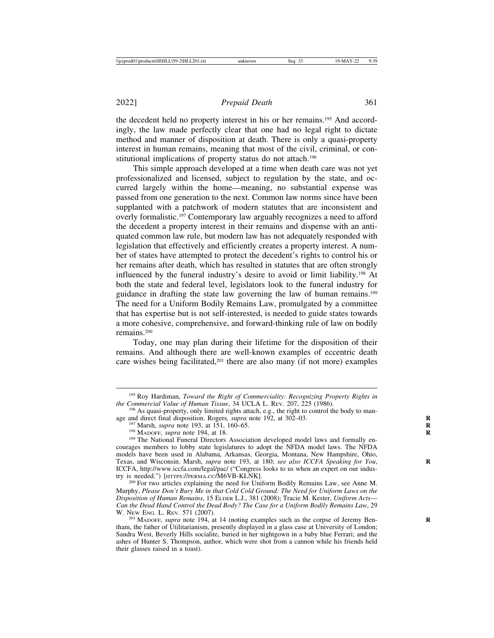the decedent held no property interest in his or her remains.195 And accordingly, the law made perfectly clear that one had no legal right to dictate method and manner of disposition at death. There is only a quasi-property interest in human remains, meaning that most of the civil, criminal, or constitutional implications of property status do not attach.<sup>196</sup>

This simple approach developed at a time when death care was not yet professionalized and licensed, subject to regulation by the state, and occurred largely within the home—meaning, no substantial expense was passed from one generation to the next. Common law norms since have been supplanted with a patchwork of modern statutes that are inconsistent and overly formalistic.197 Contemporary law arguably recognizes a need to afford the decedent a property interest in their remains and dispense with an antiquated common law rule, but modern law has not adequately responded with legislation that effectively and efficiently creates a property interest. A number of states have attempted to protect the decedent's rights to control his or her remains after death, which has resulted in statutes that are often strongly influenced by the funeral industry's desire to avoid or limit liability.198 At both the state and federal level, legislators look to the funeral industry for guidance in drafting the state law governing the law of human remains.199 The need for a Uniform Bodily Remains Law, promulgated by a committee that has expertise but is not self-interested, is needed to guide states towards a more cohesive, comprehensive, and forward-thinking rule of law on bodily remains.200

Today, one may plan during their lifetime for the disposition of their remains. And although there are well-known examples of eccentric death care wishes being facilitated, $201$  there are also many (if not more) examples

<sup>&</sup>lt;sup>195</sup> Roy Hardiman, *Toward the Right of Commerciality: Recognizing Property Rights in the Commercial Value of Human Tissue, 34 UCLA L. REV. 207, 225 (1986).* 

<sup>&</sup>lt;sup>196</sup> As quasi-property, only limited rights attach, e.g., the right to control the body to man-<br>age and direct final disposition. Rogers, *supra* note 192, at 302–03.

<sup>&</sup>lt;sup>197</sup> Marsh, *supra* note 193, at 151, 160–65.<br><sup>198</sup> MADOFF, *supra* note 194, at 18.<br><sup>199</sup> The National Funeral Directors Association developed model laws and formally encourages members to lobby state legislatures to adopt the NFDA model laws. The NFDA models have been used in Alabama, Arkansas, Georgia, Montana, New Hampshire, Ohio, Texas, and Wisconsin. Marsh, *supra* note 193, at 180; *see also ICCFA Speaking for You*, **R** ICCFA, http://www.iccfa.com/legal/pac/ ("Congress looks to us when an expert on our indus-<br>try is needed.") [HTTPS://PERMA.CC/M6VB-KLNK].

<sup>&</sup>lt;sup>200</sup> For two articles explaining the need for Uniform Bodily Remains Law, see Anne M. Murphy, *Please Don't Bury Me in that Cold Cold Ground: The Need for Uniform Laws on the Disposition of Human Remains*, 15 ELDER L.J., 381 (2008); Tracie M. Kester, *Uniform Acts*— *Can the Dead Hand Control the Dead Body? The Case for a Uniform Bodily Remains Law*, 29

<sup>&</sup>lt;sup>201</sup> MADOFF, *supra* note 194, at 14 (noting examples such as the corpse of Jeremy Bentham, the father of Utilitarianism, presently displayed in a glass case at University of London; Sandra West, Beverly Hills socialite, buried in her nightgown in a baby blue Ferrari; and the ashes of Hunter S. Thompson, author, which were shot from a cannon while his friends held their glasses raised in a toast).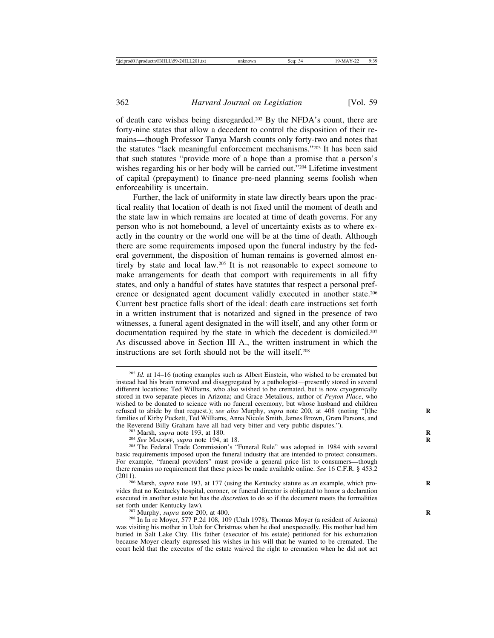of death care wishes being disregarded.202 By the NFDA's count, there are forty-nine states that allow a decedent to control the disposition of their remains—though Professor Tanya Marsh counts only forty-two and notes that the statutes "lack meaningful enforcement mechanisms."203 It has been said that such statutes "provide more of a hope than a promise that a person's wishes regarding his or her body will be carried out."<sup>204</sup> Lifetime investment of capital (prepayment) to finance pre-need planning seems foolish when enforceability is uncertain.

Further, the lack of uniformity in state law directly bears upon the practical reality that location of death is not fixed until the moment of death and the state law in which remains are located at time of death governs. For any person who is not homebound, a level of uncertainty exists as to where exactly in the country or the world one will be at the time of death. Although there are some requirements imposed upon the funeral industry by the federal government, the disposition of human remains is governed almost entirely by state and local law.205 It is not reasonable to expect someone to make arrangements for death that comport with requirements in all fifty states, and only a handful of states have statutes that respect a personal preference or designated agent document validly executed in another state.206 Current best practice falls short of the ideal: death care instructions set forth in a written instrument that is notarized and signed in the presence of two witnesses, a funeral agent designated in the will itself, and any other form or documentation required by the state in which the decedent is domiciled.207 As discussed above in Section III A., the written instrument in which the instructions are set forth should not be the will itself<sup>208</sup>

<sup>&</sup>lt;sup>202</sup> *Id.* at 14–16 (noting examples such as Albert Einstein, who wished to be cremated but instead had his brain removed and disaggregated by a pathologist—presently stored in several different locations; Ted Williams, who also wished to be cremated, but is now cryogenically stored in two separate pieces in Arizona; and Grace Metalious, author of *Peyton Place*, who wished to be donated to science with no funeral ceremony, but whose husband and children refused to abide by that request.); *see also* Murphy, *supra* note 200, at 408 (noting "[t]he families of Kirby Puckett, Ted Williams, Anna Nicole Smith, James Brown, Gram Parsons, and the Reverend Billy Graham have all had very bitter and very public disputes.").

<sup>&</sup>lt;sup>203</sup> Marsh, *supra* note 193, at 180.<br><sup>204</sup> See MADOFF, *supra* note 194, at 18.<br><sup>205</sup> The Federal Trade Commission's "Funeral Rule" was adopted in 1984 with several basic requirements imposed upon the funeral industry that are intended to protect consumers. For example, "funeral providers" must provide a general price list to consumers—though there remains no requirement that these prices be made available online. *See* 16 C.F.R. § 453.2

<sup>&</sup>lt;sup>206</sup> Marsh, *supra* note 193, at 177 (using the Kentucky statute as an example, which provides that no Kentucky hospital, coroner, or funeral director is obligated to honor a declaration executed in another estate but has the *discretion* to do so if the document meets the formalities

<sup>&</sup>lt;sup>207</sup> Murphy, *supra* note 200, at 400.<br><sup>208</sup> In In re Moyer, 577 P.2d 108, 109 (Utah 1978), Thomas Moyer (a resident of Arizona) was visiting his mother in Utah for Christmas when he died unexpectedly. His mother had him buried in Salt Lake City. His father (executor of his estate) petitioned for his exhumation because Moyer clearly expressed his wishes in his will that he wanted to be cremated. The court held that the executor of the estate waived the right to cremation when he did not act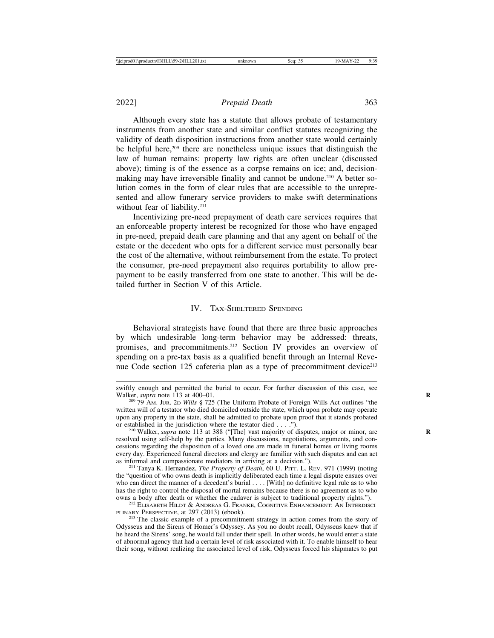Although every state has a statute that allows probate of testamentary instruments from another state and similar conflict statutes recognizing the validity of death disposition instructions from another state would certainly be helpful here,209 there are nonetheless unique issues that distinguish the law of human remains: property law rights are often unclear (discussed above); timing is of the essence as a corpse remains on ice; and, decisionmaking may have irreversible finality and cannot be undone.<sup>210</sup> A better solution comes in the form of clear rules that are accessible to the unrepresented and allow funerary service providers to make swift determinations without fear of liability.<sup>211</sup>

Incentivizing pre-need prepayment of death care services requires that an enforceable property interest be recognized for those who have engaged in pre-need, prepaid death care planning and that any agent on behalf of the estate or the decedent who opts for a different service must personally bear the cost of the alternative, without reimbursement from the estate. To protect the consumer, pre-need prepayment also requires portability to allow prepayment to be easily transferred from one state to another. This will be detailed further in Section V of this Article.

#### IV. TAX-SHELTERED SPENDING

Behavioral strategists have found that there are three basic approaches by which undesirable long-term behavior may be addressed: threats, promises, and precommitments.212 Section IV provides an overview of spending on a pre-tax basis as a qualified benefit through an Internal Revenue Code section 125 cafeteria plan as a type of precommitment device<sup>213</sup>

swiftly enough and permitted the burial to occur. For further discussion of this case, see Walker, *supra* note 113 at 400–01.

<sup>&</sup>lt;sup>209</sup> 79 Am. Jur. 2p *Wills* § 725 (The Uniform Probate of Foreign Wills Act outlines "the written will of a testator who died domiciled outside the state, which upon probate may operate upon any property in the state, shall be admitted to probate upon proof that it stands probated or established in the jurisdiction where the testator died  $\dots$ .

<sup>&</sup>lt;sup>210</sup> Walker, *supra* note 113 at 388 ("[The] vast majority of disputes, major or minor, are resolved using self-help by the parties. Many discussions, negotiations, arguments, and concessions regarding the disposition of a loved one are made in funeral homes or living rooms every day. Experienced funeral directors and clergy are familiar with such disputes and can act as informal and compassionate mediators in arriving at a decision.").

<sup>&</sup>lt;sup>211</sup> Tanya K. Hernandez, *The Property of Death*, 60 U. PITT. L. REV. 971 (1999) (noting the "question of who owns death is implicitly deliberated each time a legal dispute ensues over who can direct the manner of a decedent's burial . . . . [With] no definitive legal rule as to who has the right to control the disposal of mortal remains because there is no agreement as to who owns a body after death or whether the cadaver is subject to traditional property rights.").

<sup>&</sup>lt;sup>212</sup> ELISABETH HILDT & ANDREAS G. FRANKE, COGNITIVE ENHANCEMENT: AN INTERDISCI-PLINARY PERSPECTIVE, at 297 (2013) (ebook). <sup>213</sup> The classic example of a precommitment strategy in action comes from the story of

Odysseus and the Sirens of Homer's Odyssey. As you no doubt recall, Odysseus knew that if he heard the Sirens' song, he would fall under their spell. In other words, he would enter a state of abnormal agency that had a certain level of risk associated with it. To enable himself to hear their song, without realizing the associated level of risk, Odysseus forced his shipmates to put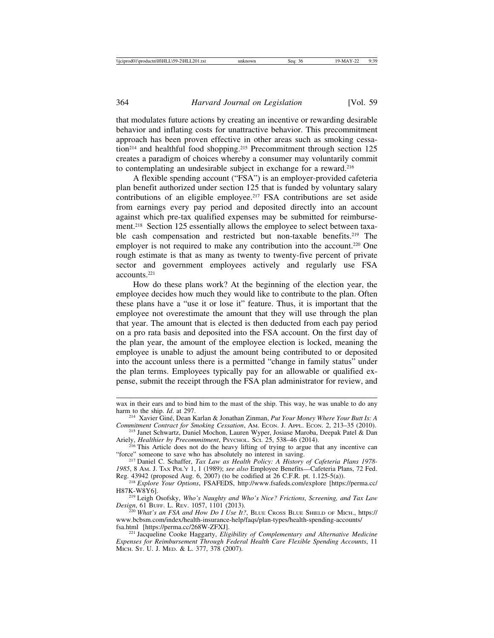that modulates future actions by creating an incentive or rewarding desirable behavior and inflating costs for unattractive behavior. This precommitment approach has been proven effective in other areas such as smoking cessation<sup>214</sup> and healthful food shopping.<sup>215</sup> Precommitment through section 125 creates a paradigm of choices whereby a consumer may voluntarily commit to contemplating an undesirable subject in exchange for a reward.216

A flexible spending account ("FSA") is an employer-provided cafeteria plan benefit authorized under section 125 that is funded by voluntary salary contributions of an eligible employee.<sup>217</sup> FSA contributions are set aside from earnings every pay period and deposited directly into an account against which pre-tax qualified expenses may be submitted for reimbursement.<sup>218</sup> Section 125 essentially allows the employee to select between taxable cash compensation and restricted but non-taxable benefits.<sup>219</sup> The employer is not required to make any contribution into the account.<sup>220</sup> One rough estimate is that as many as twenty to twenty-five percent of private sector and government employees actively and regularly use FSA accounts.221

How do these plans work? At the beginning of the election year, the employee decides how much they would like to contribute to the plan. Often these plans have a "use it or lose it" feature. Thus, it is important that the employee not overestimate the amount that they will use through the plan that year. The amount that is elected is then deducted from each pay period on a pro rata basis and deposited into the FSA account. On the first day of the plan year, the amount of the employee election is locked, meaning the employee is unable to adjust the amount being contributed to or deposited into the account unless there is a permitted "change in family status" under the plan terms. Employees typically pay for an allowable or qualified expense, submit the receipt through the FSA plan administrator for review, and

wax in their ears and to bind him to the mast of the ship. This way, he was unable to do any harm to the ship.  $Id$ . at 297.

<sup>&</sup>lt;sup>214</sup> Xavier Giné, Dean Karlan & Jonathan Zinman, *Put Your Money Where Your Butt Is: A Commitment Contract for Smoking Cessation*, AM. ECON. J. APPL. ECON. 2, 213–35 (2010).

<sup>&</sup>lt;sup>215</sup> Janet Schwartz, Daniel Mochon, Lauren Wyper, Josiase Maroba, Deepak Patel & Dan Ariely, *Healthier by Precommitment*, Psychol. Sci. 25, 538–46 (2014).

<sup>&</sup>lt;sup>216</sup> This Article does not do the heavy lifting of trying to argue that any incentive can "force" someone to save who has absolutely no interest in saving.

<sup>&</sup>lt;sup>217</sup> Daniel C. Schaffer, *Tax Law as Health Policy: A History of Cafeteria Plans 1978-1985*, 8 Am. J. Tax Pol'y 1, 1 (1989); *see also* Employee Benefits—Cafeteria Plans, 72 Fed. Reg. 43942 (proposed Aug. 6, 2007) (to be codified at 26 C.F.R. pt. 1.125-5(a)).

Reg. 43942 (proposed Aug. 6, 2007) (to be codified at 26 C.F.R. pt. 1.125-5(a)). <sup>218</sup> *Explore Your Options*, FSAFEDS, http://www.fsafeds.com/explore [https://perma.cc/

<sup>&</sup>lt;sup>219</sup> Leigh Osofsky, *Who's Naughty and Who's Nice? Frictions, Screening, and Tax Law Design, 61 Burf. L. REV. 1057, 1101 (2013).* 

<sup>&</sup>lt;sup>220</sup> What's an FSA and How Do I Use It?, BLUE CROSS BLUE SHIELD OF MICH., https:// www.bcbsm.com/index/health-insurance-help/faqs/plan-types/health-spending-accounts/<br>fsa.html [https://perma.cc/268W-ZFXJ].

<sup>&</sup>lt;sup>221</sup> Jacqueline Cooke Haggarty, *Eligibility of Complementary and Alternative Medicine Expenses for Reimbursement Through Federal Health Care Flexible Spending Accounts*, 11 MICH. ST. U. J. MED. & L. 377, 378 (2007).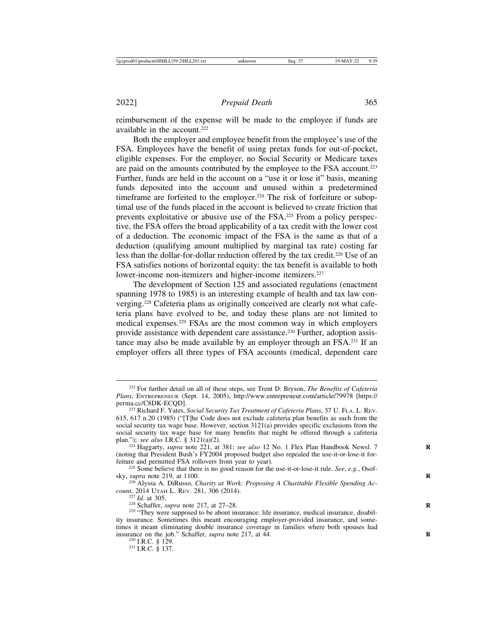reimbursement of the expense will be made to the employee if funds are available in the account.222

Both the employer and employee benefit from the employee's use of the FSA. Employees have the benefit of using pretax funds for out-of-pocket, eligible expenses. For the employer, no Social Security or Medicare taxes are paid on the amounts contributed by the employee to the FSA account.<sup>223</sup> Further, funds are held in the account on a "use it or lose it" basis, meaning funds deposited into the account and unused within a predetermined timeframe are forfeited to the employer.<sup>224</sup> The risk of forfeiture or suboptimal use of the funds placed in the account is believed to create friction that prevents exploitative or abusive use of the FSA.225 From a policy perspective, the FSA offers the broad applicability of a tax credit with the lower cost of a deduction. The economic impact of the FSA is the same as that of a deduction (qualifying amount multiplied by marginal tax rate) costing far less than the dollar-for-dollar reduction offered by the tax credit.<sup>226</sup> Use of an FSA satisfies notions of horizontal equity: the tax benefit is available to both lower-income non-itemizers and higher-income itemizers.<sup>227</sup>

The development of Section 125 and associated regulations (enactment spanning 1978 to 1985) is an interesting example of health and tax law converging.228 Cafeteria plans as originally conceived are clearly not what cafeteria plans have evolved to be, and today these plans are not limited to medical expenses.229 FSAs are the most common way in which employers provide assistance with dependent care assistance.230 Further, adoption assistance may also be made available by an employer through an  $FSA<sup>231</sup>$  If an employer offers all three types of FSA accounts (medical, dependent care

<sup>222</sup> For further detail on all of these steps, see Trent D. Bryson, *The Benefits of Cafeteria Plans*, ENTREPRENEUR (Sept. 14, 2005), http://www.entrepreneur.com/article/79978 [https://<br>perma.cc/C8DK-ECQD].

<sup>&</sup>lt;sup>223</sup> Richard F. Yates, *Social Security Tax Treatment of Cafeteria Plans*, 37 U. FLA. L. REV. 615, 617 n.20 (1985) ("[T]he Code does not exclude cafeteria plan benefits as such from the social security tax wage base. However, section 3121(a) provides specific exclusions from the social security tax wage base for many benefits that might be offered through a cafeteria plan."); *see also* I.R.C. § 3121(a)(2).

<sup>&</sup>lt;sup>224</sup> Haggarty, *supra* note 221, at 381; *see also* 12 No. 1 Flex Plan Handbook Newsl. 7 (noting that President Bush's FY2004 proposed budget also repealed the use-it-or-lose-it for-

<sup>&</sup>lt;sup>225</sup> Some believe that there is no good reason for the use-it-or-lose-it rule. *See*, *e.g.*, Osof-

sky, *supra* note 219, at 1100.<br><sup>226</sup> Alyssa A. DiRusso, *Charity at Work: Proposing A Charitable Flexible Spending Ac-*<br>*count*, 2014 UTAH L. REV. 281, 306 (2014).

<sup>&</sup>lt;sup>227</sup> *Id.* at 305. *apra* note 217, at 27–28. <sup>228</sup> Schaffer, *supra* note 217, at 27–28. <sup>229</sup> "They were supposed to be about insurance: life insurance, medical insurance, disability insurance. Sometimes this meant encouraging employer-provided insurance, and sometimes it meant eliminating double insurance coverage in families where both spouses had insurance on the job." Schaffer, *supra* note 217, at 44.<br><sup>230</sup> I.R.C. § 129.<br><sup>231</sup> I.R.C. § 137.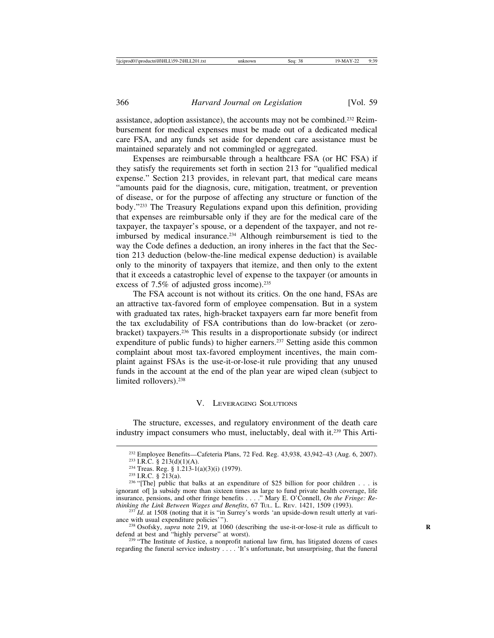assistance, adoption assistance), the accounts may not be combined.232 Reimbursement for medical expenses must be made out of a dedicated medical care FSA, and any funds set aside for dependent care assistance must be maintained separately and not commingled or aggregated.

Expenses are reimbursable through a healthcare FSA (or HC FSA) if they satisfy the requirements set forth in section 213 for "qualified medical expense." Section 213 provides, in relevant part, that medical care means "amounts paid for the diagnosis, cure, mitigation, treatment, or prevention of disease, or for the purpose of affecting any structure or function of the body."233 The Treasury Regulations expand upon this definition, providing that expenses are reimbursable only if they are for the medical care of the taxpayer, the taxpayer's spouse, or a dependent of the taxpayer, and not reimbursed by medical insurance.234 Although reimbursement is tied to the way the Code defines a deduction, an irony inheres in the fact that the Section 213 deduction (below-the-line medical expense deduction) is available only to the minority of taxpayers that itemize, and then only to the extent that it exceeds a catastrophic level of expense to the taxpayer (or amounts in excess of 7.5% of adjusted gross income).<sup>235</sup>

The FSA account is not without its critics. On the one hand, FSAs are an attractive tax-favored form of employee compensation. But in a system with graduated tax rates, high-bracket taxpayers earn far more benefit from the tax excludability of FSA contributions than do low-bracket (or zerobracket) taxpayers.236 This results in a disproportionate subsidy (or indirect expenditure of public funds) to higher earners.<sup>237</sup> Setting aside this common complaint about most tax-favored employment incentives, the main complaint against FSAs is the use-it-or-lose-it rule providing that any unused funds in the account at the end of the plan year are wiped clean (subject to limited rollovers).<sup>238</sup>

#### V. LEVERAGING SOLUTIONS

The structure, excesses, and regulatory environment of the death care industry impact consumers who must, ineluctably, deal with it.239 This Arti-

<sup>&</sup>lt;sup>232</sup> Employee Benefits—Cafeteria Plans, 72 Fed. Reg. 43,938, 43,942–43 (Aug. 6, 2007).<br><sup>233</sup> I.R.C. § 213(d)(1)(A).<br><sup>234</sup> Treas. Reg. § 1.213-1(a)(3)(i) (1979).<br><sup>235</sup> I.R.C. § 213(a).<br><sup>236</sup> "[The] public that balks at an

ignorant of[ ]a subsidy more than sixteen times as large to fund private health coverage, life insurance, pensions, and other fringe benefits . . . ." Mary E. O'Connell, *On the Fringe: Rethinking the Link Between Wages and Benefits*, 67 TuL. L. REV. 1421, 1509 (1993).<br><sup>237</sup> *Id.* at 1508 (noting that it is "in Sur

ance with usual expenditure policies'").<br><sup>238</sup> Osofsky, *supra* note 219, at 1060 (describing the use-it-or-lose-it rule as difficult to defend at best and "highly perverse" at worst).

<sup>&</sup>lt;sup>239</sup> "The Institute of Justice, a nonprofit national law firm, has litigated dozens of cases regarding the funeral service industry . . . . 'It's unfortunate, but unsurprising, that the funeral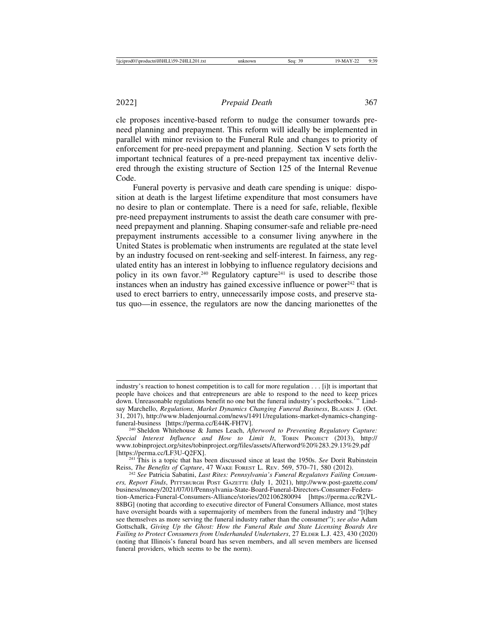cle proposes incentive-based reform to nudge the consumer towards preneed planning and prepayment. This reform will ideally be implemented in parallel with minor revision to the Funeral Rule and changes to priority of enforcement for pre-need prepayment and planning. Section V sets forth the important technical features of a pre-need prepayment tax incentive delivered through the existing structure of Section 125 of the Internal Revenue Code.

Funeral poverty is pervasive and death care spending is unique: disposition at death is the largest lifetime expenditure that most consumers have no desire to plan or contemplate. There is a need for safe, reliable, flexible pre-need prepayment instruments to assist the death care consumer with preneed prepayment and planning. Shaping consumer-safe and reliable pre-need prepayment instruments accessible to a consumer living anywhere in the United States is problematic when instruments are regulated at the state level by an industry focused on rent-seeking and self-interest. In fairness, any regulated entity has an interest in lobbying to influence regulatory decisions and policy in its own favor.<sup>240</sup> Regulatory capture<sup>241</sup> is used to describe those instances when an industry has gained excessive influence or power $242$  that is used to erect barriers to entry, unnecessarily impose costs, and preserve status quo—in essence, the regulators are now the dancing marionettes of the

industry's reaction to honest competition is to call for more regulation . . . [i]t is important that people have choices and that entrepreneurs are able to respond to the need to keep prices down. Unreasonable regulations benefit no one but the funeral industry's pocketbooks.'" Lindsay Marchello, *Regulations, Market Dynamics Changing Funeral Business*, BLADEN J. (Oct. 31, 2017), http://www.bladenjournal.com/news/14911/regulations-market-dynamics-changing-

<sup>&</sup>lt;sup>240</sup> Sheldon Whitehouse & James Leach, *Afterword to Preventing Regulatory Capture: Special Interest Influence and How to Limit It*, TOBIN PROJECT (2013), http:// www.tobinproject.org/sites/tobinproject.org/files/assets/Afterword%20%283.29.13%29.pdf

<sup>[</sup>https://perma.cc/LF3U-Q2FX]. <sup>241</sup> This is a topic that has been discussed since at least the 1950s. *See* Dorit Rubinstein

<sup>&</sup>lt;sup>242</sup> See Patricia Sabatini, Last Rites: Pennsylvania's Funeral Regulators Failing Consum*ers, Report Finds*, PITTSBURGH POST GAZETTE (July 1, 2021), http://www.post-gazette.com/ business/money/2021/07/01/Pennsylvania-State-Board-Funeral-Directors-Consumer-Federation-America-Funeral-Consumers-Alliance/stories/202106280094 [https://perma.cc/R2VL-88BG] (noting that according to executive director of Funeral Consumers Alliance, most states have oversight boards with a supermajority of members from the funeral industry and "[t]hey see themselves as more serving the funeral industry rather than the consumer"); *see also* Adam Gottschalk, *Giving Up the Ghost: How the Funeral Rule and State Licensing Boards Are Failing to Protect Consumers from Underhanded Undertakers*, 27 ELDER L.J. 423, 430 (2020) (noting that Illinois's funeral board has seven members, and all seven members are licensed funeral providers, which seems to be the norm).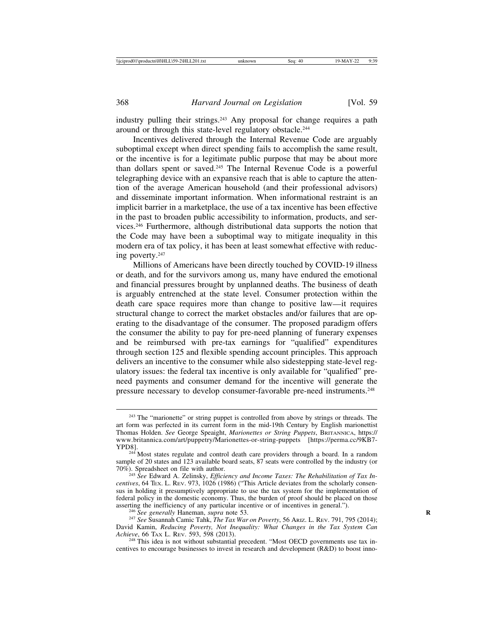industry pulling their strings.243 Any proposal for change requires a path around or through this state-level regulatory obstacle.<sup>244</sup>

Incentives delivered through the Internal Revenue Code are arguably suboptimal except when direct spending fails to accomplish the same result, or the incentive is for a legitimate public purpose that may be about more than dollars spent or saved.245 The Internal Revenue Code is a powerful telegraphing device with an expansive reach that is able to capture the attention of the average American household (and their professional advisors) and disseminate important information. When informational restraint is an implicit barrier in a marketplace, the use of a tax incentive has been effective in the past to broaden public accessibility to information, products, and services.246 Furthermore, although distributional data supports the notion that the Code may have been a suboptimal way to mitigate inequality in this modern era of tax policy, it has been at least somewhat effective with reducing poverty.247

Millions of Americans have been directly touched by COVID-19 illness or death, and for the survivors among us, many have endured the emotional and financial pressures brought by unplanned deaths. The business of death is arguably entrenched at the state level. Consumer protection within the death care space requires more than change to positive law—it requires structural change to correct the market obstacles and/or failures that are operating to the disadvantage of the consumer. The proposed paradigm offers the consumer the ability to pay for pre-need planning of funerary expenses and be reimbursed with pre-tax earnings for "qualified" expenditures through section 125 and flexible spending account principles. This approach delivers an incentive to the consumer while also sidestepping state-level regulatory issues: the federal tax incentive is only available for "qualified" preneed payments and consumer demand for the incentive will generate the pressure necessary to develop consumer-favorable pre-need instruments.248

<sup>&</sup>lt;sup>243</sup> The "marionette" or string puppet is controlled from above by strings or threads. The art form was perfected in its current form in the mid-19th Century by English marionettist Thomas Holden. *See* George Speaight, *Marionettes or String Puppets*, BRITANNICA, https:// www.britannica.com/art/puppetry/Marionettes-or-string-puppets [https://perma.cc/9KB7- YPD8]. <sup>244</sup> Most states regulate and control death care providers through a board. In a random

sample of 20 states and 123 available board seats, 87 seats were controlled by the industry (or 70%). Spreadsheet on file with author.

<sup>&</sup>lt;sup>245</sup> See Edward A. Zelinsky, *Efficiency and Income Taxes: The Rehabilitation of Tax Incentives*, 64 TEX. L. REV. 973, 1026 (1986) ("This Article deviates from the scholarly consensus in holding it presumptively appropriate to use the tax system for the implementation of federal policy in the domestic economy. Thus, the burden of proof should be placed on those asserting the inefficiency of any particular incentive or of incentives in general.").

<sup>&</sup>lt;sup>246</sup> See generally Haneman, *supra* note 53.<br><sup>247</sup> See Susannah Camic Tahk, *The Tax War on Poverty*, 56 Ariz. L. Rev. 791, 795 (2014); David Kamin, *Reducing Poverty, Not Inequality: What Changes in the Tax System Can*

<sup>&</sup>lt;sup>248</sup> This idea is not without substantial precedent. "Most OECD governments use tax incentives to encourage businesses to invest in research and development (R&D) to boost inno-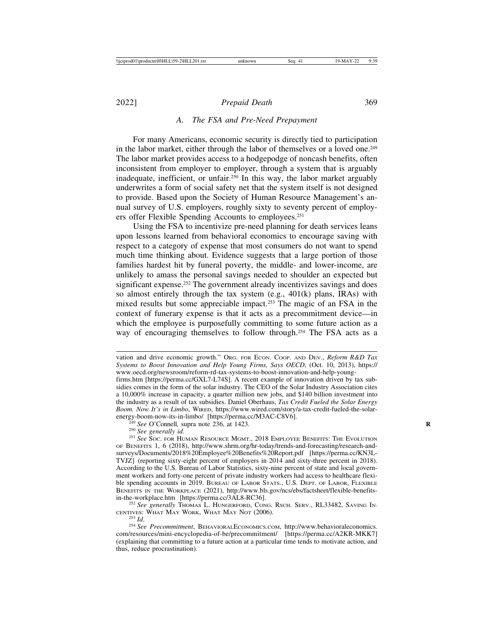#### *A. The FSA and Pre-Need Prepayment*

For many Americans, economic security is directly tied to participation in the labor market, either through the labor of themselves or a loved one.<sup>249</sup> The labor market provides access to a hodgepodge of noncash benefits, often inconsistent from employer to employer, through a system that is arguably inadequate, inefficient, or unfair.<sup>250</sup> In this way, the labor market arguably underwrites a form of social safety net that the system itself is not designed to provide. Based upon the Society of Human Resource Management's annual survey of U.S. employers, roughly sixty to seventy percent of employers offer Flexible Spending Accounts to employees.<sup>251</sup>

Using the FSA to incentivize pre-need planning for death services leans upon lessons learned from behavioral economics to encourage saving with respect to a category of expense that most consumers do not want to spend much time thinking about. Evidence suggests that a large portion of those families hardest hit by funeral poverty, the middle- and lower-income, are unlikely to amass the personal savings needed to shoulder an expected but significant expense.<sup>252</sup> The government already incentivizes savings and does so almost entirely through the tax system (e.g., 401(k) plans, IRAs) with mixed results but some appreciable impact.253 The magic of an FSA in the context of funerary expense is that it acts as a precommitment device—in which the employee is purposefully committing to some future action as a way of encouraging themselves to follow through.<sup>254</sup> The FSA acts as a

vation and drive economic growth." ORG. FOR ECON. COOP. AND DEV., *Reform R&D Tax Systems to Boost Innovation and Help Young Firms, Says OECD*, (Oct. 10, 2013), https:// www.oecd.org/newsroom/reform-rd-tax-systems-to-boost-innovation-and-help-young-

firms.htm [https://perma.cc/GXL7-L74S]. A recent example of innovation driven by tax subsidies comes in the form of the solar industry. The CEO of the Solar Industry Association cites a 10,000% increase in capacity, a quarter million new jobs, and \$140 billion investment into the industry as a result of tax subsidies. Daniel Oberhaus, *Tax Credit Fueled the Solar Energy Boom. Now It's in Limbo*, WIRED, https://www.wired.com/story/a-tax-credit-fueled-the-solar-

 $\frac{249}{249}$  See O'Connell, supra note 236, at 1423.<br>
<sup>250</sup> See generally id.<br>
<sup>251</sup> See Soc. FOR HUMAN RESOURCE MGMT., 2018 EMPLOYEE BENEFITS: THE EVOLUTION OF BENEFITS 1, 6 (2018), http://www.shrm.org/hr-today/trends-and-forecasting/research-andsurveys/Documents/2018%20Employee%20Benefits%20Report.pdf [https://perma.cc/KN3L-TVJZ] (reporting sixty-eight percent of employers in 2014 and sixty-three percent in 2018). According to the U.S. Bureau of Labor Statistics, sixty-nine percent of state and local government workers and forty-one percent of private industry workers had access to healthcare flexible spending accounts in 2019. BUREAU OF LABOR STATS., U.S. DEPT. OF LABOR, FLEXIBLE BENEFITS IN THE WORKPLACE (2021), http://www.bls.gov/ncs/ebs/factsheet/flexible-benefits-<br>in-the-workplace.htm [https://perma.cc/3AL8-RC36].

<sup>&</sup>lt;sup>252</sup> See generally THOMAS L. HUNGERFORD, CONG. RSCH. SERV., RL33482, SAVING IN-CENTIVES: WHAT MAY WORK, WHAT MAY NOT (2006).

<sup>253</sup> *Id*. <sup>254</sup> *See Precommitment*, BEHAVIORALECONOMICS.COM, http://www.behavioraleconomics. com/resources/mini-encyclopedia-of-be/precommitment/ [https://perma.cc/A2KR-MKK7] (explaining that committing to a future action at a particular time tends to motivate action, and thus, reduce procrastination).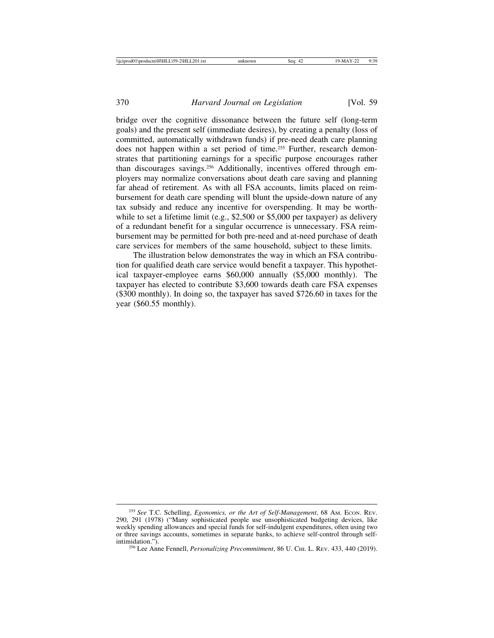bridge over the cognitive dissonance between the future self (long-term goals) and the present self (immediate desires), by creating a penalty (loss of committed, automatically withdrawn funds) if pre-need death care planning does not happen within a set period of time.<sup>255</sup> Further, research demonstrates that partitioning earnings for a specific purpose encourages rather than discourages savings.256 Additionally, incentives offered through employers may normalize conversations about death care saving and planning far ahead of retirement. As with all FSA accounts, limits placed on reimbursement for death care spending will blunt the upside-down nature of any tax subsidy and reduce any incentive for overspending. It may be worthwhile to set a lifetime limit (e.g., \$2,500 or \$5,000 per taxpayer) as delivery of a redundant benefit for a singular occurrence is unnecessary. FSA reimbursement may be permitted for both pre-need and at-need purchase of death care services for members of the same household, subject to these limits.

The illustration below demonstrates the way in which an FSA contribution for qualified death care service would benefit a taxpayer. This hypothetical taxpayer-employee earns \$60,000 annually (\$5,000 monthly). The taxpayer has elected to contribute \$3,600 towards death care FSA expenses (\$300 monthly). In doing so, the taxpayer has saved \$726.60 in taxes for the year (\$60.55 monthly).

<sup>255</sup> *See* T.C. Schelling, *Egonomics, or the Art of Self-Management*, 68 AM. ECON. REV. 290, 291 (1978) ("Many sophisticated people use unsophisticated budgeting devices, like weekly spending allowances and special funds for self-indulgent expenditures, often using two or three savings accounts, sometimes in separate banks, to achieve self-control through selfintimidation."). <sup>256</sup> Lee Anne Fennell, *Personalizing Precommitment*, 86 U. CHI. L. REV. 433, 440 (2019).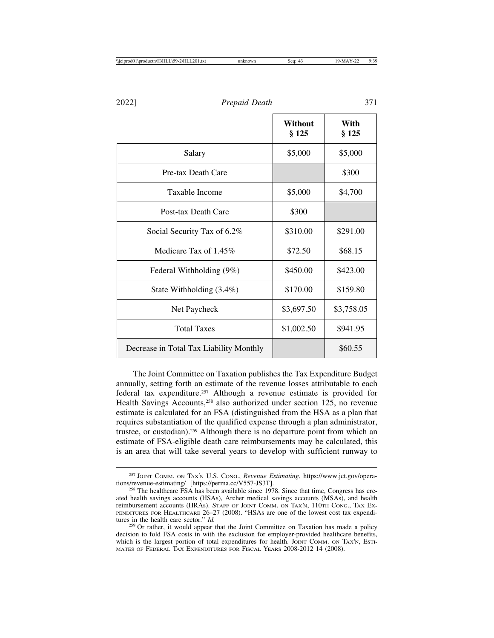|                                         | Without<br>§ 125 | With<br>§ 125 |
|-----------------------------------------|------------------|---------------|
| Salary                                  | \$5,000          | \$5,000       |
| Pre-tax Death Care                      |                  | \$300         |
| Taxable Income                          | \$5,000          | \$4,700       |
| Post-tax Death Care                     | \$300            |               |
| Social Security Tax of 6.2%             | \$310.00         | \$291.00      |
| Medicare Tax of 1.45%                   | \$72.50          | \$68.15       |
| Federal Withholding (9%)                | \$450.00         | \$423.00      |
| State Withholding (3.4%)                | \$170.00         | \$159.80      |
| Net Paycheck                            | \$3,697.50       | \$3,758.05    |
| <b>Total Taxes</b>                      | \$1,002.50       | \$941.95      |
| Decrease in Total Tax Liability Monthly |                  | \$60.55       |

The Joint Committee on Taxation publishes the Tax Expenditure Budget annually, setting forth an estimate of the revenue losses attributable to each federal tax expenditure.257 Although a revenue estimate is provided for Health Savings Accounts,<sup>258</sup> also authorized under section 125, no revenue estimate is calculated for an FSA (distinguished from the HSA as a plan that requires substantiation of the qualified expense through a plan administrator, trustee, or custodian).259 Although there is no departure point from which an estimate of FSA-eligible death care reimbursements may be calculated, this is an area that will take several years to develop with sufficient runway to

<sup>257</sup> JOINT COMM. ON TAX'N U.S. CONG., *Revenue Estimating*, https://www.jct.gov/operations/revenue-estimating/ [https://perma.cc/V557-JS3T].<br><sup>258</sup> The healthcare FSA has been available since 1978. Since that time, Congress has cre-

ated health savings accounts (HSAs), Archer medical savings accounts (MSAs), and health reimbursement accounts (HRAs). STAFF OF JOINT COMM. ON TAX'N, 110TH CONG., TAX EX-PENDITURES FOR HEALTHCARE 26-27 (2008). "HSAs are one of the lowest cost tax expenditures in the health care sector."  $Id$ .

<sup>&</sup>lt;sup>259</sup> Or rather, it would appear that the Joint Committee on Taxation has made a policy decision to fold FSA costs in with the exclusion for employer-provided healthcare benefits, which is the largest portion of total expenditures for health. JOINT COMM. ON TAX'N, ESTI-MATES OF FEDERAL TAX EXPENDITURES FOR FISCAL YEARS 2008-2012 14 (2008).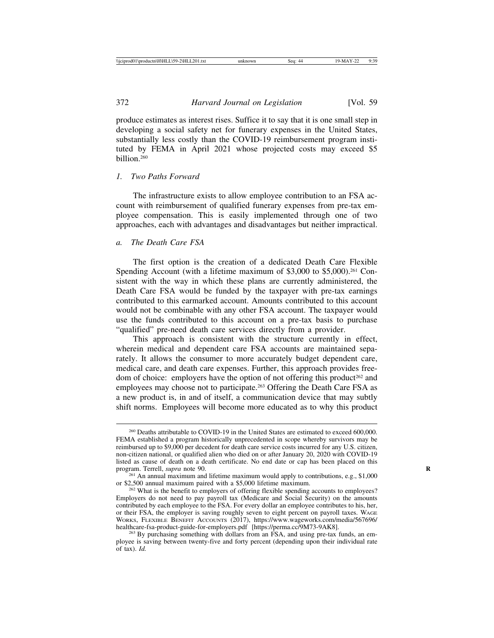produce estimates as interest rises. Suffice it to say that it is one small step in developing a social safety net for funerary expenses in the United States, substantially less costly than the COVID-19 reimbursement program instituted by FEMA in April 2021 whose projected costs may exceed \$5  $b$ illion<sup>260</sup>

#### *1. Two Paths Forward*

The infrastructure exists to allow employee contribution to an FSA account with reimbursement of qualified funerary expenses from pre-tax employee compensation. This is easily implemented through one of two approaches, each with advantages and disadvantages but neither impractical.

#### *a. The Death Care FSA*

The first option is the creation of a dedicated Death Care Flexible Spending Account (with a lifetime maximum of \$3,000 to \$5,000).<sup>261</sup> Consistent with the way in which these plans are currently administered, the Death Care FSA would be funded by the taxpayer with pre-tax earnings contributed to this earmarked account. Amounts contributed to this account would not be combinable with any other FSA account. The taxpayer would use the funds contributed to this account on a pre-tax basis to purchase "qualified" pre-need death care services directly from a provider.

This approach is consistent with the structure currently in effect, wherein medical and dependent care FSA accounts are maintained separately. It allows the consumer to more accurately budget dependent care, medical care, and death care expenses. Further, this approach provides freedom of choice: employers have the option of not offering this product<sup>262</sup> and employees may choose not to participate.<sup>263</sup> Offering the Death Care FSA as a new product is, in and of itself, a communication device that may subtly shift norms. Employees will become more educated as to why this product

<sup>260</sup> Deaths attributable to COVID-19 in the United States are estimated to exceed 600,000. FEMA established a program historically unprecedented in scope whereby survivors may be reimbursed up to \$9,000 per decedent for death care service costs incurred for any U.S. citizen, non-citizen national, or qualified alien who died on or after January 20, 2020 with COVID-19 listed as cause of death on a death certificate. No end date or cap has been placed on this program. Terrell, *supra* note 90.

<sup>&</sup>lt;sup>261</sup> An annual maximum and lifetime maximum would apply to contributions, e.g., \$1,000 or \$2,500 annual maximum paired with a \$5,000 lifetime maximum.<br><sup>262</sup> What is the benefit to employers of offering flexible spending accounts to employees?

Employers do not need to pay payroll tax (Medicare and Social Security) on the amounts contributed by each employee to the FSA. For every dollar an employee contributes to his, her, or their FSA, the employer is saving roughly seven to eight percent on payroll taxes. WAGE WORKS, FLEXIBLE BENEFIT ACCOUNTS (2017), https://www.wageworks.com/media/567696/<br>healthcare-fsa-product-guide-for-employers.pdf [https://perma.cc/9M73-9AK8].

<sup>&</sup>lt;sup>263</sup> By purchasing something with dollars from an FSA, and using pre-tax funds, an employee is saving between twenty-five and forty percent (depending upon their individual rate of tax). *Id.*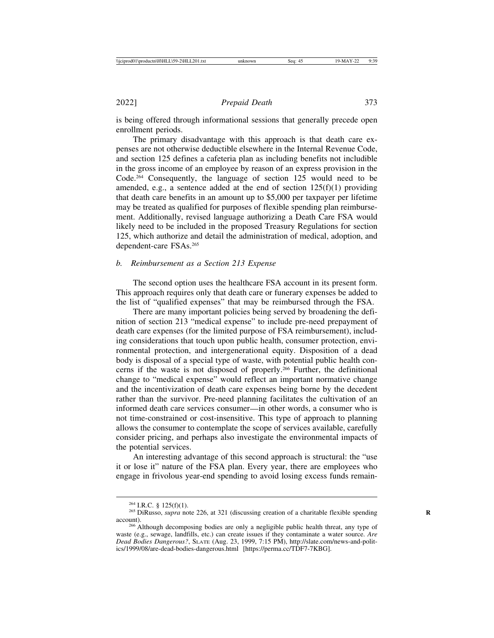is being offered through informational sessions that generally precede open enrollment periods.

The primary disadvantage with this approach is that death care expenses are not otherwise deductible elsewhere in the Internal Revenue Code, and section 125 defines a cafeteria plan as including benefits not includible in the gross income of an employee by reason of an express provision in the Code.264 Consequently, the language of section 125 would need to be amended, e.g., a sentence added at the end of section  $125(f)(1)$  providing that death care benefits in an amount up to \$5,000 per taxpayer per lifetime may be treated as qualified for purposes of flexible spending plan reimbursement. Additionally, revised language authorizing a Death Care FSA would likely need to be included in the proposed Treasury Regulations for section 125, which authorize and detail the administration of medical, adoption, and dependent-care FSAs.265

#### *b. Reimbursement as a Section 213 Expense*

The second option uses the healthcare FSA account in its present form. This approach requires only that death care or funerary expenses be added to the list of "qualified expenses" that may be reimbursed through the FSA.

There are many important policies being served by broadening the definition of section 213 "medical expense" to include pre-need prepayment of death care expenses (for the limited purpose of FSA reimbursement), including considerations that touch upon public health, consumer protection, environmental protection, and intergenerational equity. Disposition of a dead body is disposal of a special type of waste, with potential public health concerns if the waste is not disposed of properly.266 Further, the definitional change to "medical expense" would reflect an important normative change and the incentivization of death care expenses being borne by the decedent rather than the survivor. Pre-need planning facilitates the cultivation of an informed death care services consumer—in other words, a consumer who is not time-constrained or cost-insensitive. This type of approach to planning allows the consumer to contemplate the scope of services available, carefully consider pricing, and perhaps also investigate the environmental impacts of the potential services.

An interesting advantage of this second approach is structural: the "use it or lose it" nature of the FSA plan. Every year, there are employees who engage in frivolous year-end spending to avoid losing excess funds remain-

<sup>&</sup>lt;sup>264</sup> I.R.C. § 125(f)(1).<br><sup>265</sup> DiRusso, *supra* note 226, at 321 (discussing creation of a charitable flexible spending account). <sup>266</sup> Although decomposing bodies are only a negligible public health threat, any type of

waste (e.g., sewage, landfills, etc.) can create issues if they contaminate a water source. *Are Dead Bodies Dangerous?*, SLATE (Aug. 23, 1999, 7:15 PM), http://slate.com/news-and-politics/1999/08/are-dead-bodies-dangerous.html [https://perma.cc/TDF7-7KBG].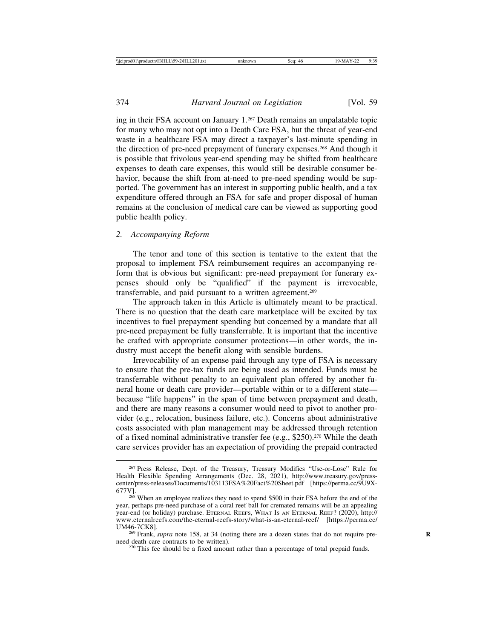ing in their FSA account on January 1.267 Death remains an unpalatable topic for many who may not opt into a Death Care FSA, but the threat of year-end waste in a healthcare FSA may direct a taxpayer's last-minute spending in the direction of pre-need prepayment of funerary expenses.268 And though it is possible that frivolous year-end spending may be shifted from healthcare expenses to death care expenses, this would still be desirable consumer behavior, because the shift from at-need to pre-need spending would be supported. The government has an interest in supporting public health, and a tax expenditure offered through an FSA for safe and proper disposal of human remains at the conclusion of medical care can be viewed as supporting good public health policy.

#### *2. Accompanying Reform*

The tenor and tone of this section is tentative to the extent that the proposal to implement FSA reimbursement requires an accompanying reform that is obvious but significant: pre-need prepayment for funerary expenses should only be "qualified" if the payment is irrevocable, transferrable, and paid pursuant to a written agreement.<sup>269</sup>

The approach taken in this Article is ultimately meant to be practical. There is no question that the death care marketplace will be excited by tax incentives to fuel prepayment spending but concerned by a mandate that all pre-need prepayment be fully transferrable. It is important that the incentive be crafted with appropriate consumer protections—in other words, the industry must accept the benefit along with sensible burdens.

Irrevocability of an expense paid through any type of FSA is necessary to ensure that the pre-tax funds are being used as intended. Funds must be transferrable without penalty to an equivalent plan offered by another funeral home or death care provider—portable within or to a different state because "life happens" in the span of time between prepayment and death, and there are many reasons a consumer would need to pivot to another provider (e.g., relocation, business failure, etc.). Concerns about administrative costs associated with plan management may be addressed through retention of a fixed nominal administrative transfer fee (e.g., \$250).270 While the death care services provider has an expectation of providing the prepaid contracted

<sup>267</sup> Press Release, Dept. of the Treasury, Treasury Modifies "Use-or-Lose" Rule for Health Flexible Spending Arrangements (Dec. 28, 2021), http://www.treasury.gov/presscenter/press-releases/Documents/103113FSA%20Fact%20Sheet.pdf [https://perma.cc/9U9X-677V]. <sup>268</sup> When an employee realizes they need to spend \$500 in their FSA before the end of the

year, perhaps pre-need purchase of a coral reef ball for cremated remains will be an appealing year-end (or holiday) purchase. ETERNAL REEFS, WHAT IS AN ETERNAL REEF? (2020), http:// www.eternalreefs.com/the-eternal-reefs-story/what-is-an-eternal-reef/ [https://perma.cc/

UM46-7CK8].<br><sup>269</sup> Frank, *supra* note 158, at 34 (noting there are a dozen states that do not require pre-<br>need death care contracts to be written).

 $270$  This fee should be a fixed amount rather than a percentage of total prepaid funds.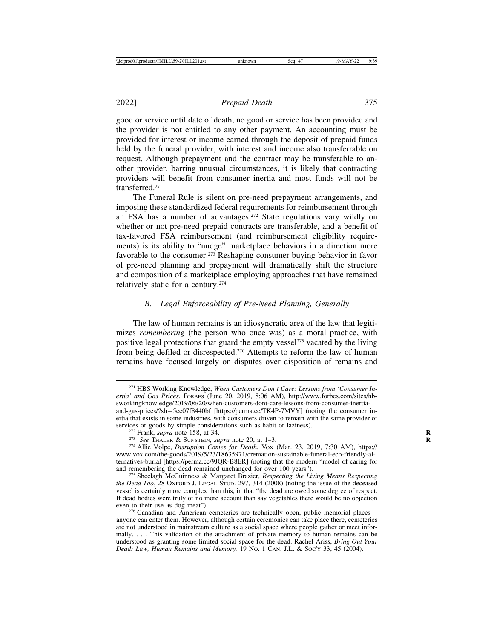good or service until date of death, no good or service has been provided and the provider is not entitled to any other payment. An accounting must be provided for interest or income earned through the deposit of prepaid funds held by the funeral provider, with interest and income also transferrable on request. Although prepayment and the contract may be transferable to another provider, barring unusual circumstances, it is likely that contracting providers will benefit from consumer inertia and most funds will not be transferred.271

The Funeral Rule is silent on pre-need prepayment arrangements, and imposing these standardized federal requirements for reimbursement through an FSA has a number of advantages.272 State regulations vary wildly on whether or not pre-need prepaid contracts are transferable, and a benefit of tax-favored FSA reimbursement (and reimbursement eligibility requirements) is its ability to "nudge" marketplace behaviors in a direction more favorable to the consumer.273 Reshaping consumer buying behavior in favor of pre-need planning and prepayment will dramatically shift the structure and composition of a marketplace employing approaches that have remained relatively static for a century.274

#### *B. Legal Enforceability of Pre-Need Planning, Generally*

The law of human remains is an idiosyncratic area of the law that legitimizes *remembering* (the person who once was) as a moral practice, with positive legal protections that guard the empty vessel<sup>275</sup> vacated by the living from being defiled or disrespected.276 Attempts to reform the law of human remains have focused largely on disputes over disposition of remains and

<sup>271</sup> HBS Working Knowledge, *When Customers Don't Care: Lessons from 'Consumer Inertia' and Gas Prices*, FORBES (June 20, 2019, 8:06 AM), http://www.forbes.com/sites/hbsworkingknowledge/2019/06/20/when-customers-dont-care-lessons-from-consumer-inertiaand-gas-prices/?sh=5cc07f8440bf [https://perma.cc/TK4P-7MVY] (noting the consumer inertia that exists in some industries, with consumers driven to remain with the same provider of services or goods by simple considerations such as habit or laziness).

<sup>&</sup>lt;sup>272</sup> Frank, *supra* note 158, at 34.<br><sup>273</sup> See THALER & SUNSTEIN, *supra* note 20, at 1–3.<br><sup>274</sup> Allie Volpe, *Disruption Comes for Death*, Vox (Mar. 23, 2019, 7:30 AM), https:// www.vox.com/the-goods/2019/5/23/18635971/cremation-sustainable-funeral-eco-friendly-alternatives-burial [https://perma.cc/9JQR-B8ER] (noting that the modern "model of caring for

and remembering the dead remained unchanged for over 100 years"). <sup>275</sup> Sheelagh McGuinness & Margaret Brazier, *Respecting the Living Means Respecting the Dead Too*, 28 OXFORD J. LEGAL STUD. 297, 314 (2008) (noting the issue of the deceased vessel is certainly more complex than this, in that "the dead are owed some degree of respect. If dead bodies were truly of no more account than say vegetables there would be no objection even to their use as dog meat").

<sup>&</sup>lt;sup>276</sup> Canadian and American cemeteries are technically open, public memorial places anyone can enter them. However, although certain ceremonies can take place there, cemeteries are not understood in mainstream culture as a social space where people gather or meet informally. . . . This validation of the attachment of private memory to human remains can be understood as granting some limited social space for the dead. Rachel Ariss, *Bring Out Your Dead: Law, Human Remains and Memory,* 19 NO. 1 CAN. J.L. & SOC'Y 33, 45 (2004).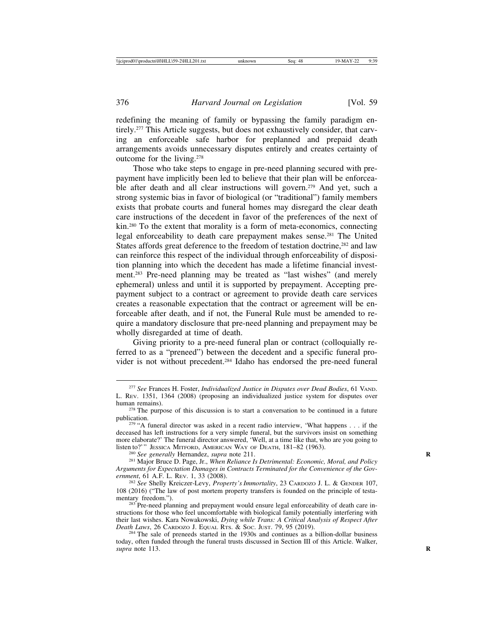redefining the meaning of family or bypassing the family paradigm entirely.<sup>277</sup> This Article suggests, but does not exhaustively consider, that carving an enforceable safe harbor for preplanned and prepaid death arrangements avoids unnecessary disputes entirely and creates certainty of outcome for the living.278

Those who take steps to engage in pre-need planning secured with prepayment have implicitly been led to believe that their plan will be enforceable after death and all clear instructions will govern.<sup>279</sup> And yet, such a strong systemic bias in favor of biological (or "traditional") family members exists that probate courts and funeral homes may disregard the clear death care instructions of the decedent in favor of the preferences of the next of kin.280 To the extent that morality is a form of meta-economics, connecting legal enforceability to death care prepayment makes sense.281 The United States affords great deference to the freedom of testation doctrine,<sup>282</sup> and law can reinforce this respect of the individual through enforceability of disposition planning into which the decedent has made a lifetime financial investment.283 Pre-need planning may be treated as "last wishes" (and merely ephemeral) unless and until it is supported by prepayment. Accepting prepayment subject to a contract or agreement to provide death care services creates a reasonable expectation that the contract or agreement will be enforceable after death, and if not, the Funeral Rule must be amended to require a mandatory disclosure that pre-need planning and prepayment may be wholly disregarded at time of death.

Giving priority to a pre-need funeral plan or contract (colloquially referred to as a "preneed") between the decedent and a specific funeral provider is not without precedent.284 Idaho has endorsed the pre-need funeral

<sup>277</sup> *See* Frances H. Foster, *Individualized Justice in Disputes over Dead Bodies*, 61 VAND. L. REV. 1351, 1364 (2008) (proposing an individualized justice system for disputes over

 $278$  The purpose of this discussion is to start a conversation to be continued in a future publication.

 $279$  "A funeral director was asked in a recent radio interview, 'What happens . . . if the deceased has left instructions for a very simple funeral, but the survivors insist on something more elaborate?' The funeral director answered, 'Well, at a time like that, who are you going to listen to?'" JESSICA MITFORD, AMERICAN WAY OF DEATH, 181-82 (1963).

<sup>&</sup>lt;sup>280</sup> See generally Hernandez, supra note 211.<br><sup>281</sup> Major Bruce D. Page, Jr., When Reliance Is Detrimental: Economic, Moral, and Policy *Arguments for Expectation Damages in Contracts Terminated for the Convenience of the Gov-*

<sup>&</sup>lt;sup>282</sup> See Shelly Kreiczer-Levy, *Property's Immortality*, 23 CARDOZO J. L. & GENDER 107, 108 (2016) ("The law of post mortem property transfers is founded on the principle of testa-

<sup>&</sup>lt;sup>283</sup> Pre-need planning and prepayment would ensure legal enforceability of death care instructions for those who feel uncomfortable with biological family potentially interfering with their last wishes. Kara Nowakowski, *Dying while Trans: A Critical Analysis of Respect After*

<sup>&</sup>lt;sup>284</sup> The sale of preneeds started in the 1930s and continues as a billion-dollar business today, often funded through the funeral trusts discussed in Section III of this Article. Walker, *supra* note 113. **R**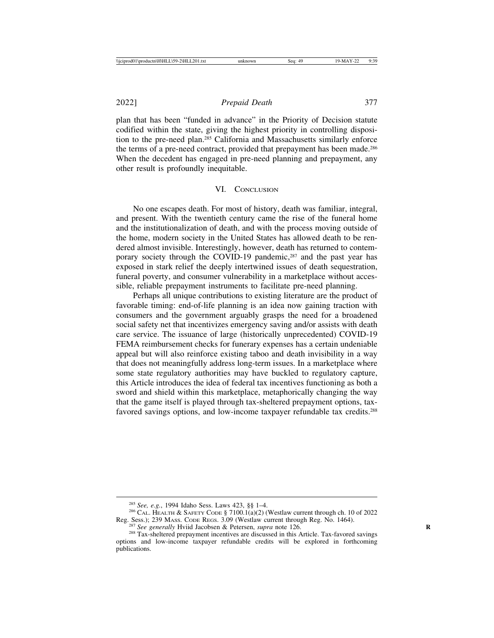plan that has been "funded in advance" in the Priority of Decision statute codified within the state, giving the highest priority in controlling disposition to the pre-need plan.285 California and Massachusetts similarly enforce the terms of a pre-need contract, provided that prepayment has been made.<sup>286</sup> When the decedent has engaged in pre-need planning and prepayment, any other result is profoundly inequitable.

#### VI. CONCLUSION

No one escapes death. For most of history, death was familiar, integral, and present. With the twentieth century came the rise of the funeral home and the institutionalization of death, and with the process moving outside of the home, modern society in the United States has allowed death to be rendered almost invisible. Interestingly, however, death has returned to contemporary society through the COVID-19 pandemic,<sup>287</sup> and the past year has exposed in stark relief the deeply intertwined issues of death sequestration, funeral poverty, and consumer vulnerability in a marketplace without accessible, reliable prepayment instruments to facilitate pre-need planning.

Perhaps all unique contributions to existing literature are the product of favorable timing: end-of-life planning is an idea now gaining traction with consumers and the government arguably grasps the need for a broadened social safety net that incentivizes emergency saving and/or assists with death care service. The issuance of large (historically unprecedented) COVID-19 FEMA reimbursement checks for funerary expenses has a certain undeniable appeal but will also reinforce existing taboo and death invisibility in a way that does not meaningfully address long-term issues. In a marketplace where some state regulatory authorities may have buckled to regulatory capture, this Article introduces the idea of federal tax incentives functioning as both a sword and shield within this marketplace, metaphorically changing the way that the game itself is played through tax-sheltered prepayment options, taxfavored savings options, and low-income taxpayer refundable tax credits.<sup>288</sup>

<sup>&</sup>lt;sup>285</sup> *See, e.g.*, 1994 Idaho Sess. Laws 423, §§ 1–4.<br><sup>286</sup> CAL. HEALTH & SAFETY CODE § 7100.1(a)(2) (Westlaw current through ch. 10 of 2022 Reg. Sess.); 239 MASS. CODE REGS. 3.09 (Westlaw current through Reg. No. 1464).

<sup>&</sup>lt;sup>287</sup> See generally Hviid Jacobsen & Petersen, *supra* note 126.<br><sup>288</sup> Tax-sheltered prepayment incentives are discussed in this Article. Tax-favored savings options and low-income taxpayer refundable credits will be explored in forthcoming publications.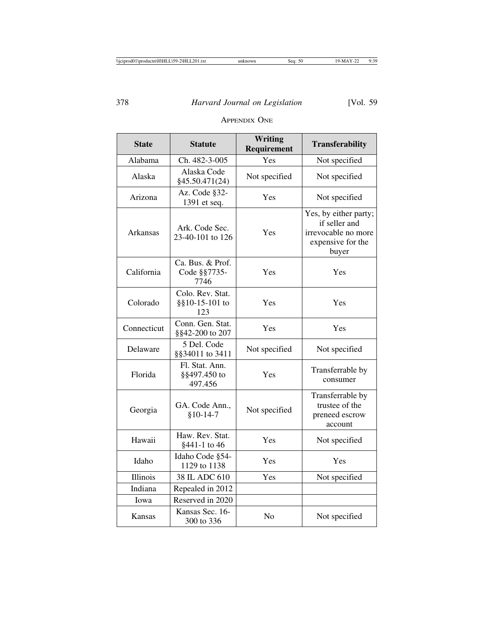| <b>State</b> | <b>Statute</b>                            | Writing<br>Requirement | <b>Transferability</b>                                                                      |
|--------------|-------------------------------------------|------------------------|---------------------------------------------------------------------------------------------|
| Alabama      | Ch. 482-3-005                             | Yes                    | Not specified                                                                               |
| Alaska       | Alaska Code<br>§45.50.471(24)             | Not specified          | Not specified                                                                               |
| Arizona      | Az. Code §32-<br>1391 et seq.             | Yes                    | Not specified                                                                               |
| Arkansas     | Ark. Code Sec.<br>23-40-101 to 126        | Yes                    | Yes, by either party;<br>if seller and<br>irrevocable no more<br>expensive for the<br>buyer |
| California   | Ca. Bus. & Prof.<br>Code §§7735-<br>7746  | Yes                    | Yes                                                                                         |
| Colorado     | Colo. Rev. Stat.<br>§§10-15-101 to<br>123 | Yes                    | Yes                                                                                         |
| Connecticut  | Conn. Gen. Stat.<br>§§42-200 to 207       | Yes                    | Yes                                                                                         |
| Delaware     | 5 Del. Code<br>§§34011 to 3411            | Not specified          | Not specified                                                                               |
| Florida      | Fl. Stat. Ann.<br>§§497.450 to<br>497.456 | Yes                    | Transferrable by<br>consumer                                                                |
| Georgia      | GA. Code Ann.,<br>$$10-14-7$              | Not specified          | Transferrable by<br>trustee of the<br>preneed escrow<br>account                             |
| Hawaii       | Haw. Rev. Stat.<br>§441-1 to 46           | Yes                    | Not specified                                                                               |
| Idaho        | Idaho Code §54-<br>1129 to 1138           | Yes                    | Yes                                                                                         |
| Illinois     | 38 IL ADC 610                             | Yes                    | Not specified                                                                               |
| Indiana      | Repealed in 2012                          |                        |                                                                                             |
| Iowa         | Reserved in 2020                          |                        |                                                                                             |
| Kansas       | Kansas Sec. 16-<br>300 to 336             | No                     | Not specified                                                                               |

#### APPENDIX ONE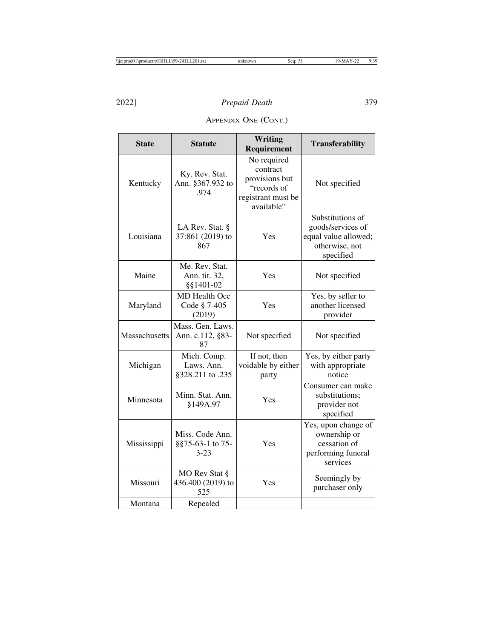APPENDIX ONE (CONT.)

| <b>State</b>  | <b>Statute</b>                                  | Writing<br>Requirement                                                                       | <b>Transferability</b>                                                                       |
|---------------|-------------------------------------------------|----------------------------------------------------------------------------------------------|----------------------------------------------------------------------------------------------|
| Kentucky      | Ky. Rev. Stat.<br>Ann. §367.932 to<br>.974      | No required<br>contract<br>provisions but<br>"records of<br>registrant must be<br>available" | Not specified                                                                                |
| Louisiana     | LA Rev. Stat. §<br>37:861 (2019) to<br>867      | Yes                                                                                          | Substitutions of<br>goods/services of<br>equal value allowed;<br>otherwise, not<br>specified |
| Maine         | Me. Rev. Stat.<br>Ann. tit. 32,<br>§§1401-02    | Yes                                                                                          | Not specified                                                                                |
| Maryland      | MD Health Occ<br>Code § 7-405<br>(2019)         | Yes                                                                                          | Yes, by seller to<br>another licensed<br>provider                                            |
| Massachusetts | Mass. Gen. Laws.<br>Ann. c.112, §83-<br>87      | Not specified                                                                                | Not specified                                                                                |
| Michigan      | Mich. Comp.<br>Laws. Ann.<br>§328.211 to .235   | If not, then<br>voidable by either<br>party                                                  | Yes, by either party<br>with appropriate<br>notice                                           |
| Minnesota     | Minn. Stat. Ann.<br>§149A.97                    | Yes                                                                                          | Consumer can make<br>substitutions;<br>provider not<br>specified                             |
| Mississippi   | Miss. Code Ann.<br>§§75-63-1 to 75-<br>$3 - 23$ | Yes                                                                                          | Yes, upon change of<br>ownership or<br>cessation of<br>performing funeral<br>services        |
| Missouri      | MO Rev Stat §<br>436.400 (2019) to<br>525       | Yes                                                                                          | Seemingly by<br>purchaser only                                                               |
| Montana       | Repealed                                        |                                                                                              |                                                                                              |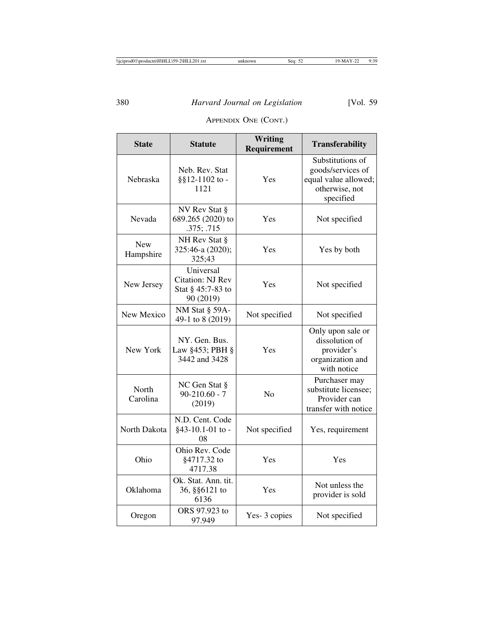## APPENDIX ONE (CONT.)

| <b>State</b>            | <b>Statute</b>                                                         | <b>Writing</b><br>Requirement | <b>Transferability</b>                                                                       |
|-------------------------|------------------------------------------------------------------------|-------------------------------|----------------------------------------------------------------------------------------------|
| Nebraska                | Neb. Rev. Stat<br>§§12-1102 to -<br>1121                               | Yes                           | Substitutions of<br>goods/services of<br>equal value allowed;<br>otherwise, not<br>specified |
| Nevada                  | NV Rev Stat §<br>689.265 (2020) to<br>.375; .715                       | Yes                           | Not specified                                                                                |
| <b>New</b><br>Hampshire | NH Rev Stat §<br>325:46-a (2020);<br>325;43                            | Yes                           | Yes by both                                                                                  |
| New Jersey              | Universal<br><b>Citation: NJ Rev</b><br>Stat § 45:7-83 to<br>90 (2019) | Yes                           | Not specified                                                                                |
| New Mexico              | NM Stat § 59A-<br>49-1 to 8 (2019)                                     | Not specified                 | Not specified                                                                                |
| New York                | NY. Gen. Bus.<br>Law §453; PBH §<br>3442 and 3428                      | Yes                           | Only upon sale or<br>dissolution of<br>provider's<br>organization and<br>with notice         |
| North<br>Carolina       | NC Gen Stat §<br>$90 - 210.60 - 7$<br>(2019)                           | No                            | Purchaser may<br>substitute licensee;<br>Provider can<br>transfer with notice                |
| North Dakota            | N.D. Cent. Code<br>§43-10.1-01 to -<br>08                              | Not specified                 | Yes, requirement                                                                             |
| Ohio                    | Ohio Rev. Code<br>§4717.32 to<br>4717.38                               | Yes                           | Yes                                                                                          |
| Oklahoma                | Ok. Stat. Ann. tit.<br>36, §§6121 to<br>6136                           | Yes                           | Not unless the<br>provider is sold                                                           |
| Oregon                  | ORS 97.923 to<br>97.949                                                | Yes-3 copies                  | Not specified                                                                                |